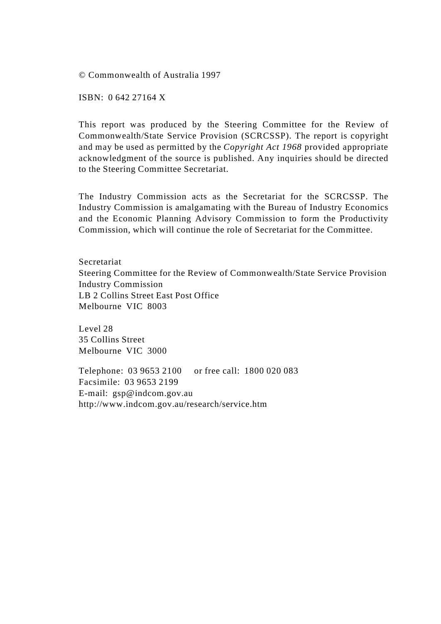© Commonwealth of Australia 1997

ISBN: 0 642 27164 X

This report was produced by the Steering Committee for the Review of Commonwealth/State Service Provision (SCRCSSP). The report is copyright and may be used as permitted by the *Copyright Act 1968* provided appropriate acknowledgment of the source is published. Any inquiries should be directed to the Steering Committee Secretariat.

The Industry Commission acts as the Secretariat for the SCRCSSP. The Industry Commission is amalgamating with the Bureau of Industry Economics and the Economic Planning Advisory Commission to form the Productivity Commission, which will continue the role of Secretariat for the Committee.

Secretariat Steering Committee for the Review of Commonwealth/State Service Provision Industry Commission LB 2 Collins Street East Post Office Melbourne VIC 8003

Level 28 35 Collins Street Melbourne VIC 3000

Telephone: 03 9653 2100 or free call: 1800 020 083 Facsimile: 03 9653 2199 E-mail: gsp@indcom.gov.au http://www.indcom.gov.au/research/service.htm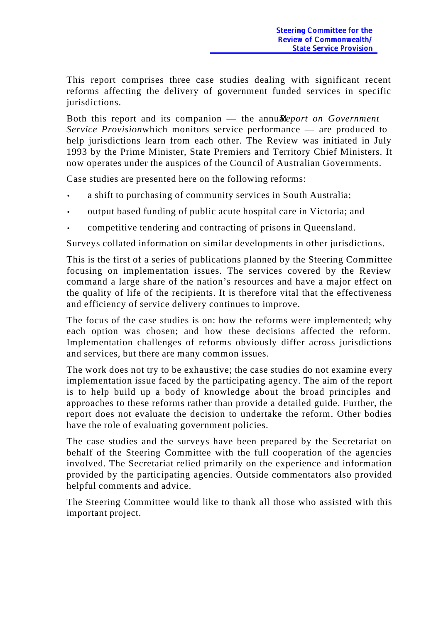This report comprises three case studies dealing with significant recent reforms affecting the delivery of government funded services in specific jurisdictions.

Both this report and its companion — the annual *report on Government Service Provision* which monitors service performance — are produced to help jurisdictions learn from each other. The Review was initiated in July 1993 by the Prime Minister, State Premiers and Territory Chief Ministers. It now operates under the auspices of the Council of Australian Governments.

Case studies are presented here on the following reforms:

- a shift to purchasing of community services in South Australia;
- output based funding of public acute hospital care in Victoria; and
- competitive tendering and contracting of prisons in Queensland.

Surveys collated information on similar developments in other jurisdictions.

This is the first of a series of publications planned by the Steering Committee focusing on implementation issues. The services covered by the Review command a large share of the nation's resources and have a major effect on the quality of life of the recipients. It is therefore vital that the effectiveness and efficiency of service delivery continues to improve.

The focus of the case studies is on: how the reforms were implemented; why each option was chosen; and how these decisions affected the reform. Implementation challenges of reforms obviously differ across jurisdictions and services, but there are many common issues.

The work does not try to be exhaustive; the case studies do not examine every implementation issue faced by the participating agency. The aim of the report is to help build up a body of knowledge about the broad principles and approaches to these reforms rather than provide a detailed guide. Further, the report does not evaluate the decision to undertake the reform. Other bodies have the role of evaluating government policies.

The case studies and the surveys have been prepared by the Secretariat on behalf of the Steering Committee with the full cooperation of the agencies involved. The Secretariat relied primarily on the experience and information provided by the participating agencies. Outside commentators also provided helpful comments and advice.

The Steering Committee would like to thank all those who assisted with this important project.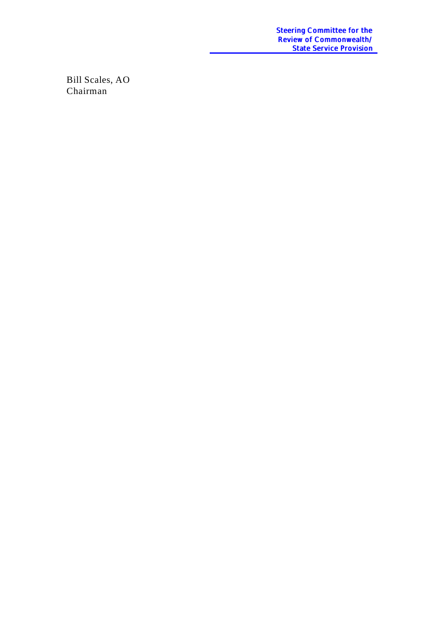Steering Committee for the Review of Commonwealth/ **State Service Provision** 

Bill Scales, AO Chairman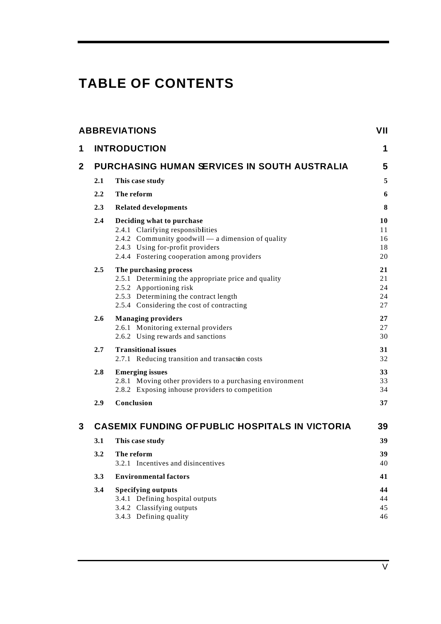# **TABLE OF CONTENTS**

|              |     | <b>ABBREVIATIONS</b>                                                                                                                                                                                   | VII                        |
|--------------|-----|--------------------------------------------------------------------------------------------------------------------------------------------------------------------------------------------------------|----------------------------|
| 1            |     | <b>INTRODUCTION</b>                                                                                                                                                                                    | 1                          |
| $\mathbf{2}$ |     | PURCHASING HUMAN SERVICES IN SOUTH AUSTRALIA                                                                                                                                                           | 5                          |
|              | 2.1 | This case study                                                                                                                                                                                        | 5                          |
|              | 2.2 | The reform                                                                                                                                                                                             | 6                          |
|              | 2.3 | <b>Related developments</b>                                                                                                                                                                            | 8                          |
|              | 2.4 | Deciding what to purchase<br>2.4.1 Clarifying responsibilities<br>2.4.2 Community goodwill — a dimension of quality<br>2.4.3 Using for-profit providers<br>2.4.4 Fostering cooperation among providers | 10<br>11<br>16<br>18<br>20 |
|              | 2.5 | The purchasing process<br>2.5.1 Determining the appropriate price and quality<br>2.5.2 Apportioning risk<br>2.5.3 Determining the contract length<br>2.5.4 Considering the cost of contracting         | 21<br>21<br>24<br>24<br>27 |
|              | 2.6 | <b>Managing providers</b><br>2.6.1 Monitoring external providers<br>2.6.2 Using rewards and sanctions                                                                                                  | 27<br>27<br>30             |
|              | 2.7 | <b>Transitional issues</b><br>2.7.1 Reducing transition and transacton costs                                                                                                                           | 31<br>32                   |
|              | 2.8 | <b>Emerging issues</b><br>2.8.1 Moving other providers to a purchasing environment<br>2.8.2 Exposing inhouse providers to competition                                                                  | 33<br>33<br>34             |
|              | 2.9 | Conclusion                                                                                                                                                                                             | 37                         |
| 3            |     | <b>CASEMIX FUNDING OF PUBLIC HOSPITALS IN VICTORIA</b>                                                                                                                                                 | 39                         |
|              | 3.1 | This case study                                                                                                                                                                                        | 39                         |
|              | 3.2 | The reform<br>3.2.1 Incentives and disincentives                                                                                                                                                       | 39<br>40                   |
|              | 3.3 | <b>Environmental factors</b>                                                                                                                                                                           | 41                         |
|              | 3.4 | <b>Specifying outputs</b><br>3.4.1 Defining hospital outputs<br>3.4.2 Classifying outputs<br>3.4.3 Defining quality                                                                                    | 44<br>44<br>45<br>46       |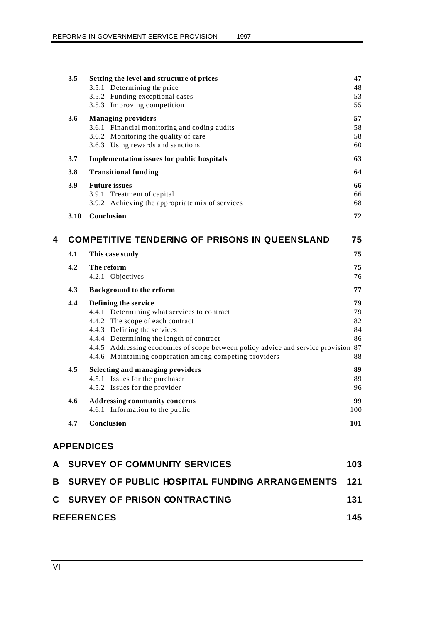|    | 3.5                                | Setting the level and structure of prices<br>3.5.1 Determining the price<br>3.5.2 Funding exceptional cases<br>3.5.3 Improving competition                                                                                                                                                                                          | 47<br>48<br>53<br>55             |
|----|------------------------------------|-------------------------------------------------------------------------------------------------------------------------------------------------------------------------------------------------------------------------------------------------------------------------------------------------------------------------------------|----------------------------------|
|    | 3.6                                | <b>Managing providers</b><br>3.6.1 Financial monitoring and coding audits<br>3.6.2 Monitoring the quality of care<br>3.6.3 Using rewards and sanctions                                                                                                                                                                              | 57<br>58<br>58<br>60             |
|    | 3.7                                | <b>Implementation issues for public hospitals</b>                                                                                                                                                                                                                                                                                   | 63                               |
|    | 3.8<br><b>Transitional funding</b> |                                                                                                                                                                                                                                                                                                                                     | 64                               |
|    | 3.9                                | <b>Future issues</b><br>3.9.1 Treatment of capital<br>3.9.2 Achieving the appropriate mix of services                                                                                                                                                                                                                               | 66<br>66<br>68                   |
|    | 3.10                               | Conclusion                                                                                                                                                                                                                                                                                                                          | 72                               |
| 4  |                                    | <b>COMPETITIVE TENDERING OF PRISONS IN QUEENSLAND</b>                                                                                                                                                                                                                                                                               | 75                               |
|    | 4.1                                | This case study                                                                                                                                                                                                                                                                                                                     | 75                               |
|    | 4.2                                | The reform<br>4.2.1 Objectives                                                                                                                                                                                                                                                                                                      | 75<br>76                         |
|    | 4.3                                | <b>Background to the reform</b>                                                                                                                                                                                                                                                                                                     |                                  |
|    | 4.4                                | Defining the service<br>4.4.1 Determining what services to contract<br>4.4.2 The scope of each contract<br>4.4.3 Defining the services<br>4.4.4 Determining the length of contract<br>4.4.5 Addressing economies of scope between policy advice and service provision 87<br>4.4.6 Maintaining cooperation among competing providers | 79<br>79<br>82<br>84<br>86<br>88 |
|    | 4.5                                | <b>Selecting and managing providers</b><br>4.5.1 Issues for the purchaser<br>4.5.2 Issues for the provider                                                                                                                                                                                                                          | 89<br>89<br>96                   |
|    | 4.6                                | <b>Addressing community concerns</b><br>4.6.1 Information to the public                                                                                                                                                                                                                                                             | 99<br>100                        |
|    | 4.7                                | Conclusion                                                                                                                                                                                                                                                                                                                          | 101                              |
|    |                                    | <b>APPENDICES</b>                                                                                                                                                                                                                                                                                                                   |                                  |
| A  |                                    | <b>SURVEY OF COMMUNITY SERVICES</b>                                                                                                                                                                                                                                                                                                 | 103                              |
| В  |                                    | SURVEY OF PUBLIC HOSPITAL FUNDING ARRANGEMENTS                                                                                                                                                                                                                                                                                      | 121                              |
| C. |                                    | <b>SURVEY OF PRISON CONTRACTING</b>                                                                                                                                                                                                                                                                                                 | 131                              |
|    |                                    | <b>REFERENCES</b>                                                                                                                                                                                                                                                                                                                   | 145                              |
|    |                                    |                                                                                                                                                                                                                                                                                                                                     |                                  |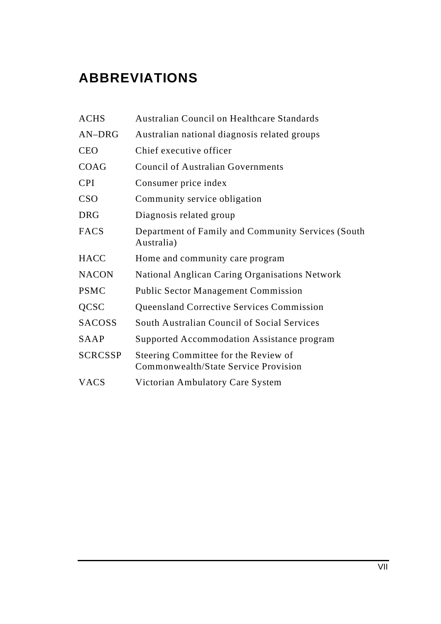# **ABBREVIATIONS**

| <b>ACHS</b>    | <b>Australian Council on Healthcare Standards</b>                            |
|----------------|------------------------------------------------------------------------------|
| AN-DRG         | Australian national diagnosis related groups                                 |
| <b>CEO</b>     | Chief executive officer                                                      |
| COAG           | <b>Council of Australian Governments</b>                                     |
| <b>CPI</b>     | Consumer price index                                                         |
| <b>CSO</b>     | Community service obligation                                                 |
| <b>DRG</b>     | Diagnosis related group                                                      |
| FACS           | Department of Family and Community Services (South<br>Australia)             |
| <b>HACC</b>    | Home and community care program                                              |
| <b>NACON</b>   | <b>National Anglican Caring Organisations Network</b>                        |
| <b>PSMC</b>    | <b>Public Sector Management Commission</b>                                   |
| <b>QCSC</b>    | <b>Queensland Corrective Services Commission</b>                             |
| <b>SACOSS</b>  | <b>South Australian Council of Social Services</b>                           |
| <b>SAAP</b>    | <b>Supported Accommodation Assistance program</b>                            |
| <b>SCRCSSP</b> | Steering Committee for the Review of<br>Commonwealth/State Service Provision |
| <b>VACS</b>    | Victorian Ambulatory Care System                                             |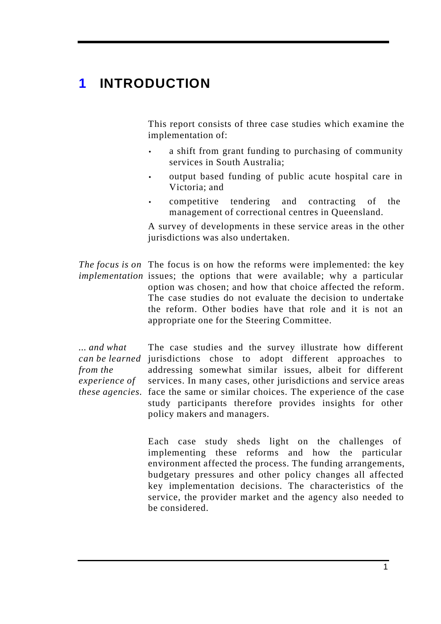## **1 INTRODUCTION**

This report consists of three case studies which examine the implementation of:

- a shift from grant funding to purchasing of community services in South Australia;
- output based funding of public acute hospital care in Victoria; and
- competitive tendering and contracting of the management of correctional centres in Queensland.

A survey of developments in these service areas in the other jurisdictions was also undertaken.

The focus is on The focus is on how the reforms were implemented: the key *implementation* issues; the options that were available; why a particular option was chosen; and how that choice affected the reform. The case studies do not evaluate the decision to undertake the reform. Other bodies have that role and it is not an appropriate one for the Steering Committee.

*... and what can be learned* jurisdictions chose to adopt different approaches to *from the experience of these agencies.* face the same or similar choices. The experience of the case The case studies and the survey illustrate how different addressing somewhat similar issues, albeit for different services. In many cases, other jurisdictions and service areas study participants therefore provides insights for other policy makers and managers.

> Each case study sheds light on the challenges of implementing these reforms and how the particular environment affected the process. The funding arrangements, budgetary pressures and other policy changes all affected key implementation decisions. The characteristics of the service, the provider market and the agency also needed to be considered.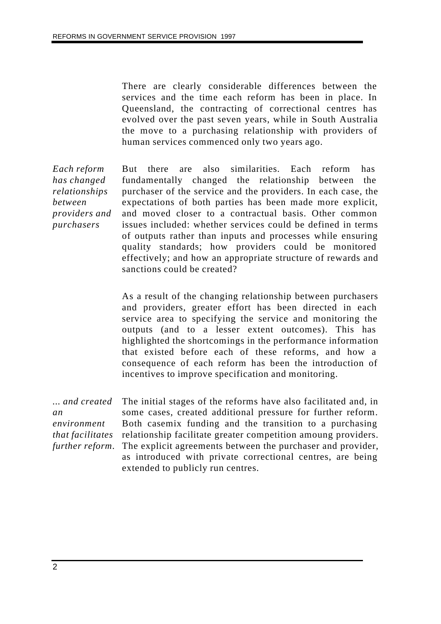There are clearly considerable differences between the services and the time each reform has been in place. In Queensland, the contracting of correctional centres has evolved over the past seven years, while in South Australia the move to a purchasing relationship with providers of human services commenced only two years ago.

*Each reform has changed relationships between providers and purchasers*

But there are also similarities. Each reform has fundamentally changed the relationship between the purchaser of the service and the providers. In each case, the expectations of both parties has been made more explicit, and moved closer to a contractual basis. Other common issues included: whether services could be defined in terms of outputs rather than inputs and processes while ensuring quality standards; how providers could be monitored effectively; and how an appropriate structure of rewards and sanctions could be created?

As a result of the changing relationship between purchasers and providers, greater effort has been directed in each service area to specifying the service and monitoring the outputs (and to a lesser extent outcomes). This has highlighted the shortcomings in the performance information that existed before each of these reforms, and how a consequence of each reform has been the introduction of incentives to improve specification and monitoring.

*... and created an environment that facilitates further reform.* The initial stages of the reforms have also facilitated and, in some cases, created additional pressure for further reform. Both casemix funding and the transition to a purchasing relationship facilitate greater competition amoung providers. The explicit agreements between the purchaser and provider, as introduced with private correctional centres, are being extended to publicly run centres.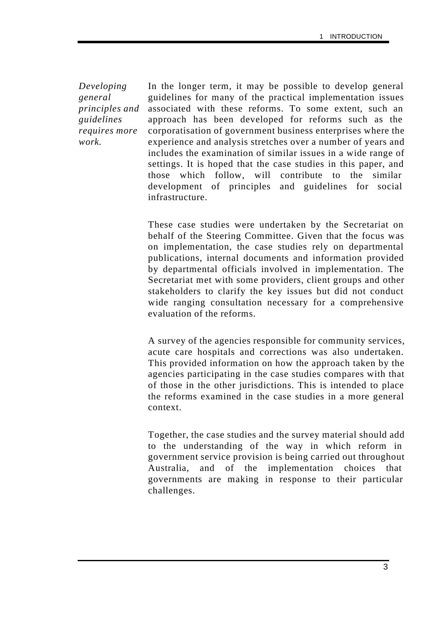*Developing general principles and guidelines requires more work.*

In the longer term, it may be possible to develop general guidelines for many of the practical implementation issues associated with these reforms. To some extent, such an approach has been developed for reforms such as the corporatisation of government business enterprises where the experience and analysis stretches over a number of years and includes the examination of similar issues in a wide range of settings. It is hoped that the case studies in this paper, and those which follow, will contribute to the similar development of principles and guidelines for social infrastructure.

These case studies were undertaken by the Secretariat on behalf of the Steering Committee. Given that the focus was on implementation, the case studies rely on departmental publications, internal documents and information provided by departmental officials involved in implementation. The Secretariat met with some providers, client groups and other stakeholders to clarify the key issues but did not conduct wide ranging consultation necessary for a comprehensive evaluation of the reforms.

A survey of the agencies responsible for community services, acute care hospitals and corrections was also undertaken. This provided information on how the approach taken by the agencies participating in the case studies compares with that of those in the other jurisdictions. This is intended to place the reforms examined in the case studies in a more general context.

Together, the case studies and the survey material should add to the understanding of the way in which reform in government service provision is being carried out throughout Australia, and of the implementation choices that governments are making in response to their particular challenges.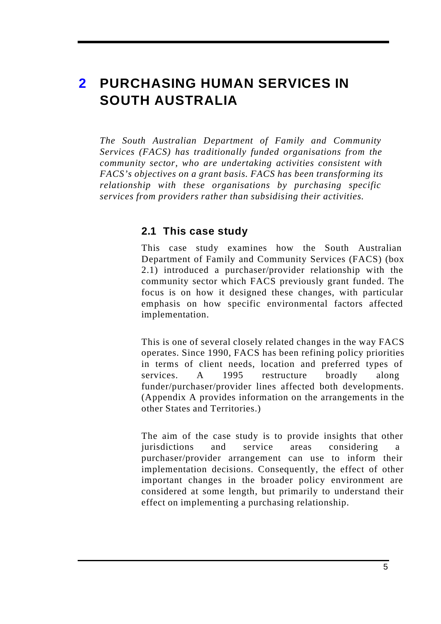## **2 PURCHASING HUMAN SERVICES IN SOUTH AUSTRALIA**

*The South Australian Department of Family and Community Services (FACS) has traditionally funded organisations from the community sector, who are undertaking activities consistent with FACS's objectives on a grant basis. FACS has been transforming its relationship with these organisations by purchasing specific services from providers rather than subsidising their activities.*

## **2.1 This case study**

This case study examines how the South Australian Department of Family and Community Services (FACS) (box 2.1) introduced a purchaser/provider relationship with the community sector which FACS previously grant funded. The focus is on how it designed these changes, with particular emphasis on how specific environmental factors affected implementation.

This is one of several closely related changes in the way FACS operates. Since 1990, FACS has been refining policy priorities in terms of client needs, location and preferred types of services. A 1995 restructure broadly along funder/purchaser/provider lines affected both developments. (Appendix A provides information on the arrangements in the other States and Territories.)

The aim of the case study is to provide insights that other jurisdictions and service areas considering a purchaser/provider arrangement can use to inform their implementation decisions. Consequently, the effect of other important changes in the broader policy environment are considered at some length, but primarily to understand their effect on implementing a purchasing relationship.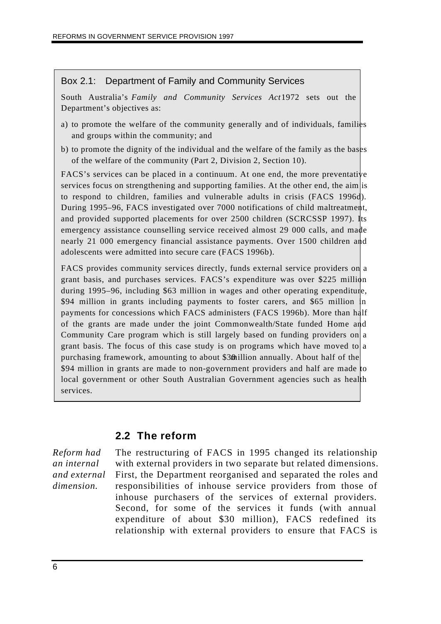#### Box 2.1: Department of Family and Community Services

South Australia's *Family and Community Services Act* 1972 sets out the Department's objectives as:

- a) to promote the welfare of the community generally and of individuals, families and groups within the community; and
- b) to promote the dignity of the individual and the welfare of the family as the bases of the welfare of the community (Part 2, Division 2, Section 10).

FACS's services can be placed in a continuum. At one end, the more preventative services focus on strengthening and supporting families. At the other end, the aim is to respond to children, families and vulnerable adults in crisis (FACS 1996d). During 1995–96, FACS investigated over 7000 notifications of child maltreatment, and provided supported placements for over 2500 children (SCRCSSP 1997). Its emergency assistance counselling service received almost 29 000 calls, and made nearly 21 000 emergency financial assistance payments. Over 1500 children and adolescents were admitted into secure care (FACS 1996b).

FACS provides community services directly, funds external service providers on a grant basis, and purchases services. FACS's expenditure was over \$225 million during 1995–96, including \$63 million in wages and other operating expenditure, \$94 million in grants including payments to foster carers, and \$65 million in payments for concessions which FACS administers (FACS 1996b). More than half of the grants are made under the joint Commonwealth/State funded Home and Community Care program which is still largely based on funding providers on a grant basis. The focus of this case study is on programs which have moved to a purchasing framework, amounting to about \$30 million annually. About half of the \$94 million in grants are made to non-government providers and half are made to local government or other South Australian Government agencies such as health services.

## **2.2 The reform**

*Reform had an internal and external dimension.*

The restructuring of FACS in 1995 changed its relationship with external providers in two separate but related dimensions. First, the Department reorganised and separated the roles and responsibilities of inhouse service providers from those of inhouse purchasers of the services of external providers. Second, for some of the services it funds (with annual expenditure of about \$30 million), FACS redefined its relationship with external providers to ensure that FACS is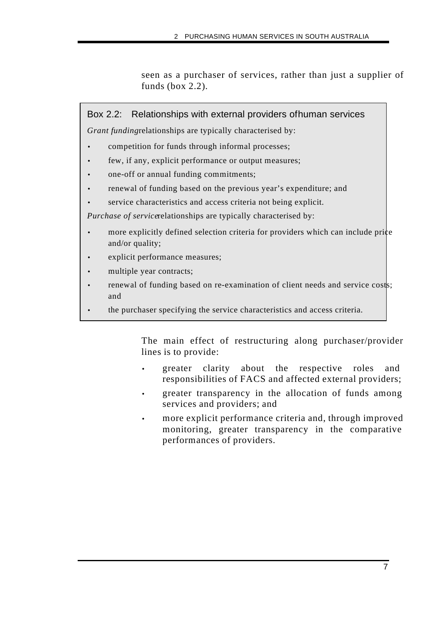seen as a purchaser of services, rather than just a supplier of funds (box 2.2).

Box 2.2: Relationships with external providers of human services *Grant funding relationships are typically characterised by:* • competition for funds through informal processes; few, if any, explicit performance or output measures; • one-off or annual funding commitments; renewal of funding based on the previous year's expenditure; and service characteristics and access criteria not being explicit. *Purchase of service* relationships are typically characterised by: more explicitly defined selection criteria for providers which can include price and/or quality; explicit performance measures; multiple year contracts; renewal of funding based on re-examination of client needs and service costs; and • the purchaser specifying the service characteristics and access criteria.

> The main effect of restructuring along purchaser/provider lines is to provide:

- greater clarity about the respective roles and responsibilities of FACS and affected external providers;
- greater transparency in the allocation of funds among services and providers; and
- more explicit performance criteria and, through improved monitoring, greater transparency in the comparative performances of providers.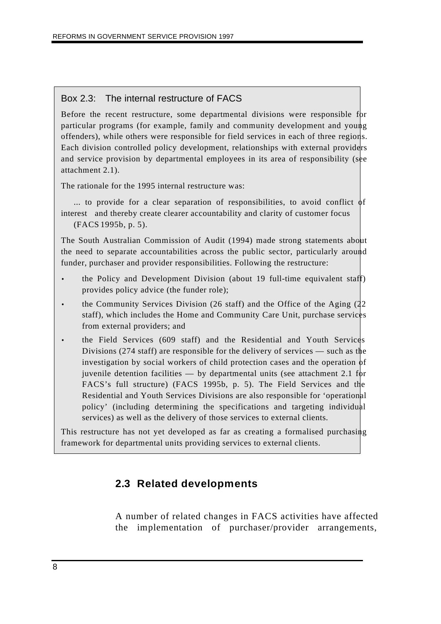#### Box 2.3: The internal restructure of FACS

Before the recent restructure, some departmental divisions were responsible for particular programs (for example, family and community development and young offenders), while others were responsible for field services in each of three regions. Each division controlled policy development, relationships with external providers and service provision by departmental employees in its area of responsibility (see attachment 2.1).

The rationale for the 1995 internal restructure was:

... to provide for a clear separation of responsibilities, to avoid conflict  $\phi$ f interest and thereby create clearer accountability and clarity of customer focus (FACS 1995b, p. 5).

The South Australian Commission of Audit (1994) made strong statements about the need to separate accountabilities across the public sector, particularly around funder, purchaser and provider responsibilities. Following the restructure:

- the Policy and Development Division (about 19 full-time equivalent staff) provides policy advice (the funder role);
- the Community Services Division (26 staff) and the Office of the Aging (22 staff), which includes the Home and Community Care Unit, purchase services from external providers; and
- the Field Services (609 staff) and the Residential and Youth Services Divisions (274 staff) are responsible for the delivery of services — such as the investigation by social workers of child protection cases and the operation  $\phi f$ juvenile detention facilities — by departmental units (see attachment 2.1 for FACS's full structure) (FACS 1995b, p. 5). The Field Services and the Residential and Youth Services Divisions are also responsible for 'operational policy' (including determining the specifications and targeting individual services) as well as the delivery of those services to external clients.

This restructure has not yet developed as far as creating a formalised purchasing framework for departmental units providing services to external clients.

## **2.3 Related developments**

A number of related changes in FACS activities have affected the implementation of purchaser/provider arrangements,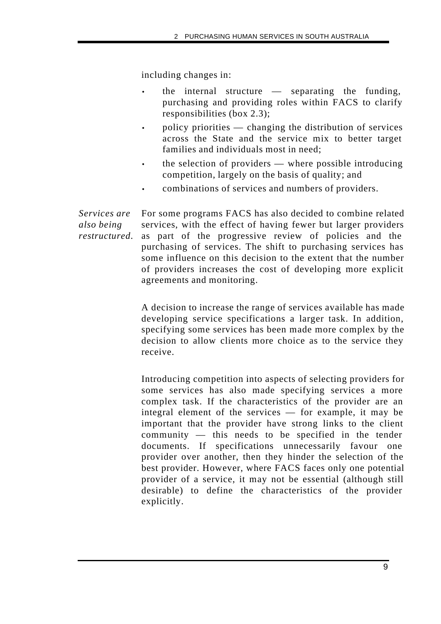including changes in:

- the internal structure  $-$  separating the funding, purchasing and providing roles within FACS to clarify responsibilities (box 2.3);
- policy priorities changing the distribution of services across the State and the service mix to better target families and individuals most in need;
- the selection of providers  $-$  where possible introducing competition, largely on the basis of quality; and
- combinations of services and numbers of providers.

*Services are also being restructured.* For some programs FACS has also decided to combine related services, with the effect of having fewer but larger providers as part of the progressive review of policies and the purchasing of services. The shift to purchasing services has some influence on this decision to the extent that the number of providers increases the cost of developing more explicit agreements and monitoring.

> A decision to increase the range of services available has made developing service specifications a larger task. In addition, specifying some services has been made more complex by the decision to allow clients more choice as to the service they receive.

> Introducing competition into aspects of selecting providers for some services has also made specifying services a more complex task. If the characteristics of the provider are an integral element of the services — for example, it may be important that the provider have strong links to the client community — this needs to be specified in the tender documents. If specifications unnecessarily favour one provider over another, then they hinder the selection of the best provider. However, where FACS faces only one potential provider of a service, it may not be essential (although still desirable) to define the characteristics of the provider explicitly.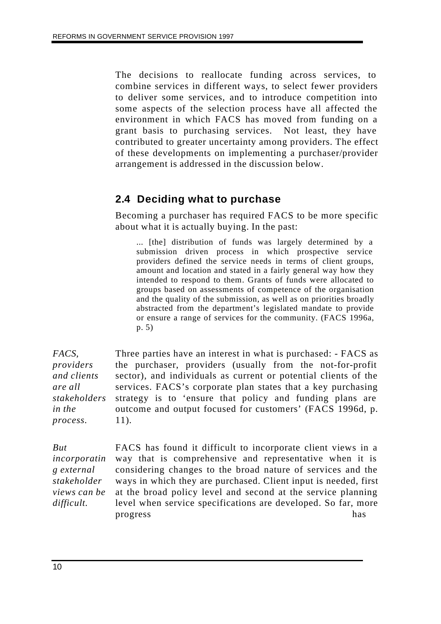The decisions to reallocate funding across services, to combine services in different ways, to select fewer providers to deliver some services, and to introduce competition into some aspects of the selection process have all affected the environment in which FACS has moved from funding on a grant basis to purchasing services. Not least, they have contributed to greater uncertainty among providers. The effect of these developments on implementing a purchaser/provider arrangement is addressed in the discussion below.

## **2.4 Deciding what to purchase**

Becoming a purchaser has required FACS to be more specific about what it is actually buying. In the past:

... [the] distribution of funds was largely determined by a submission driven process in which prospective service providers defined the service needs in terms of client groups, amount and location and stated in a fairly general way how they intended to respond to them. Grants of funds were allocated to groups based on assessments of competence of the organisation and the quality of the submission, as well as on priorities broadly abstracted from the department's legislated mandate to provide or ensure a range of services for the community. (FACS 1996a, p. 5)

*FACS, providers and clients are all stakeholders in the process.* Three parties have an interest in what is purchased: - FACS as the purchaser, providers (usually from the not-for-profit sector), and individuals as current or potential clients of the services. FACS's corporate plan states that a key purchasing strategy is to 'ensure that policy and funding plans are outcome and output focused for customers' (FACS 1996d, p. 11).

*But incorporatin g external stakeholder views can be difficult.*

FACS has found it difficult to incorporate client views in a way that is comprehensive and representative when it is considering changes to the broad nature of services and the ways in which they are purchased. Client input is needed, first at the broad policy level and second at the service planning level when service specifications are developed. So far, more progress has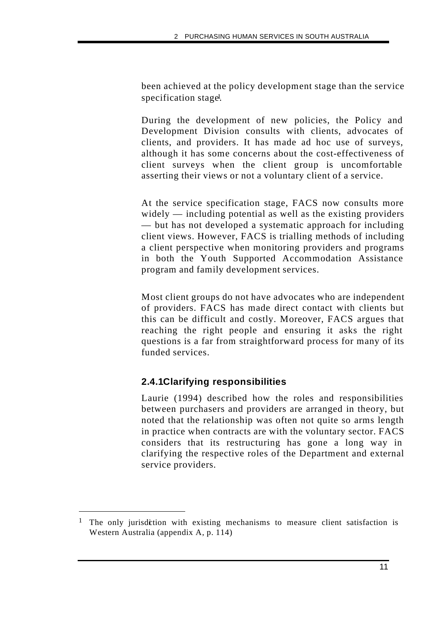been achieved at the policy development stage than the service specification stage.

During the development of new policies, the Policy and Development Division consults with clients, advocates of clients, and providers. It has made ad hoc use of surveys, although it has some concerns about the cost-effectiveness of client surveys when the client group is uncomfortable asserting their views or not a voluntary client of a service.

At the service specification stage, FACS now consults more widely — including potential as well as the existing providers — but has not developed a systematic approach for including client views. However, FACS is trialling methods of including a client perspective when monitoring providers and programs in both the Youth Supported Accommodation Assistance program and family development services.

Most client groups do not have advocates who are independent of providers. FACS has made direct contact with clients but this can be difficult and costly. Moreover, FACS argues that reaching the right people and ensuring it asks the right questions is a far from straightforward process for many of its funded services.

## **2.4.1Clarifying responsibilities**

Laurie (1994) described how the roles and responsibilities between purchasers and providers are arranged in theory, but noted that the relationship was often not quite so arms length in practice when contracts are with the voluntary sector. FACS considers that its restructuring has gone a long way in clarifying the respective roles of the Department and external service providers.

<sup>&</sup>lt;sup>1</sup> The only jurisdiction with existing mechanisms to measure client satisfaction is Western Australia (appendix A, p. 114)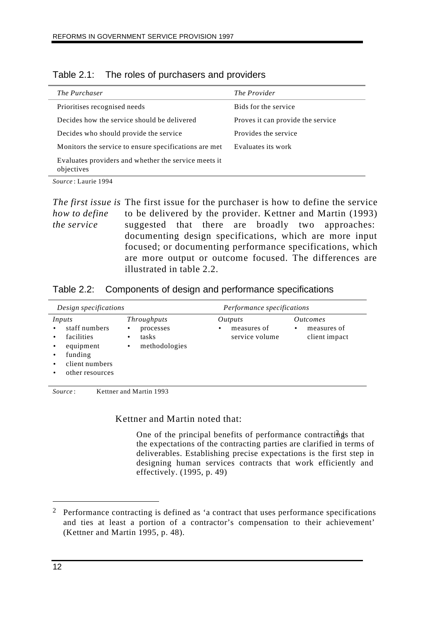| The Purchaser                                                      | The Provider                      |
|--------------------------------------------------------------------|-----------------------------------|
| Prioritises recognised needs                                       | Bids for the service              |
| Decides how the service should be delivered                        | Proves it can provide the service |
| Decides who should provide the service                             | Provides the service              |
| Monitors the service to ensure specifications are met              | Evaluates its work                |
| Evaluates providers and whether the service meets it<br>objectives |                                   |

|  | Table 2.1: |  |  | The roles of purchasers and providers |
|--|------------|--|--|---------------------------------------|
|--|------------|--|--|---------------------------------------|

*Source* : Laurie 1994

The first issue is The first issue for the purchaser is how to define the service *how to define the service* to be delivered by the provider. Kettner and Martin (1993) suggested that there are broadly two approaches: documenting design specifications, which are more input focused; or documenting performance specifications, which are more output or outcome focused. The differences are illustrated in table 2.2.

Table 2.2: Components of design and performance specifications

| Design specifications                                                                              |                                                                                          | Performance specifications                                   |                                                                     |  |
|----------------------------------------------------------------------------------------------------|------------------------------------------------------------------------------------------|--------------------------------------------------------------|---------------------------------------------------------------------|--|
| Inputs<br>staff numbers<br>facilities<br>equipment<br>funding<br>client numbers<br>other resources | <b>Throughputs</b><br>processes<br>٠<br>tasks<br>$\bullet$<br>methodologies<br>$\bullet$ | <i>Outputs</i><br>measures of<br>$\bullet$<br>service volume | <i><u>Outcomes</u></i><br>measures of<br>$\bullet$<br>client impact |  |

*Source* : Kettner and Martin 1993

Kettner and Martin noted that:

One of the principal benefits of performance contractings that the expectations of the contracting parties are clarified in terms of deliverables. Establishing precise expectations is the first step in designing human services contracts that work efficiently and effectively. (1995, p. 49)

<sup>&</sup>lt;sup>2</sup> Performance contracting is defined as 'a contract that uses performance specifications and ties at least a portion of a contractor's compensation to their achievement' (Kettner and Martin 1995, p. 48).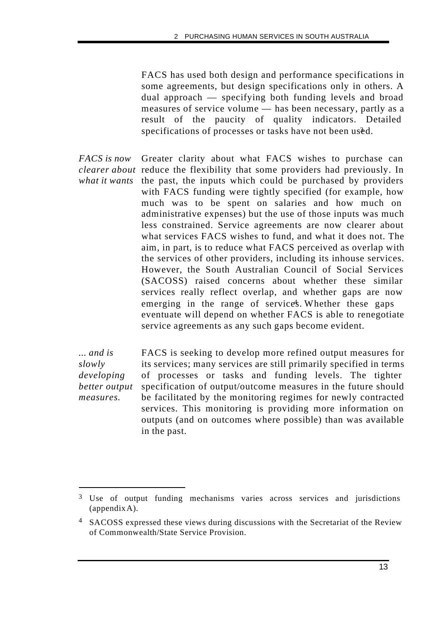FACS has used both design and performance specifications in some agreements, but design specifications only in others. A dual approach — specifying both funding levels and broad measures of service volume — has been necessary, partly as a result of the paucity of quality indicators. Detailed specifications of processes or tasks have not been used.

*FACS is now clearer about* reduce the flexibility that some providers had previously. In *what it wants* Greater clarity about what FACS wishes to purchase can the past, the inputs which could be purchased by providers with FACS funding were tightly specified (for example, how much was to be spent on salaries and how much on administrative expenses) but the use of those inputs was much less constrained. Service agreements are now clearer about what services FACS wishes to fund, and what it does not. The aim, in part, is to reduce what FACS perceived as overlap with the services of other providers, including its inhouse services. However, the South Australian Council of Social Services (SACOSS) raised concerns about whether these similar services really reflect overlap, and whether gaps are now emerging in the range of services. Whether these gaps eventuate will depend on whether FACS is able to renegotiate service agreements as any such gaps become evident.

*... and is slowly developing better output measures.* FACS is seeking to develop more refined output measures for its services; many services are still primarily specified in terms of processes or tasks and funding levels. The tighter specification of output/outcome measures in the future should be facilitated by the monitoring regimes for newly contracted services. This monitoring is providing more information on outputs (and on outcomes where possible) than was available in the past.

<sup>&</sup>lt;sup>3</sup> Use of output funding mechanisms varies across services and jurisdictions (appendix A).

<sup>4</sup> SACOSS expressed these views during discussions with the Secretariat of the Review of Commonwealth/State Service Provision.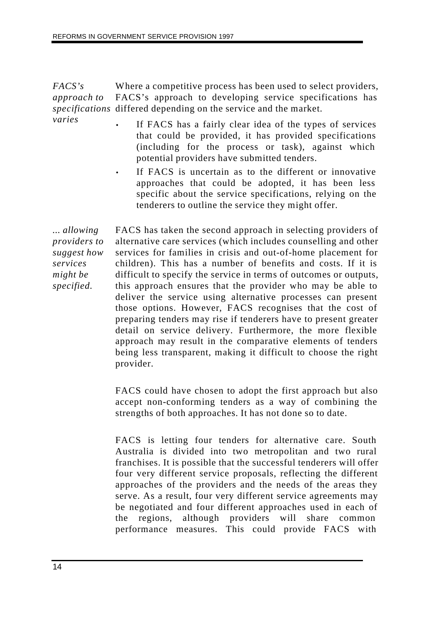*FACS's approach to specifications* differed depending on the service and the market. *varies* Where a competitive process has been used to select providers, FACS's approach to developing service specifications has

- If FACS has a fairly clear idea of the types of services that could be provided, it has provided specifications (including for the process or task), against which potential providers have submitted tenders.
- If FACS is uncertain as to the different or innovative approaches that could be adopted, it has been less specific about the service specifications, relying on the tenderers to outline the service they might offer.

*... allowing providers to* FACS has taken the second approach in selecting providers of alternative care services (which includes counselling and other services for families in crisis and out-of-home placement for children). This has a number of benefits and costs. If it is difficult to specify the service in terms of outcomes or outputs, this approach ensures that the provider who may be able to deliver the service using alternative processes can present those options. However, FACS recognises that the cost of preparing tenders may rise if tenderers have to present greater detail on service delivery. Furthermore, the more flexible approach may result in the comparative elements of tenders being less transparent, making it difficult to choose the right provider.

> FACS could have chosen to adopt the first approach but also accept non-conforming tenders as a way of combining the strengths of both approaches. It has not done so to date.

> FACS is letting four tenders for alternative care. South Australia is divided into two metropolitan and two rural franchises. It is possible that the successful tenderers will offer four very different service proposals, reflecting the different approaches of the providers and the needs of the areas they serve. As a result, four very different service agreements may be negotiated and four different approaches used in each of the regions, although providers will share common performance measures. This could provide FACS with

*suggest how services might be specified.*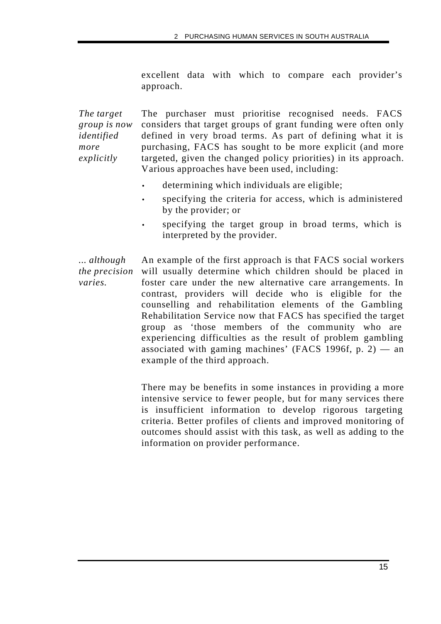excellent data with which to compare each provider's approach.

*The target group is now identified more explicitly* The purchaser must prioritise recognised needs. FACS considers that target groups of grant funding were often only defined in very broad terms. As part of defining what it is purchasing, FACS has sought to be more explicit (and more targeted, given the changed policy priorities) in its approach. Various approaches have been used, including:

- determining which individuals are eligible;
- specifying the criteria for access, which is administered by the provider; or
- specifying the target group in broad terms, which is interpreted by the provider.

*... although the precision varies.* An example of the first approach is that FACS social workers will usually determine which children should be placed in foster care under the new alternative care arrangements. In contrast, providers will decide who is eligible for the counselling and rehabilitation elements of the Gambling Rehabilitation Service now that FACS has specified the target group as 'those members of the community who are experiencing difficulties as the result of problem gambling associated with gaming machines' (FACS 1996f, p.  $2$ ) — an example of the third approach.

> There may be benefits in some instances in providing a more intensive service to fewer people, but for many services there is insufficient information to develop rigorous targeting criteria. Better profiles of clients and improved monitoring of outcomes should assist with this task, as well as adding to the information on provider performance.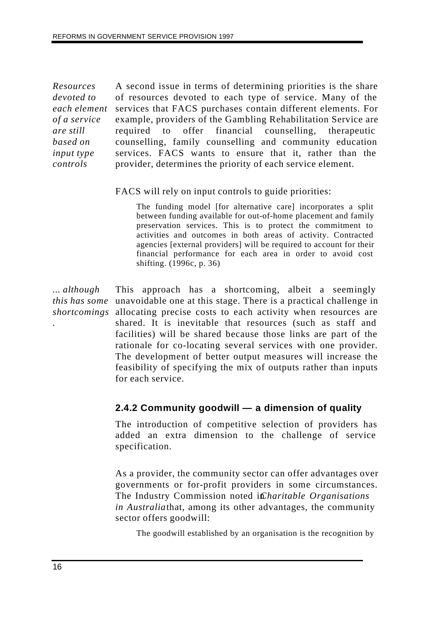*Resources devoted to each element of a service are still based on input type controls*

A second issue in terms of determining priorities is the share of resources devoted to each type of service. Many of the services that FACS purchases contain different elements. For example, providers of the Gambling Rehabilitation Service are required to offer financial counselling, therapeutic counselling, family counselling and community education services. FACS wants to ensure that it, rather than the provider, determines the priority of each service element.

FACS will rely on input controls to guide priorities:

The funding model [for alternative care] incorporates a split between funding available for out-of-home placement and family preservation services. This is to protect the commitment to activities and outcomes in both areas of activity. Contracted agencies [external providers] will be required to account for their financial performance for each area in order to avoid cost shifting. (1996c, p. 36)

*... although this has some* unavoidable one at this stage. There is a practical challenge in *shortcomings* allocating precise costs to each activity when resources are *.* This approach has a shortcoming, albeit a seemingly shared. It is inevitable that resources (such as staff and facilities) will be shared because those links are part of the rationale for co-locating several services with one provider. The development of better output measures will increase the feasibility of specifying the mix of outputs rather than inputs for each service.

## **2.4.2 Community goodwill — a dimension of quality**

The introduction of competitive selection of providers has added an extra dimension to the challenge of service specification.

As a provider, the community sector can offer advantages over governments or for-profit providers in some circumstances. The Industry Commission noted *in Charitable Organisations in Australiathat, among its other advantages, the community* sector offers goodwill:

The goodwill established by an organisation is the recognition by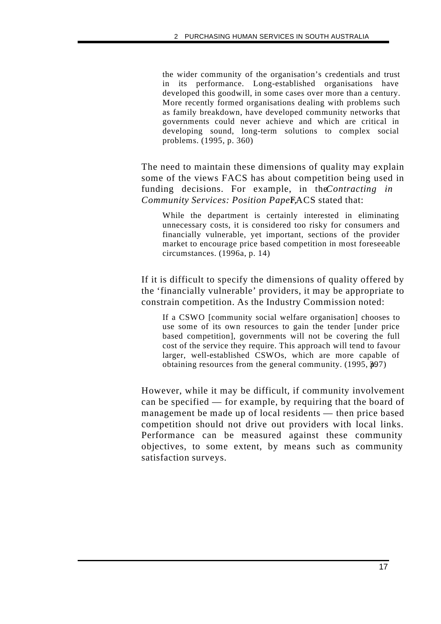the wider community of the organisation's credentials and trust in its performance. Long-established organisations have developed this goodwill, in some cases over more than a century. More recently formed organisations dealing with problems such as family breakdown, have developed community networks that governments could never achieve and which are critical in developing sound, long-term solutions to complex social problems. (1995, p. 360)

The need to maintain these dimensions of quality may explain some of the views FACS has about competition being used in funding decisions. For example, in the *Contracting in Community Services: Position PapeFACS stated that:* 

While the department is certainly interested in eliminating unnecessary costs, it is considered too risky for consumers and financially vulnerable, yet important, sections of the provider market to encourage price based competition in most foreseeable circumstances. (1996a, p. 14)

If it is difficult to specify the dimensions of quality offered by the 'financially vulnerable' providers, it may be appropriate to constrain competition. As the Industry Commission noted:

If a CSWO [community social welfare organisation] chooses to use some of its own resources to gain the tender [under price based competition], governments will not be covering the full cost of the service they require. This approach will tend to favour larger, well-established CSWOs, which are more capable of obtaining resources from the general community.  $(1995, 397)$ 

However, while it may be difficult, if community involvement can be specified — for example, by requiring that the board of management be made up of local residents — then price based competition should not drive out providers with local links. Performance can be measured against these community objectives, to some extent, by means such as community satisfaction surveys.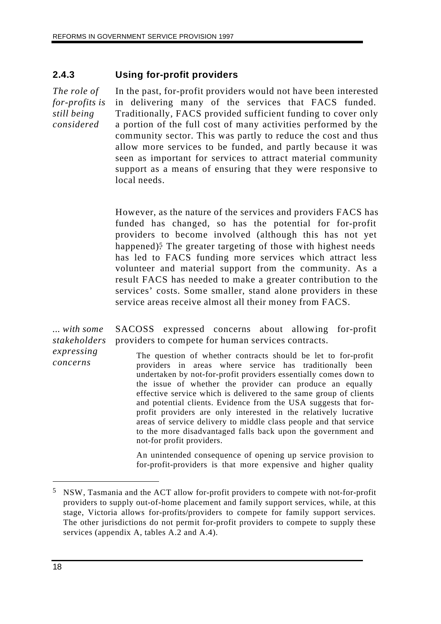### **2.4.3 Using for-profit providers**

*The role of for-profits is still being considered*

In the past, for-profit providers would not have been interested in delivering many of the services that FACS funded. Traditionally, FACS provided sufficient funding to cover only a portion of the full cost of many activities performed by the community sector. This was partly to reduce the cost and thus allow more services to be funded, and partly because it was seen as important for services to attract material community support as a means of ensuring that they were responsive to local needs.

However, as the nature of the services and providers FACS has funded has changed, so has the potential for for-profit providers to become involved (although this has not yet happened)<sup>5</sup>. The greater targeting of those with highest needs has led to FACS funding more services which attract less volunteer and material support from the community. As a result FACS has needed to make a greater contribution to the services' costs. Some smaller, stand alone providers in these service areas receive almost all their money from FACS.

*... with some stakeholders* SACOSS expressed concerns about allowing for-profit providers to compete for human services contracts.

*expressing concerns* The question of whether contracts should be let to for-profit providers in areas where service has traditionally been undertaken by not-for-profit providers essentially comes down to the issue of whether the provider can produce an equally effective service which is delivered to the same group of clients and potential clients. Evidence from the USA suggests that forprofit providers are only interested in the relatively lucrative areas of service delivery to middle class people and that service to the more disadvantaged falls back upon the government and not-for profit providers.

> An unintended consequence of opening up service provision to for-profit-providers is that more expensive and higher quality

<sup>5</sup> NSW, Tasmania and the ACT allow for-profit providers to compete with not-for-profit providers to supply out-of-home placement and family support services, while, at this stage, Victoria allows for-profits/providers to compete for family support services. The other jurisdictions do not permit for-profit providers to compete to supply these services (appendix A, tables A.2 and A.4).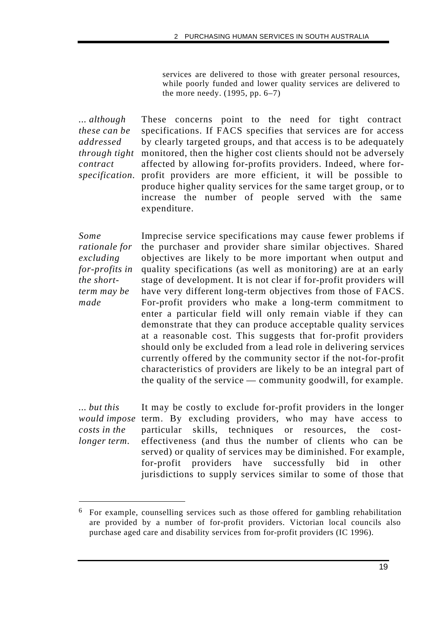services are delivered to those with greater personal resources, while poorly funded and lower quality services are delivered to the more needy. (1995, pp. 6–7)

*... although these can be addressed through tight contract specification.*

These concerns point to the need for tight contract specifications. If FACS specifies that services are for access by clearly targeted groups, and that access is to be adequately monitored, then the higher cost clients should not be adversely affected by allowing for-profits providers. Indeed, where forprofit providers are more efficient, it will be possible to produce higher quality services for the same target group, or to increase the number of people served with the same expenditure.

*Some rationale for excluding for-profits in the shortterm may be made*

Imprecise service specifications may cause fewer problems if the purchaser and provider share similar objectives. Shared objectives are likely to be more important when output and quality specifications (as well as monitoring) are at an early stage of development. It is not clear if for-profit providers will have very different long-term objectives from those of FACS. For-profit providers who make a long-term commitment to enter a particular field will only remain viable if they can demonstrate that they can produce acceptable quality services at a reasonable cost. This suggests that for-profit providers should only be excluded from a lead role in delivering services currently offered by the community sector if the not-for-profit characteristics of providers are likely to be an integral part of the quality of the service — community goodwill, for example.

*... but this would impose* term. By excluding providers, who may have access to *costs in the longer term.* It may be costly to exclude for-profit providers in the longer particular skills, techniques or resources, the costeffectiveness (and thus the number of clients who can be served) or quality of services may be diminished. For example, for-profit providers have successfully bid in other jurisdictions to supply services similar to some of those that

<sup>6</sup> For example, counselling services such as those offered for gambling rehabilitation are provided by a number of for-profit providers. Victorian local councils also purchase aged care and disability services from for-profit providers (IC 1996).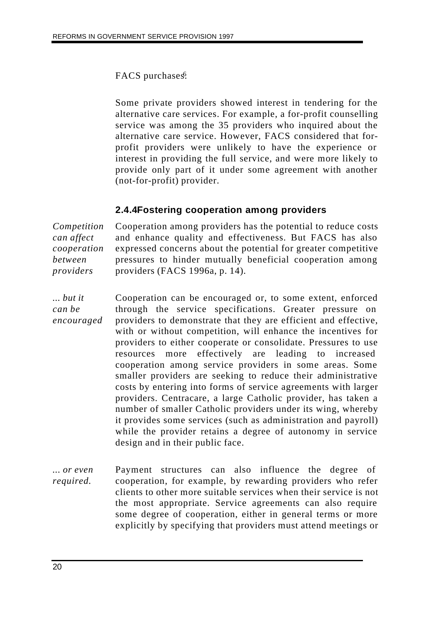#### FACS purchases.

Some private providers showed interest in tendering for the alternative care services. For example, a for-profit counselling service was among the 35 providers who inquired about the alternative care service. However, FACS considered that forprofit providers were unlikely to have the experience or interest in providing the full service, and were more likely to provide only part of it under some agreement with another (not-for-profit) provider.

#### **2.4.4Fostering cooperation among providers**

*Competition can affect cooperation between providers* Cooperation among providers has the potential to reduce costs and enhance quality and effectiveness. But FACS has also expressed concerns about the potential for greater competitive pressures to hinder mutually beneficial cooperation among providers (FACS 1996a, p. 14).

*... but it can be encouraged* Cooperation can be encouraged or, to some extent, enforced through the service specifications. Greater pressure on providers to demonstrate that they are efficient and effective, with or without competition, will enhance the incentives for providers to either cooperate or consolidate. Pressures to use resources more effectively are leading to increased cooperation among service providers in some areas. Some smaller providers are seeking to reduce their administrative costs by entering into forms of service agreements with larger providers. Centracare, a large Catholic provider, has taken a number of smaller Catholic providers under its wing, whereby it provides some services (such as administration and payroll) while the provider retains a degree of autonomy in service design and in their public face.

*... or even required.* Payment structures can also influence the degree of cooperation, for example, by rewarding providers who refer clients to other more suitable services when their service is not the most appropriate. Service agreements can also require some degree of cooperation, either in general terms or more explicitly by specifying that providers must attend meetings or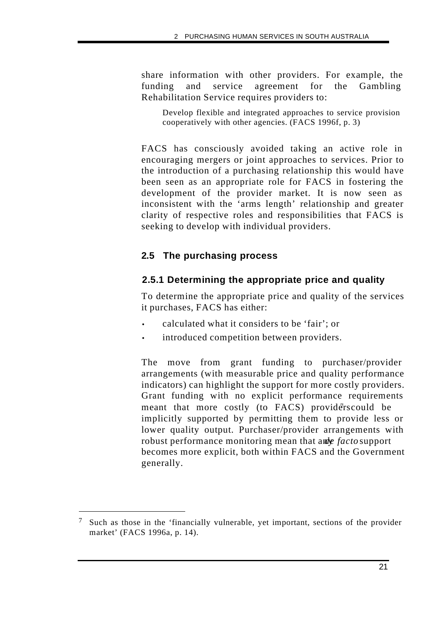share information with other providers. For example, the funding and service agreement for the Gambling Rehabilitation Service requires providers to:

Develop flexible and integrated approaches to service provision cooperatively with other agencies. (FACS 1996f, p. 3)

FACS has consciously avoided taking an active role in encouraging mergers or joint approaches to services. Prior to the introduction of a purchasing relationship this would have been seen as an appropriate role for FACS in fostering the development of the provider market. It is now seen as inconsistent with the 'arms length' relationship and greater clarity of respective roles and responsibilities that FACS is seeking to develop with individual providers.

## **2.5 The purchasing process**

## **2.5.1 Determining the appropriate price and quality**

To determine the appropriate price and quality of the services it purchases, FACS has either:

- calculated what it considers to be 'fair'; or
- introduced competition between providers.

The move from grant funding to purchaser/provider arrangements (with measurable price and quality performance indicators) can highlight the support for more costly providers. Grant funding with no explicit performance requirements meant that more costly (to FACS) providers could be implicitly supported by permitting them to provide less or lower quality output. Purchaser/provider arrangements with robust performance monitoring mean that andy *facto* support becomes more explicit, both within FACS and the Government generally.

<sup>7</sup> Such as those in the 'financially vulnerable, yet important, sections of the provider market' (FACS 1996a, p. 14).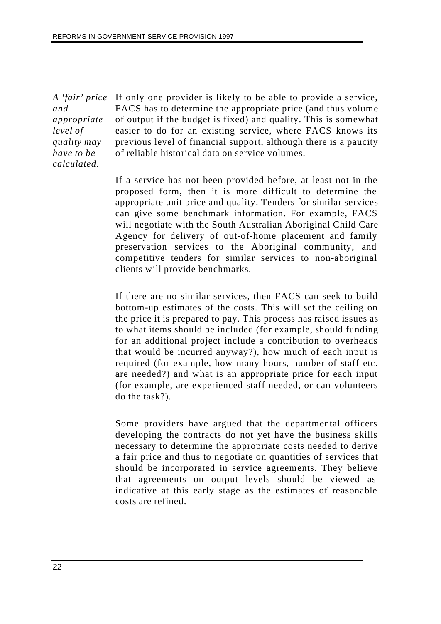*and appropriate level of quality may have to be calculated.*

*A 'fair' price* If only one provider is likely to be able to provide a service, FACS has to determine the appropriate price (and thus volume of output if the budget is fixed) and quality. This is somewhat easier to do for an existing service, where FACS knows its previous level of financial support, although there is a paucity of reliable historical data on service volumes.

> If a service has not been provided before, at least not in the proposed form, then it is more difficult to determine the appropriate unit price and quality. Tenders for similar services can give some benchmark information. For example, FACS will negotiate with the South Australian Aboriginal Child Care Agency for delivery of out-of-home placement and family preservation services to the Aboriginal community, and competitive tenders for similar services to non-aboriginal clients will provide benchmarks.

> If there are no similar services, then FACS can seek to build bottom-up estimates of the costs. This will set the ceiling on the price it is prepared to pay. This process has raised issues as to what items should be included (for example, should funding for an additional project include a contribution to overheads that would be incurred anyway?), how much of each input is required (for example, how many hours, number of staff etc. are needed?) and what is an appropriate price for each input (for example, are experienced staff needed, or can volunteers do the task?).

> Some providers have argued that the departmental officers developing the contracts do not yet have the business skills necessary to determine the appropriate costs needed to derive a fair price and thus to negotiate on quantities of services that should be incorporated in service agreements. They believe that agreements on output levels should be viewed as indicative at this early stage as the estimates of reasonable costs are refined.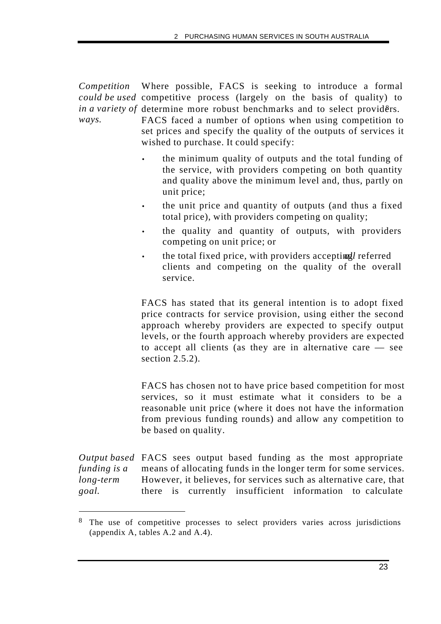*Competition could be used* competitive process (largely on the basis of quality) to in a variety of determine more robust benchmarks and to select providers. *ways.* Where possible, FACS is seeking to introduce a formal

FACS faced a number of options when using competition to set prices and specify the quality of the outputs of services it wished to purchase. It could specify:

- the minimum quality of outputs and the total funding of the service, with providers competing on both quantity and quality above the minimum level and, thus, partly on unit price;
- the unit price and quantity of outputs (and thus a fixed total price), with providers competing on quality;
- the quality and quantity of outputs, with providers competing on unit price; or
- the total fixed price, with providers accepting *l* referred clients and competing on the quality of the overall service.

FACS has stated that its general intention is to adopt fixed price contracts for service provision, using either the second approach whereby providers are expected to specify output levels, or the fourth approach whereby providers are expected to accept all clients (as they are in alternative care — see section 2.5.2).

FACS has chosen not to have price based competition for most services, so it must estimate what it considers to be a reasonable unit price (where it does not have the information from previous funding rounds) and allow any competition to be based on quality.

*Output based* FACS sees output based funding as the most appropriate *funding is a long-term goal.* means of allocating funds in the longer term for some services. However, it believes, for services such as alternative care, that there is currently insufficient information to calculate

<sup>8</sup> The use of competitive processes to select providers varies across jurisdictions (appendix A, tables A.2 and A.4).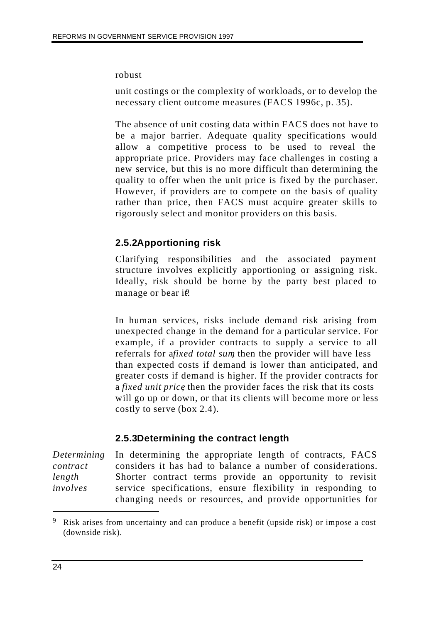#### robust

unit costings or the complexity of workloads, or to develop the necessary client outcome measures (FACS 1996c, p. 35).

The absence of unit costing data within FACS does not have to be a major barrier. Adequate quality specifications would allow a competitive process to be used to reveal the appropriate price. Providers may face challenges in costing a new service, but this is no more difficult than determining the quality to offer when the unit price is fixed by the purchaser. However, if providers are to compete on the basis of quality rather than price, then FACS must acquire greater skills to rigorously select and monitor providers on this basis.

## **2.5.2Apportioning risk**

Clarifying responsibilities and the associated payment structure involves explicitly apportioning or assigning risk. Ideally, risk should be borne by the party best placed to manage or bear if.

In human services, risks include demand risk arising from unexpected change in the demand for a particular service. For example, if a provider contracts to supply a service to all referrals for afixed total sum then the provider will have less than expected costs if demand is lower than anticipated, and greater costs if demand is higher. If the provider contracts for a *fixed unit price*, then the provider faces the risk that its costs will go up or down, or that its clients will become more or less costly to serve (box 2.4).

#### **2.5.3Determining the contract length**

*Determining contract length involves* In determining the appropriate length of contracts, FACS considers it has had to balance a number of considerations. Shorter contract terms provide an opportunity to revisit service specifications, ensure flexibility in responding to changing needs or resources, and provide opportunities for

<sup>&</sup>lt;sup>9</sup> Risk arises from uncertainty and can produce a benefit (upside risk) or impose a cost (downside risk).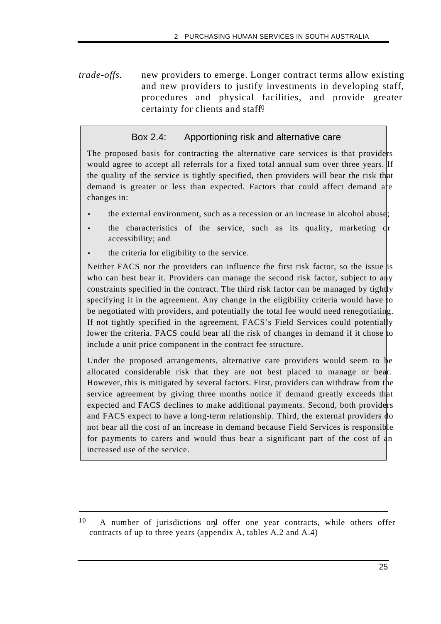*trade-offs.* new providers to emerge. Longer contract terms allow existing and new providers to justify investments in developing staff, procedures and physical facilities, and provide greater certainty for clients and staff?

#### Box 2.4: Apportioning risk and alternative care

The proposed basis for contracting the alternative care services is that providers would agree to accept all referrals for a fixed total annual sum over three years. If the quality of the service is tightly specified, then providers will bear the risk that demand is greater or less than expected. Factors that could affect demand are changes in:

- the external environment, such as a recession or an increase in alcohol abuse;
- the characteristics of the service, such as its quality, marketing or accessibility; and
- the criteria for eligibility to the service.

Neither FACS nor the providers can influence the first risk factor, so the issue is who can best bear it. Providers can manage the second risk factor, subject to any constraints specified in the contract. The third risk factor can be managed by tightly specifying it in the agreement. Any change in the eligibility criteria would have to be negotiated with providers, and potentially the total fee would need renegotiating. If not tightly specified in the agreement, FACS's Field Services could potentially lower the criteria. FACS could bear all the risk of changes in demand if it chose to include a unit price component in the contract fee structure.

Under the proposed arrangements, alternative care providers would seem to be allocated considerable risk that they are not best placed to manage or bear. However, this is mitigated by several factors. First, providers can withdraw from the service agreement by giving three months notice if demand greatly exceeds that expected and FACS declines to make additional payments. Second, both providers and FACS expect to have a long-term relationship. Third, the external providers do not bear all the cost of an increase in demand because Field Services is responsible for payments to carers and would thus bear a significant part of the cost of  $\ln$ increased use of the service.

<sup>&</sup>lt;sup>10</sup> A number of jurisdictions ond offer one year contracts, while others offer contracts of up to three years (appendix A, tables A.2 and A.4)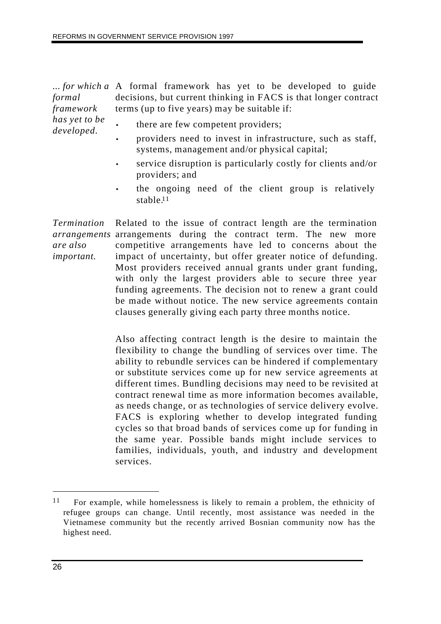*... for which a* A formal framework has yet to be developed to guide *formal framework has yet to be developed.* decisions, but current thinking in FACS is that longer contract terms (up to five years) may be suitable if: there are few competent providers;

- providers need to invest in infrastructure, such as staff, systems, management and/or physical capital;
- service disruption is particularly costly for clients and/or providers; and
- the ongoing need of the client group is relatively stable.11

*Termination arrangements* arrangements during the contract term. The new more *are also important.* Related to the issue of contract length are the termination competitive arrangements have led to concerns about the impact of uncertainty, but offer greater notice of defunding. Most providers received annual grants under grant funding, with only the largest providers able to secure three year funding agreements. The decision not to renew a grant could be made without notice. The new service agreements contain clauses generally giving each party three months notice.

> Also affecting contract length is the desire to maintain the flexibility to change the bundling of services over time. The ability to rebundle services can be hindered if complementary or substitute services come up for new service agreements at different times. Bundling decisions may need to be revisited at contract renewal time as more information becomes available, as needs change, or as technologies of service delivery evolve. FACS is exploring whether to develop integrated funding cycles so that broad bands of services come up for funding in the same year. Possible bands might include services to families, individuals, youth, and industry and development services.

<sup>11</sup> For example, while homelessness is likely to remain a problem, the ethnicity of refugee groups can change. Until recently, most assistance was needed in the Vietnamese community but the recently arrived Bosnian community now has the highest need.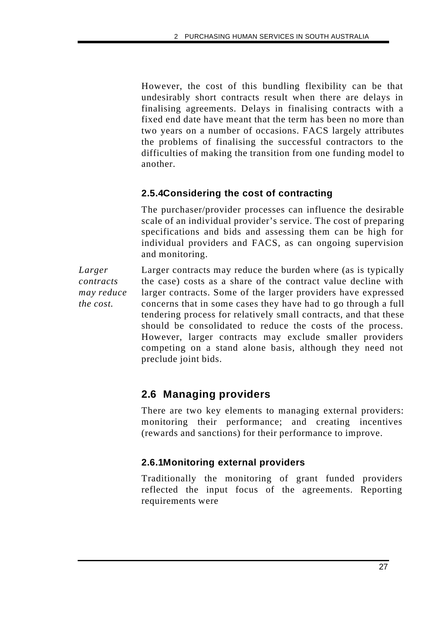However, the cost of this bundling flexibility can be that undesirably short contracts result when there are delays in finalising agreements. Delays in finalising contracts with a fixed end date have meant that the term has been no more than two years on a number of occasions. FACS largely attributes the problems of finalising the successful contractors to the difficulties of making the transition from one funding model to another.

## **2.5.4Considering the cost of contracting**

The purchaser/provider processes can influence the desirable scale of an individual provider's service. The cost of preparing specifications and bids and assessing them can be high for individual providers and FACS, as can ongoing supervision and monitoring.

*Larger contracts may reduce the cost.* Larger contracts may reduce the burden where (as is typically the case) costs as a share of the contract value decline with larger contracts. Some of the larger providers have expressed concerns that in some cases they have had to go through a full tendering process for relatively small contracts, and that these should be consolidated to reduce the costs of the process. However, larger contracts may exclude smaller providers competing on a stand alone basis, although they need not preclude joint bids.

## **2.6 Managing providers**

There are two key elements to managing external providers: monitoring their performance; and creating incentives (rewards and sanctions) for their performance to improve.

## **2.6.1Monitoring external providers**

Traditionally the monitoring of grant funded providers reflected the input focus of the agreements. Reporting requirements were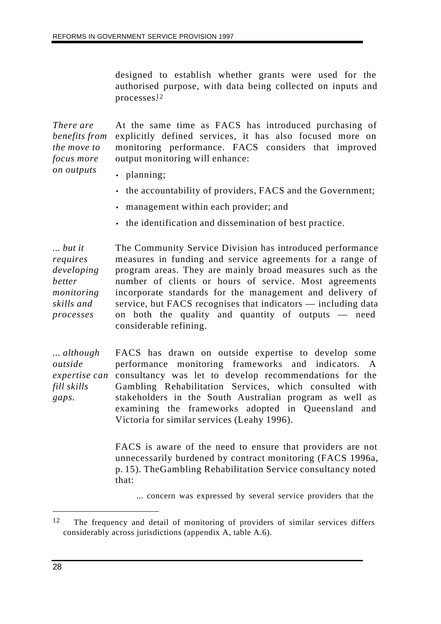designed to establish whether grants were used for the authorised purpose, with data being collected on inputs and processes.12

*There are benefits from the move to focus more* At the same time as FACS has introduced purchasing of explicitly defined services, it has also focused more on monitoring performance. FACS considers that improved output monitoring will enhance:

• planning;

*on outputs*

- the accountability of providers, FACS and the Government;
- management within each provider; and
- the identification and dissemination of best practice.

*... but it requires developing better monitoring skills and processes* The Community Service Division has introduced performance measures in funding and service agreements for a range of program areas. They are mainly broad measures such as the number of clients or hours of service. Most agreements incorporate standards for the management and delivery of service, but FACS recognises that indicators — including data on both the quality and quantity of outputs — need considerable refining.

*... although outside expertise can fill skills gaps.* FACS has drawn on outside expertise to develop some performance monitoring frameworks and indicators. A consultancy was let to develop recommendations for the Gambling Rehabilitation Services, which consulted with stakeholders in the South Australian program as well as examining the frameworks adopted in Queensland and Victoria for similar services (Leahy 1996).

> FACS is aware of the need to ensure that providers are not unnecessarily burdened by contract monitoring (FACS 1996a, p. 15). The Gambling Rehabilitation Service consultancy noted that:

... concern was expressed by several service providers that the

<sup>&</sup>lt;sup>12</sup> The frequency and detail of monitoring of providers of similar services differs considerably across jurisdictions (appendix A, table A.6).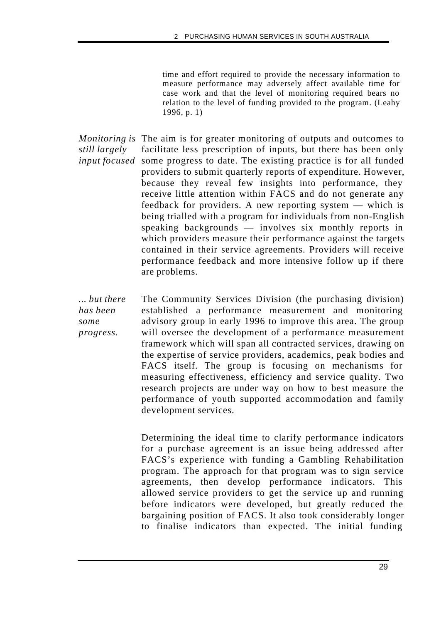time and effort required to provide the necessary information to measure performance may adversely affect available time for case work and that the level of monitoring required bears no relation to the level of funding provided to the program. (Leahy 1996, p. 1)

*Monitoring is* The aim is for greater monitoring of outputs and outcomes to *still largely input focused* some progress to date. The existing practice is for all funded facilitate less prescription of inputs, but there has been only providers to submit quarterly reports of expenditure. However, because they reveal few insights into performance, they receive little attention within FACS and do not generate any feedback for providers. A new reporting system — which is being trialled with a program for individuals from non-English speaking backgrounds — involves six monthly reports in which providers measure their performance against the targets contained in their service agreements. Providers will receive performance feedback and more intensive follow up if there are problems.

*... but there has been some progress.* The Community Services Division (the purchasing division) established a performance measurement and monitoring advisory group in early 1996 to improve this area. The group will oversee the development of a performance measurement framework which will span all contracted services, drawing on the expertise of service providers, academics, peak bodies and FACS itself. The group is focusing on mechanisms for measuring effectiveness, efficiency and service quality. Two research projects are under way on how to best measure the performance of youth supported accommodation and family development services.

> Determining the ideal time to clarify performance indicators for a purchase agreement is an issue being addressed after FACS's experience with funding a Gambling Rehabilitation program. The approach for that program was to sign service agreements, then develop performance indicators. This allowed service providers to get the service up and running before indicators were developed, but greatly reduced the bargaining position of FACS. It also took considerably longer to finalise indicators than expected. The initial funding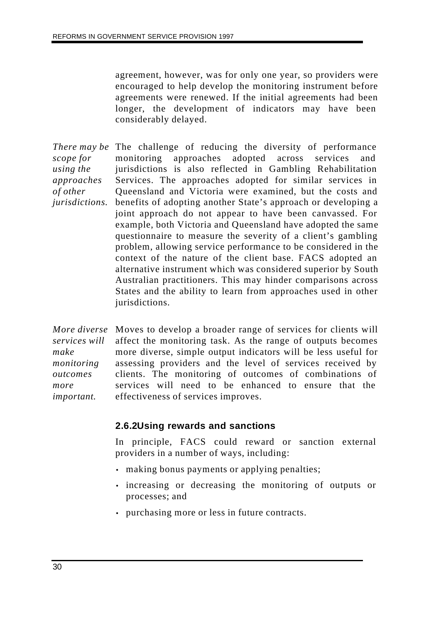agreement, however, was for only one year, so providers were encouraged to help develop the monitoring instrument before agreements were renewed. If the initial agreements had been longer, the development of indicators may have been considerably delayed.

There may be The challenge of reducing the diversity of performance *scope for using the approaches of other jurisdictions.* monitoring approaches adopted across services and jurisdictions is also reflected in Gambling Rehabilitation Services. The approaches adopted for similar services in Queensland and Victoria were examined, but the costs and benefits of adopting another State's approach or developing a joint approach do not appear to have been canvassed. For example, both Victoria and Queensland have adopted the same questionnaire to measure the severity of a client's gambling problem, allowing service performance to be considered in the context of the nature of the client base. FACS adopted an alternative instrument which was considered superior by South Australian practitioners. This may hinder comparisons across States and the ability to learn from approaches used in other jurisdictions.

*More diverse* Moves to develop a broader range of services for clients will *services will make monitoring outcomes more important.* affect the monitoring task. As the range of outputs becomes more diverse, simple output indicators will be less useful for assessing providers and the level of services received by clients. The monitoring of outcomes of combinations of services will need to be enhanced to ensure that the effectiveness of services improves.

#### **2.6.2Using rewards and sanctions**

In principle, FACS could reward or sanction external providers in a number of ways, including:

- making bonus payments or applying penalties;
- increasing or decreasing the monitoring of outputs or processes; and
- purchasing more or less in future contracts.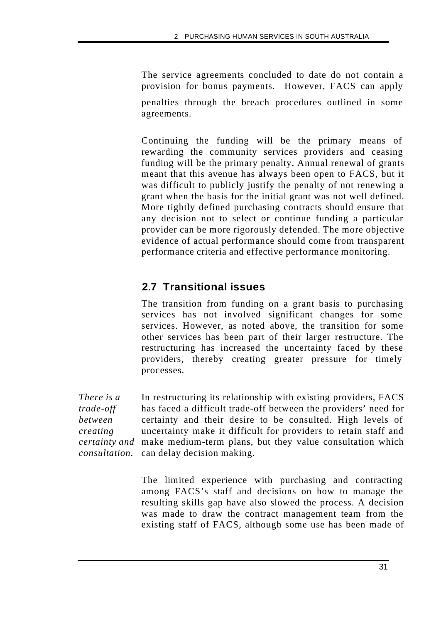The service agreements concluded to date do not contain a provision for bonus payments. However, FACS can apply penalties through the breach procedures outlined in some agreements.

Continuing the funding will be the primary means of rewarding the community services providers and ceasing funding will be the primary penalty. Annual renewal of grants meant that this avenue has always been open to FACS, but it was difficult to publicly justify the penalty of not renewing a grant when the basis for the initial grant was not well defined. More tightly defined purchasing contracts should ensure that any decision not to select or continue funding a particular provider can be more rigorously defended. The more objective evidence of actual performance should come from transparent performance criteria and effective performance monitoring.

# **2.7 Transitional issues**

The transition from funding on a grant basis to purchasing services has not involved significant changes for some services. However, as noted above, the transition for some other services has been part of their larger restructure. The restructuring has increased the uncertainty faced by these providers, thereby creating greater pressure for timely processes.

*There is a trade-off between creating certainty and consultation.* In restructuring its relationship with existing providers, FACS has faced a difficult trade-off between the providers' need for certainty and their desire to be consulted. High levels of uncertainty make it difficult for providers to retain staff and make medium-term plans, but they value consultation which can delay decision making.

> The limited experience with purchasing and contracting among FACS's staff and decisions on how to manage the resulting skills gap have also slowed the process. A decision was made to draw the contract management team from the existing staff of FACS, although some use has been made of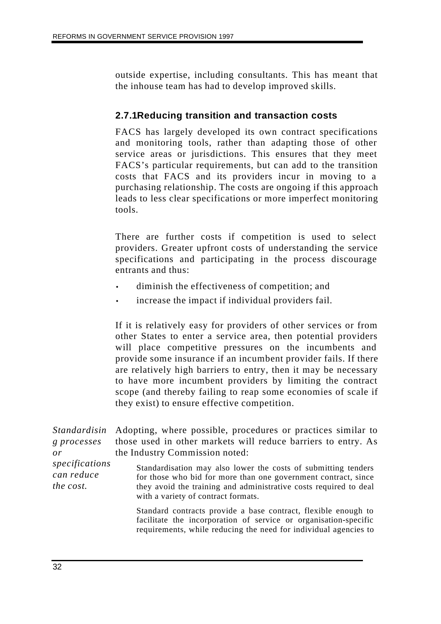outside expertise, including consultants. This has meant that the inhouse team has had to develop improved skills.

#### **2.7.1Reducing transition and transaction costs**

FACS has largely developed its own contract specifications and monitoring tools, rather than adapting those of other service areas or jurisdictions. This ensures that they meet FACS's particular requirements, but can add to the transition costs that FACS and its providers incur in moving to a purchasing relationship. The costs are ongoing if this approach leads to less clear specifications or more imperfect monitoring tools.

There are further costs if competition is used to select providers. Greater upfront costs of understanding the service specifications and participating in the process discourage entrants and thus:

- diminish the effectiveness of competition; and
- increase the impact if individual providers fail.

If it is relatively easy for providers of other services or from other States to enter a service area, then potential providers will place competitive pressures on the incumbents and provide some insurance if an incumbent provider fails. If there are relatively high barriers to entry, then it may be necessary to have more incumbent providers by limiting the contract scope (and thereby failing to reap some economies of scale if they exist) to ensure effective competition.

| <i>Standardisin</i><br>g processes        | Adopting, where possible, procedures or practices similar to<br>those used in other markets will reduce barriers to entry. As                                                                                                                |
|-------------------------------------------|----------------------------------------------------------------------------------------------------------------------------------------------------------------------------------------------------------------------------------------------|
| $\overline{or}$                           | the Industry Commission noted:                                                                                                                                                                                                               |
| specifications<br>can reduce<br>the cost. | Standardisation may also lower the costs of submitting tenders<br>for those who bid for more than one government contract, since<br>they avoid the training and administrative costs required to deal<br>with a variety of contract formats. |
|                                           | Standard contracts provide a base contract, flexible enough to<br>facilitate the incorporation of service or organisation-specific                                                                                                           |

facilitate the incorporation of service or organisation-specific requirements, while reducing the need for individual agencies to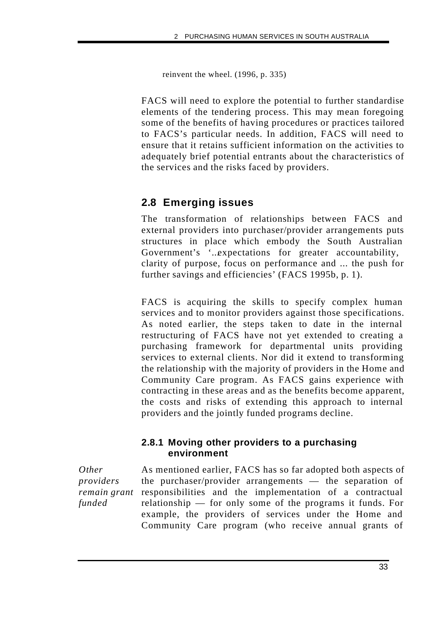reinvent the wheel. (1996, p. 335)

FACS will need to explore the potential to further standardise elements of the tendering process. This may mean foregoing some of the benefits of having procedures or practices tailored to FACS's particular needs. In addition, FACS will need to ensure that it retains sufficient information on the activities to adequately brief potential entrants about the characteristics of the services and the risks faced by providers.

# **2.8 Emerging issues**

The transformation of relationships between FACS and external providers into purchaser/provider arrangements puts structures in place which embody the South Australian Government's '... expectations for greater accountability, clarity of purpose, focus on performance and ... the push for further savings and efficiencies' (FACS 1995b, p. 1).

FACS is acquiring the skills to specify complex human services and to monitor providers against those specifications. As noted earlier, the steps taken to date in the internal restructuring of FACS have not yet extended to creating a purchasing framework for departmental units providing services to external clients. Nor did it extend to transforming the relationship with the majority of providers in the Home and Community Care program. As FACS gains experience with contracting in these areas and as the benefits become apparent, the costs and risks of extending this approach to internal providers and the jointly funded programs decline.

#### **2.8.1 Moving other providers to a purchasing environment**

*Other providers remain grant funded*

As mentioned earlier, FACS has so far adopted both aspects of the purchaser/provider arrangements — the separation of responsibilities and the implementation of a contractual relationship — for only some of the programs it funds. For example, the providers of services under the Home and Community Care program (who receive annual grants of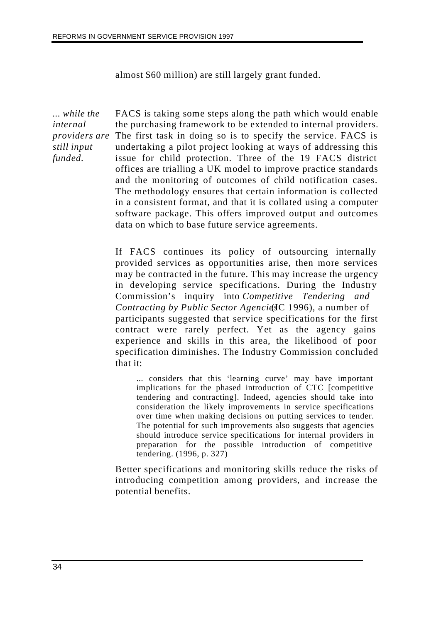almost \$60 million) are still largely grant funded.

*... while the internal still input funded.*

*providers are* The first task in doing so is to specify the service. FACS is FACS is taking some steps along the path which would enable the purchasing framework to be extended to internal providers. undertaking a pilot project looking at ways of addressing this issue for child protection. Three of the 19 FACS district offices are trialling a UK model to improve practice standards and the monitoring of outcomes of child notification cases. The methodology ensures that certain information is collected in a consistent format, and that it is collated using a computer software package. This offers improved output and outcomes data on which to base future service agreements.

> If FACS continues its policy of outsourcing internally provided services as opportunities arise, then more services may be contracted in the future. This may increase the urgency in developing service specifications. During the Industry Commission's inquiry into *Competitive Tendering and Contracting by Public Sector Agencies* (IC 1996), a number of participants suggested that service specifications for the first contract were rarely perfect. Yet as the agency gains experience and skills in this area, the likelihood of poor specification diminishes. The Industry Commission concluded that it:

... considers that this 'learning curve' may have important implications for the phased introduction of CTC [competitive tendering and contracting]. Indeed, agencies should take into consideration the likely improvements in service specifications over time when making decisions on putting services to tender. The potential for such improvements also suggests that agencies should introduce service specifications for internal providers in preparation for the possible introduction of competitive tendering. (1996, p. 327)

Better specifications and monitoring skills reduce the risks of introducing competition among providers, and increase the potential benefits.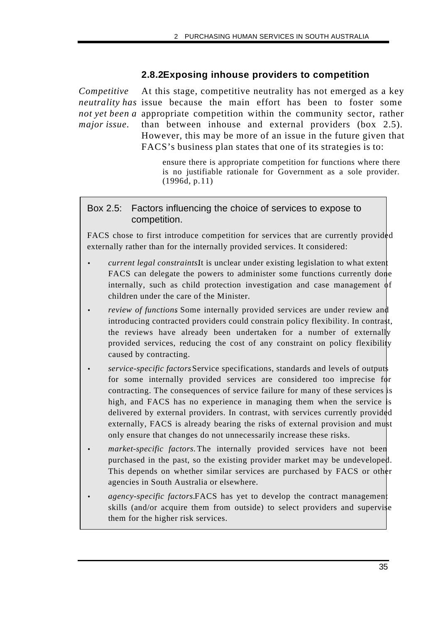### **2.8.2Exposing inhouse providers to competition**

*Competitive neutrality has* issue because the main effort has been to foster some *not yet been a* appropriate competition within the community sector, rather *major issue.* At this stage, competitive neutrality has not emerged as a key than between inhouse and external providers (box 2.5). However, this may be more of an issue in the future given that FACS's business plan states that one of its strategies is to:

> ensure there is appropriate competition for functions where there is no justifiable rationale for Government as a sole provider. (1996d, p. 11)

#### Box 2.5: Factors influencing the choice of services to expose to competition.

FACS chose to first introduce competition for services that are currently provided externally rather than for the internally provided services. It considered:

- *current legal constraintsIt* is unclear under existing legislation to what extent FACS can delegate the powers to administer some functions currently done internally, such as child protection investigation and case management  $\phi f$ children under the care of the Minister.
- *review of functions*. Some internally provided services are under review and introducing contracted providers could constrain policy flexibility. In contrast, the reviews have already been undertaken for a number of externally provided services, reducing the cost of any constraint on policy flexibility caused by contracting.
- *service-specific factors*. Service specifications, standards and levels of outputs for some internally provided services are considered too imprecise for contracting. The consequences of service failure for many of these services is high, and FACS has no experience in managing them when the service is delivered by external providers. In contrast, with services currently provided externally, FACS is already bearing the risks of external provision and must only ensure that changes do not unnecessarily increase these risks.
- *market-specific factors.* The internally provided services have not been purchased in the past, so the existing provider market may be undeveloped. This depends on whether similar services are purchased by FACS or other agencies in South Australia or elsewhere.
- *agency-specific factors.FACS* has yet to develop the contract management skills (and/or acquire them from outside) to select providers and supervise them for the higher risk services.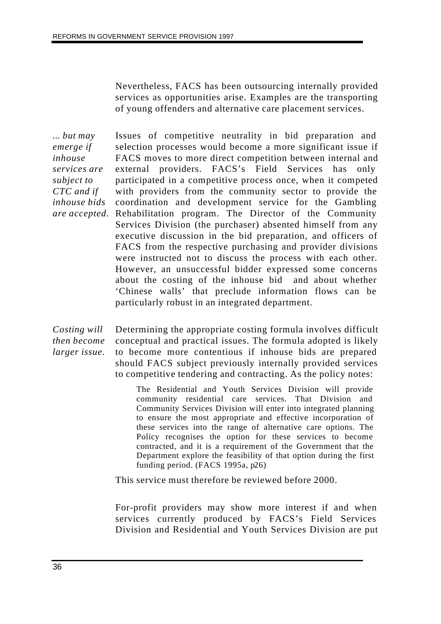Nevertheless, FACS has been outsourcing internally provided services as opportunities arise. Examples are the transporting of young offenders and alternative care placement services.

*... but may emerge if inhouse services are subject to CTC and if inhouse bids are accepted.* Rehabilitation program. The Director of the Community Issues of competitive neutrality in bid preparation and selection processes would become a more significant issue if FACS moves to more direct competition between internal and external providers. FACS's Field Services has only participated in a competitive process once, when it competed with providers from the community sector to provide the coordination and development service for the Gambling Services Division (the purchaser) absented himself from any executive discussion in the bid preparation, and officers of FACS from the respective purchasing and provider divisions were instructed not to discuss the process with each other. However, an unsuccessful bidder expressed some concerns about the costing of the inhouse bid and about whether 'Chinese walls' that preclude information flows can be particularly robust in an integrated department.

*Costing will then become larger issue.* Determining the appropriate costing formula involves difficult conceptual and practical issues. The formula adopted is likely to become more contentious if inhouse bids are prepared should FACS subject previously internally provided services to competitive tendering and contracting. As the policy notes:

> The Residential and Youth Services Division will provide community residential care services. That Division and Community Services Division will enter into integrated planning to ensure the most appropriate and effective incorporation of these services into the range of alternative care options. The Policy recognises the option for these services to become contracted, and it is a requirement of the Government that the Department explore the feasibility of that option during the first funding period. (FACS 1995a,  $p26$ )

This service must therefore be reviewed before 2000.

For-profit providers may show more interest if and when services currently produced by FACS's Field Services Division and Residential and Youth Services Division are put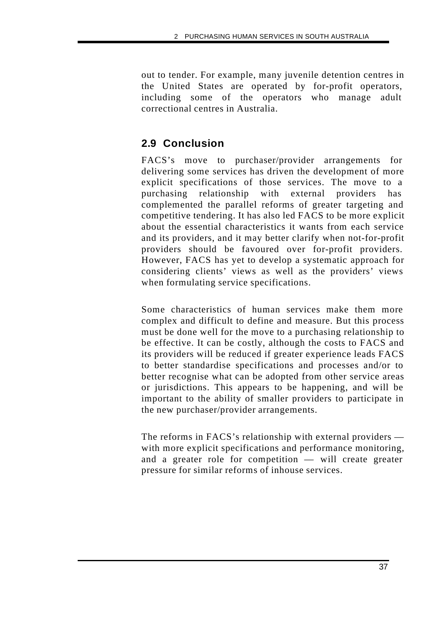out to tender. For example, many juvenile detention centres in the United States are operated by for-profit operators, including some of the operators who manage adult correctional centres in Australia.

# **2.9 Conclusion**

FACS's move to purchaser/provider arrangements for delivering some services has driven the development of more explicit specifications of those services. The move to a purchasing relationship with external providers has complemented the parallel reforms of greater targeting and competitive tendering. It has also led FACS to be more explicit about the essential characteristics it wants from each service and its providers, and it may better clarify when not-for-profit providers should be favoured over for-profit providers. However, FACS has yet to develop a systematic approach for considering clients' views as well as the providers' views when formulating service specifications.

Some characteristics of human services make them more complex and difficult to define and measure. But this process must be done well for the move to a purchasing relationship to be effective. It can be costly, although the costs to FACS and its providers will be reduced if greater experience leads FACS to better standardise specifications and processes and/or to better recognise what can be adopted from other service areas or jurisdictions. This appears to be happening, and will be important to the ability of smaller providers to participate in the new purchaser/provider arrangements.

The reforms in FACS's relationship with external providers with more explicit specifications and performance monitoring, and a greater role for competition — will create greater pressure for similar reforms of inhouse services.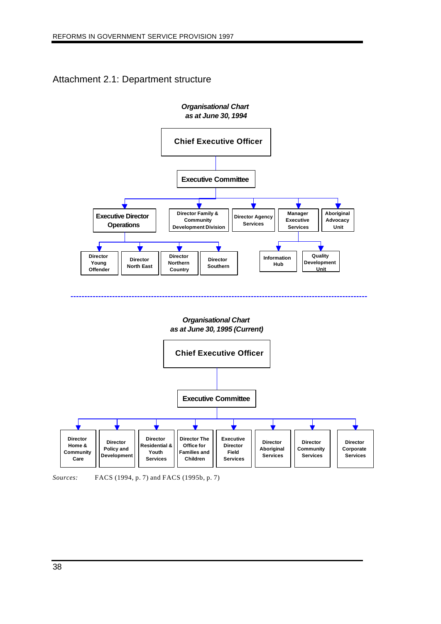

# Attachment 2.1: Department structure

*Sources:* FACS (1994, p. 7) and FACS (1995b, p. 7)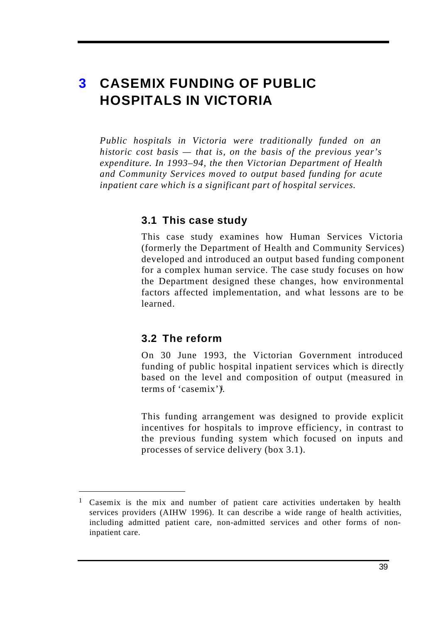# **3 CASEMIX FUNDING OF PUBLIC HOSPITALS IN VICTORIA**

*Public hospitals in Victoria were traditionally funded on an historic cost basis — that is, on the basis of the previous year's expenditure. In 1993–94, the then Victorian Department of Health and Community Services moved to output based funding for acute inpatient care which is a significant part of hospital services.*

## **3.1 This case study**

This case study examines how Human Services Victoria (formerly the Department of Health and Community Services) developed and introduced an output based funding component for a complex human service. The case study focuses on how the Department designed these changes, how environmental factors affected implementation, and what lessons are to be learned.

## **3.2 The reform**

On 30 June 1993, the Victorian Government introduced funding of public hospital inpatient services which is directly based on the level and composition of output (measured in terms of 'casemix').

This funding arrangement was designed to provide explicit incentives for hospitals to improve efficiency, in contrast to the previous funding system which focused on inputs and processes of service delivery (box 3.1).

<sup>&</sup>lt;sup>1</sup> Casemix is the mix and number of patient care activities undertaken by health services providers (AIHW 1996). It can describe a wide range of health activities, including admitted patient care, non-admitted services and other forms of noninpatient care.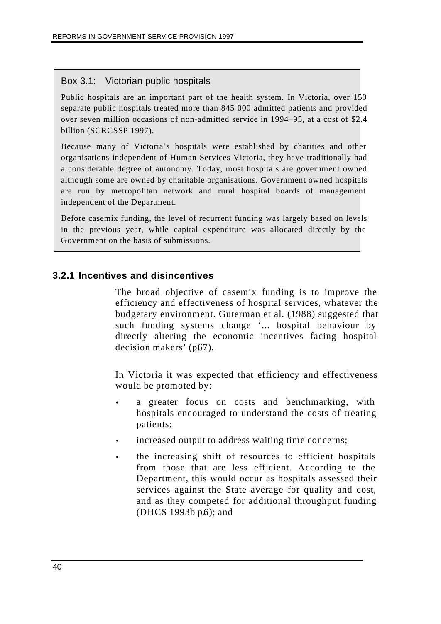#### Box 3.1: Victorian public hospitals

Public hospitals are an important part of the health system. In Victoria, over 150 separate public hospitals treated more than 845 000 admitted patients and provided over seven million occasions of non-admitted service in 1994–95, at a cost of \$2.4 billion (SCRCSSP 1997).

Because many of Victoria's hospitals were established by charities and other organisations independent of Human Services Victoria, they have traditionally had a considerable degree of autonomy. Today, most hospitals are government owned although some are owned by charitable organisations. Government owned hospitals are run by metropolitan network and rural hospital boards of management independent of the Department.

Before casemix funding, the level of recurrent funding was largely based on levels in the previous year, while capital expenditure was allocated directly by the Government on the basis of submissions.

#### **3.2.1 Incentives and disincentives**

The broad objective of casemix funding is to improve the efficiency and effectiveness of hospital services, whatever the budgetary environment. Guterman et al. (1988) suggested that such funding systems change '... hospital behaviour by directly altering the economic incentives facing hospital decision makers'  $(p67)$ .

In Victoria it was expected that efficiency and effectiveness would be promoted by:

- a greater focus on costs and benchmarking, with hospitals encouraged to understand the costs of treating patients;
- increased output to address waiting time concerns;
- the increasing shift of resources to efficient hospitals from those that are less efficient. According to the Department, this would occur as hospitals assessed their services against the State average for quality and cost, and as they competed for additional throughput funding (DHCS 1993b  $p6$ ); and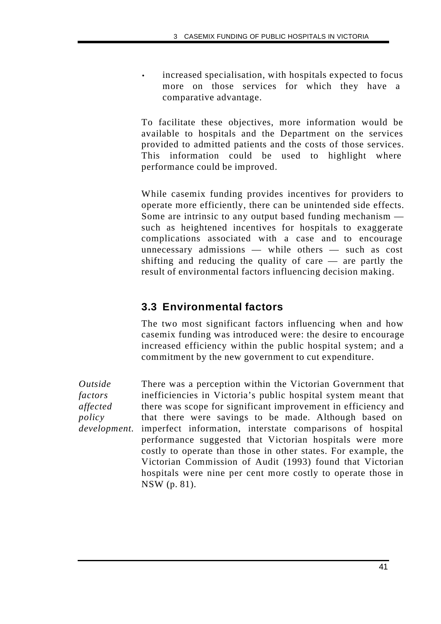increased specialisation, with hospitals expected to focus more on those services for which they have a comparative advantage.

To facilitate these objectives, more information would be available to hospitals and the Department on the services provided to admitted patients and the costs of those services. This information could be used to highlight where performance could be improved.

While casemix funding provides incentives for providers to operate more efficiently, there can be unintended side effects. Some are intrinsic to any output based funding mechanism such as heightened incentives for hospitals to exaggerate complications associated with a case and to encourage unnecessary admissions — while others — such as cost shifting and reducing the quality of care  $-$  are partly the result of environmental factors influencing decision making.

# **3.3 Environmental factors**

The two most significant factors influencing when and how casemix funding was introduced were: the desire to encourage increased efficiency within the public hospital system; and a commitment by the new government to cut expenditure.

*Outside factors affected policy development.* There was a perception within the Victorian Government that inefficiencies in Victoria's public hospital system meant that there was scope for significant improvement in efficiency and that there were savings to be made. Although based on imperfect information, interstate comparisons of hospital performance suggested that Victorian hospitals were more costly to operate than those in other states. For example, the Victorian Commission of Audit (1993) found that Victorian hospitals were nine per cent more costly to operate those in NSW (p. 81).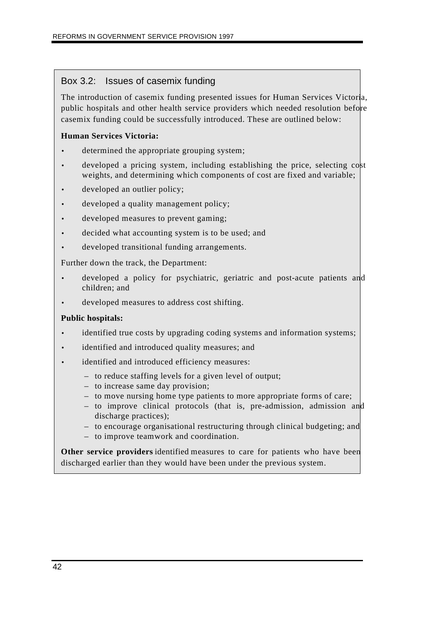#### Box 3.2: Issues of casemix funding

The introduction of casemix funding presented issues for Human Services Victoria, public hospitals and other health service providers which needed resolution before casemix funding could be successfully introduced. These are outlined below:

#### **Human Services Victoria:**

- determined the appropriate grouping system;
- developed a pricing system, including establishing the price, selecting cost weights, and determining which components of cost are fixed and variable;
- developed an outlier policy;
- developed a quality management policy;
- developed measures to prevent gaming;
- decided what accounting system is to be used; and
- developed transitional funding arrangements.

Further down the track, the Department:

- developed a policy for psychiatric, geriatric and post-acute patients and children; and
- developed measures to address cost shifting.

#### **Public hospitals:**

- identified true costs by upgrading coding systems and information systems;
- identified and introduced quality measures; and
- identified and introduced efficiency measures:
	- to reduce staffing levels for a given level of output;
	- to increase same day provision;
	- to move nursing home type patients to more appropriate forms of care;
	- to improve clinical protocols (that is, pre-admission, admission and discharge practices);
	- to encourage organisational restructuring through clinical budgeting; and
	- to improve teamwork and coordination.

**Other service providers** identified measures to care for patients who have been discharged earlier than they would have been under the previous system.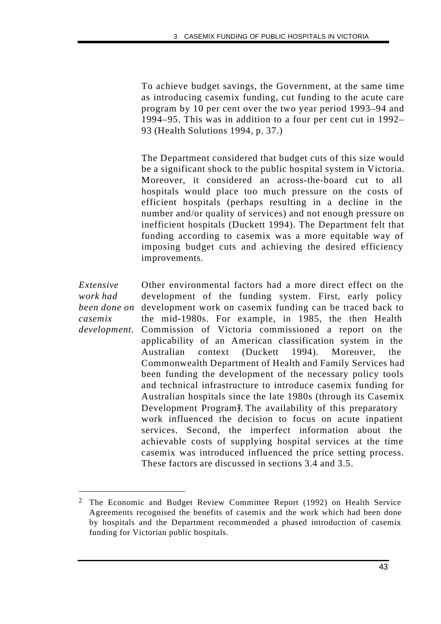To achieve budget savings, the Government, at the same time as introducing casemix funding, cut funding to the acute care program by 10 per cent over the two year period 1993–94 and 1994–95. This was in addition to a four per cent cut in 1992– 93 (Health Solutions 1994, p. 37.)

The Department considered that budget cuts of this size would be a significant shock to the public hospital system in Victoria. Moreover, it considered an across-the-board cut to all hospitals would place too much pressure on the costs of efficient hospitals (perhaps resulting in a decline in the number and/or quality of services) and not enough pressure on inefficient hospitals (Duckett 1994). The Department felt that funding according to casemix was a more equitable way of imposing budget cuts and achieving the desired efficiency improvements.

*Extensive work had been done on casemix development.* Other environmental factors had a more direct effect on the development of the funding system. First, early policy development work on casemix funding can be traced back to the mid-1980s. For example, in 1985, the then Health Commission of Victoria commissioned a report on the applicability of an American classification system in the Australian context (Duckett 1994). Moreover, the Commonwealth Department of Health and Family Services had been funding the development of the necessary policy tools and technical infrastructure to introduce casemix funding for Australian hospitals since the late 1980s (through its Casemix Development Program<sup>3</sup>. The availability of this preparatory work influenced the decision to focus on acute inpatient services. Second, the imperfect information about the achievable costs of supplying hospital services at the time casemix was introduced influenced the price setting process. These factors are discussed in sections 3.4 and 3.5.

<sup>2</sup> The Economic and Budget Review Committee Report (1992) on Health Service Agreements recognised the benefits of casemix and the work which had been done by hospitals and the Department recommended a phased introduction of casemix funding for Victorian public hospitals.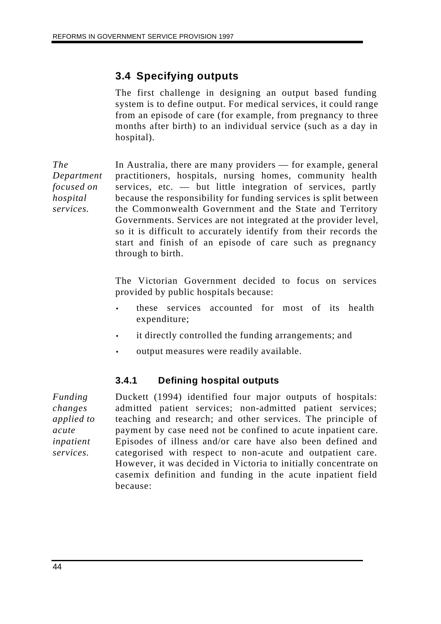## **3.4 Specifying outputs**

The first challenge in designing an output based funding system is to define output. For medical services, it could range from an episode of care (for example, from pregnancy to three months after birth) to an individual service (such as a day in hospital).

*The Department focused on hospital services.* In Australia, there are many providers — for example, general practitioners, hospitals, nursing homes, community health services, etc. — but little integration of services, partly because the responsibility for funding services is split between the Commonwealth Government and the State and Territory Governments. Services are not integrated at the provider level, so it is difficult to accurately identify from their records the start and finish of an episode of care such as pregnancy through to birth.

> The Victorian Government decided to focus on services provided by public hospitals because:

- these services accounted for most of its health expenditure;
- it directly controlled the funding arrangements; and
- output measures were readily available.

## **3.4.1 Defining hospital outputs**

*Funding changes applied to acute inpatient services.*

Duckett (1994) identified four major outputs of hospitals: admitted patient services; non-admitted patient services; teaching and research; and other services. The principle of payment by case need not be confined to acute inpatient care. Episodes of illness and/or care have also been defined and categorised with respect to non-acute and outpatient care. However, it was decided in Victoria to initially concentrate on casemix definition and funding in the acute inpatient field because: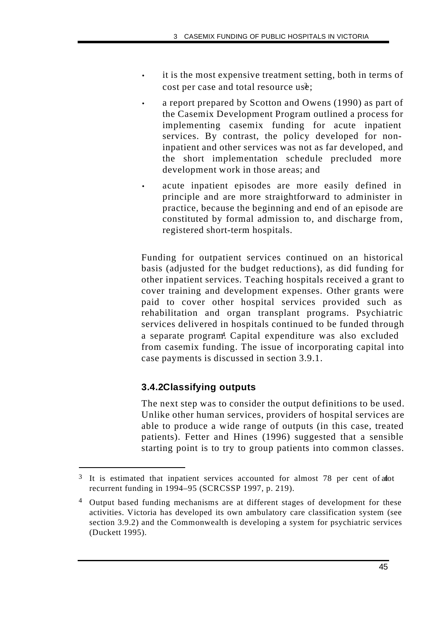- it is the most expensive treatment setting, both in terms of cost per case and total resource us $\hat{e}$ ;
- a report prepared by Scotton and Owens (1990) as part of the Casemix Development Program outlined a process for implementing casemix funding for acute inpatient services. By contrast, the policy developed for noninpatient and other services was not as far developed, and the short implementation schedule precluded more development work in those areas; and
- acute inpatient episodes are more easily defined in principle and are more straightforward to administer in practice, because the beginning and end of an episode are constituted by formal admission to, and discharge from, registered short-term hospitals.

Funding for outpatient services continued on an historical basis (adjusted for the budget reductions), as did funding for other inpatient services. Teaching hospitals received a grant to cover training and development expenses. Other grants were paid to cover other hospital services provided such as rehabilitation and organ transplant programs. Psychiatric services delivered in hospitals continued to be funded through a separate program<sup>4</sup>. Capital expenditure was also excluded from casemix funding. The issue of incorporating capital into case payments is discussed in section 3.9.1.

## **3.4.2Classifying outputs**

j

The next step was to consider the output definitions to be used. Unlike other human services, providers of hospital services are able to produce a wide range of outputs (in this case, treated patients). Fetter and Hines (1996) suggested that a sensible starting point is to try to group patients into common classes.

 $3$  It is estimated that inpatient services accounted for almost 78 per cent of alot recurrent funding in 1994–95 (SCRCSSP 1997, p. 219).

<sup>4</sup> Output based funding mechanisms are at different stages of development for these activities. Victoria has developed its own ambulatory care classification system (see section 3.9.2) and the Commonwealth is developing a system for psychiatric services (Duckett 1995).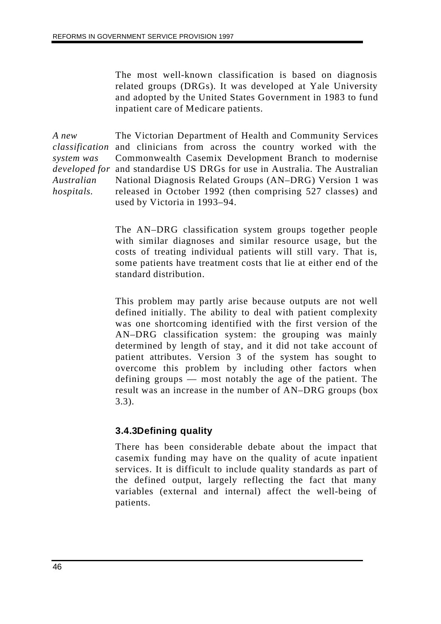The most well-known classification is based on diagnosis related groups (DRGs). It was developed at Yale University and adopted by the United States Government in 1983 to fund inpatient care of Medicare patients.

*A new classification system was developed for* and standardise US DRGs for use in Australia. The Australian *Australian hospitals.* The Victorian Department of Health and Community Services and clinicians from across the country worked with the Commonwealth Casemix Development Branch to modernise National Diagnosis Related Groups (AN–DRG) Version 1 was released in October 1992 (then comprising 527 classes) and used by Victoria in 1993–94.

> The AN–DRG classification system groups together people with similar diagnoses and similar resource usage, but the costs of treating individual patients will still vary. That is, some patients have treatment costs that lie at either end of the standard distribution.

> This problem may partly arise because outputs are not well defined initially. The ability to deal with patient complexity was one shortcoming identified with the first version of the AN–DRG classification system: the grouping was mainly determined by length of stay, and it did not take account of patient attributes. Version 3 of the system has sought to overcome this problem by including other factors when defining groups — most notably the age of the patient. The result was an increase in the number of AN–DRG groups (box 3.3).

## **3.4.3Defining quality**

There has been considerable debate about the impact that casemix funding may have on the quality of acute inpatient services. It is difficult to include quality standards as part of the defined output, largely reflecting the fact that many variables (external and internal) affect the well-being of patients.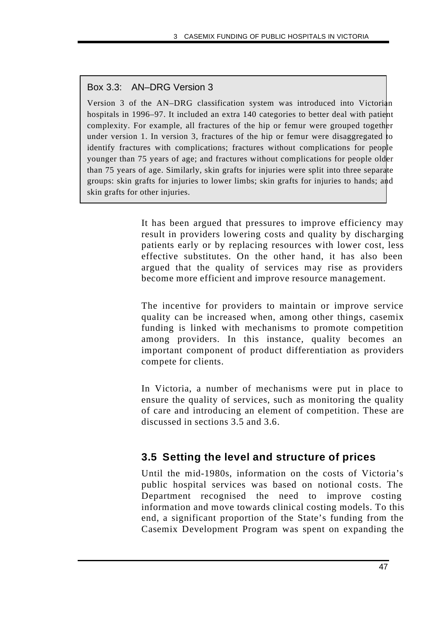## Box 3.3: AN–DRG Version 3

Version 3 of the AN–DRG classification system was introduced into Victorian hospitals in 1996–97. It included an extra 140 categories to better deal with patient complexity. For example, all fractures of the hip or femur were grouped together under version 1. In version 3, fractures of the hip or femur were disaggregated to identify fractures with complications; fractures without complications for people younger than 75 years of age; and fractures without complications for people older than 75 years of age. Similarly, skin grafts for injuries were split into three separate groups: skin grafts for injuries to lower limbs; skin grafts for injuries to hands; and skin grafts for other injuries.

> It has been argued that pressures to improve efficiency may result in providers lowering costs and quality by discharging patients early or by replacing resources with lower cost, less effective substitutes. On the other hand, it has also been argued that the quality of services may rise as providers become more efficient and improve resource management.

> The incentive for providers to maintain or improve service quality can be increased when, among other things, casemix funding is linked with mechanisms to promote competition among providers. In this instance, quality becomes an important component of product differentiation as providers compete for clients.

> In Victoria, a number of mechanisms were put in place to ensure the quality of services, such as monitoring the quality of care and introducing an element of competition. These are discussed in sections 3.5 and 3.6.

# **3.5 Setting the level and structure of prices**

Until the mid-1980s, information on the costs of Victoria's public hospital services was based on notional costs. The Department recognised the need to improve costing information and move towards clinical costing models. To this end, a significant proportion of the State's funding from the Casemix Development Program was spent on expanding the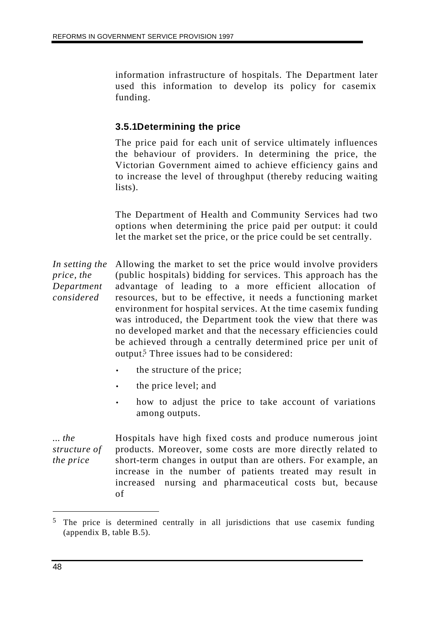information infrastructure of hospitals. The Department later used this information to develop its policy for casemix funding.

#### **3.5.1Determining the price**

The price paid for each unit of service ultimately influences the behaviour of providers. In determining the price, the Victorian Government aimed to achieve efficiency gains and to increase the level of throughput (thereby reducing waiting lists).

The Department of Health and Community Services had two options when determining the price paid per output: it could let the market set the price, or the price could be set centrally.

*In setting the price, the Department considered* Allowing the market to set the price would involve providers (public hospitals) bidding for services. This approach has the advantage of leading to a more efficient allocation of resources, but to be effective, it needs a functioning market environment for hospital services. At the time casemix funding was introduced, the Department took the view that there was no developed market and that the necessary efficiencies could be achieved through a centrally determined price per unit of output.5 Three issues had to be considered:

- the structure of the price;
- the price level; and
- how to adjust the price to take account of variations among outputs.

*... the structure of the price* Hospitals have high fixed costs and produce numerous joint products. Moreover, some costs are more directly related to short-term changes in output than are others. For example, an increase in the number of patients treated may result in increased nursing and pharmaceutical costs but, because of

<sup>&</sup>lt;sup>5</sup> The price is determined centrally in all jurisdictions that use casemix funding (appendix B, table B.5).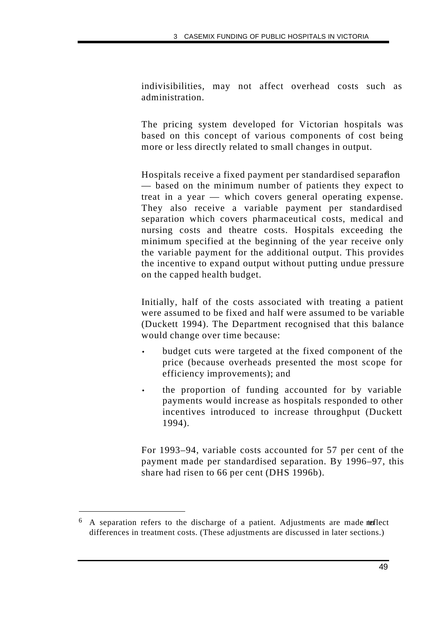indivisibilities, may not affect overhead costs such as administration.

The pricing system developed for Victorian hospitals was based on this concept of various components of cost being more or less directly related to small changes in output.

Hospitals receive a fixed payment per standardised separation — based on the minimum number of patients they expect to treat in a year — which covers general operating expense. They also receive a variable payment per standardised separation which covers pharmaceutical costs, medical and nursing costs and theatre costs. Hospitals exceeding the minimum specified at the beginning of the year receive only the variable payment for the additional output. This provides the incentive to expand output without putting undue pressure on the capped health budget.

Initially, half of the costs associated with treating a patient were assumed to be fixed and half were assumed to be variable (Duckett 1994). The Department recognised that this balance would change over time because:

- budget cuts were targeted at the fixed component of the price (because overheads presented the most scope for efficiency improvements); and
- the proportion of funding accounted for by variable payments would increase as hospitals responded to other incentives introduced to increase throughput (Duckett 1994).

For 1993–94, variable costs accounted for 57 per cent of the payment made per standardised separation. By 1996–97, this share had risen to 66 per cent (DHS 1996b).

 $6$  A separation refers to the discharge of a patient. Adjustments are made neflect differences in treatment costs. (These adjustments are discussed in later sections.)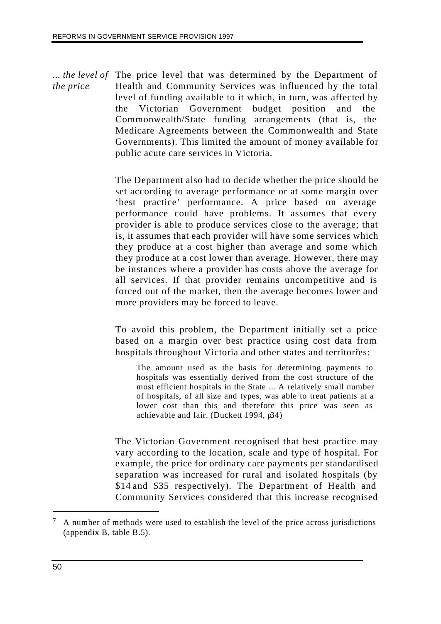*... the level of* The price level that was determined by the Department of *the price* Health and Community Services was influenced by the total level of funding available to it which, in turn, was affected by the Victorian Government budget position and the Commonwealth/State funding arrangements (that is, the Medicare Agreements between the Commonwealth and State Governments). This limited the amount of money available for public acute care services in Victoria.

> The Department also had to decide whether the price should be set according to average performance or at some margin over 'best practice' performance. A price based on average performance could have problems. It assumes that every provider is able to produce services close to the average; that is, it assumes that each provider will have some services which they produce at a cost higher than average and some which they produce at a cost lower than average. However, there may be instances where a provider has costs above the average for all services. If that provider remains uncompetitive and is forced out of the market, then the average becomes lower and more providers may be forced to leave.

> To avoid this problem, the Department initially set a price based on a margin over best practice using cost data from hospitals throughout Victoria and other states and territories:

The amount used as the basis for determining payments to hospitals was essentially derived from the cost structure of the most efficient hospitals in the State ... A relatively small number of hospitals, of all size and types, was able to treat patients at a lower cost than this and therefore this price was seen as achievable and fair. (Duckett 1994,  $p34$ )

The Victorian Government recognised that best practice may vary according to the location, scale and type of hospital. For example, the price for ordinary care payments per standardised separation was increased for rural and isolated hospitals (by \$14 and \$35 respectively). The Department of Health and Community Services considered that this increase recognised

<sup>7</sup> A number of methods were used to establish the level of the price across jurisdictions (appendix B, table B.5).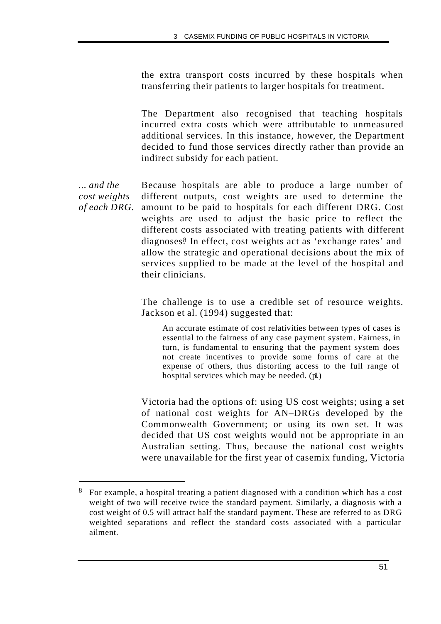the extra transport costs incurred by these hospitals when transferring their patients to larger hospitals for treatment.

The Department also recognised that teaching hospitals incurred extra costs which were attributable to unmeasured additional services. In this instance, however, the Department decided to fund those services directly rather than provide an indirect subsidy for each patient.

*... and the cost weights of each DRG.* Because hospitals are able to produce a large number of different outputs, cost weights are used to determine the amount to be paid to hospitals for each different DRG. Cost weights are used to adjust the basic price to reflect the different costs associated with treating patients with different diagnoses<sup>8</sup> In effect, cost weights act as 'exchange rates' and allow the strategic and operational decisions about the mix of services supplied to be made at the level of the hospital and their clinicians.

> The challenge is to use a credible set of resource weights. Jackson et al. (1994) suggested that:

An accurate estimate of cost relativities between types of cases is essential to the fairness of any case payment system. Fairness, in turn, is fundamental to ensuring that the payment system does not create incentives to provide some forms of care at the expense of others, thus distorting access to the full range of hospital services which may be needed.  $(\text{pl.})$ 

Victoria had the options of: using US cost weights; using a set of national cost weights for AN–DRGs developed by the Commonwealth Government; or using its own set. It was decided that US cost weights would not be appropriate in an Australian setting. Thus, because the national cost weights were unavailable for the first year of casemix funding, Victoria

<sup>8</sup> For example, a hospital treating a patient diagnosed with a condition which has a cost weight of two will receive twice the standard payment. Similarly, a diagnosis with a cost weight of 0.5 will attract half the standard payment. These are referred to as DRG weighted separations and reflect the standard costs associated with a particular ailment.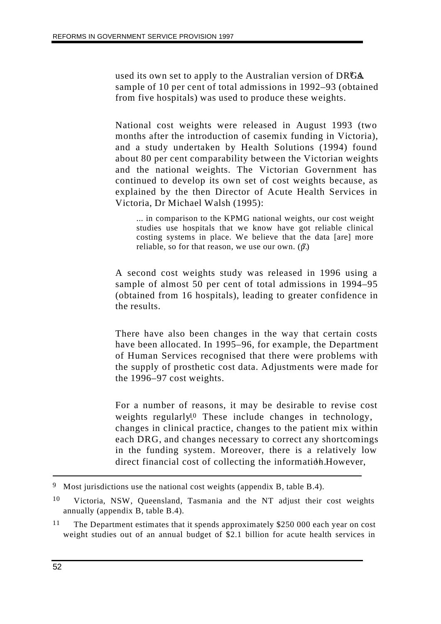used its own set to apply to the Australian version of DRGA sample of 10 per cent of total admissions in 1992–93 (obtained from five hospitals) was used to produce these weights.

National cost weights were released in August 1993 (two months after the introduction of casemix funding in Victoria), and a study undertaken by Health Solutions (1994) found about 80 per cent comparability between the Victorian weights and the national weights. The Victorian Government has continued to develop its own set of cost weights because, as explained by the then Director of Acute Health Services in Victoria, Dr Michael Walsh (1995):

... in comparison to the KPMG national weights, our cost weight studies use hospitals that we know have got reliable clinical costing systems in place. We believe that the data [are] more reliable, so for that reason, we use our own.  $(\vec{p})$ .

A second cost weights study was released in 1996 using a sample of almost 50 per cent of total admissions in 1994–95 (obtained from 16 hospitals), leading to greater confidence in the results.

There have also been changes in the way that certain costs have been allocated. In 1995–96, for example, the Department of Human Services recognised that there were problems with the supply of prosthetic cost data. Adjustments were made for the 1996–97 cost weights.

For a number of reasons, it may be desirable to revise cost weights regularly<sup>10</sup> These include changes in technology, changes in clinical practice, changes to the patient mix within each DRG, and changes necessary to correct any shortcomings in the funding system. Moreover, there is a relatively low direct financial cost of collecting the information. However,

<sup>&</sup>lt;sup>9</sup> Most jurisdictions use the national cost weights (appendix B, table B.4).

<sup>10</sup> Victoria, NSW, Queensland, Tasmania and the NT adjust their cost weights annually (appendix B, table B.4).

<sup>&</sup>lt;sup>11</sup> The Department estimates that it spends approximately \$250 000 each year on cost weight studies out of an annual budget of \$2.1 billion for acute health services in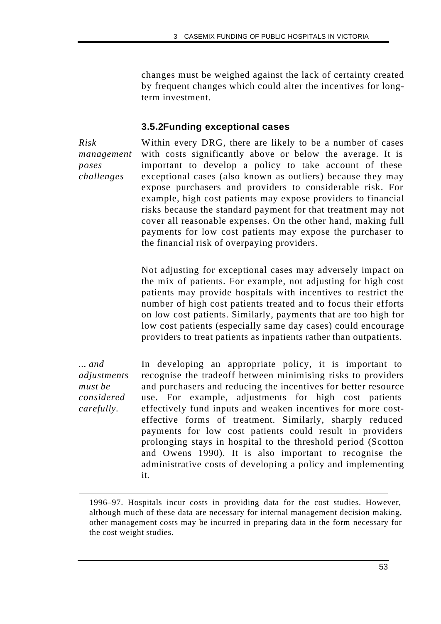changes must be weighed against the lack of certainty created by frequent changes which could alter the incentives for longterm investment.

### **3.5.2Funding exceptional cases**

*Risk management poses challenges* Within every DRG, there are likely to be a number of cases with costs significantly above or below the average. It is important to develop a policy to take account of these exceptional cases (also known as outliers) because they may expose purchasers and providers to considerable risk. For example, high cost patients may expose providers to financial risks because the standard payment for that treatment may not cover all reasonable expenses. On the other hand, making full payments for low cost patients may expose the purchaser to the financial risk of overpaying providers.

> Not adjusting for exceptional cases may adversely impact on the mix of patients. For example, not adjusting for high cost patients may provide hospitals with incentives to restrict the number of high cost patients treated and to focus their efforts on low cost patients. Similarly, payments that are too high for low cost patients (especially same day cases) could encourage providers to treat patients as inpatients rather than outpatients.

*... and adjustments must be considered carefully.* In developing an appropriate policy, it is important to recognise the tradeoff between minimising risks to providers and purchasers and reducing the incentives for better resource use. For example, adjustments for high cost patients effectively fund inputs and weaken incentives for more costeffective forms of treatment. Similarly, sharply reduced payments for low cost patients could result in providers prolonging stays in hospital to the threshold period (Scotton and Owens 1990). It is also important to recognise the administrative costs of developing a policy and implementing it.

1996–97. Hospitals incur costs in providing data for the cost studies. However, although much of these data are necessary for internal management decision making, other management costs may be incurred in preparing data in the form necessary for the cost weight studies.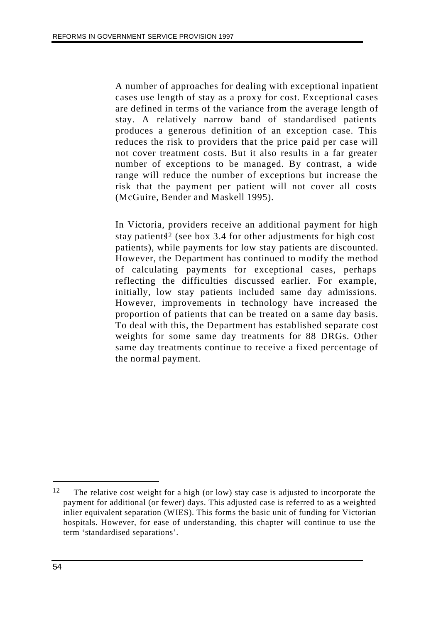A number of approaches for dealing with exceptional inpatient cases use length of stay as a proxy for cost. Exceptional cases are defined in terms of the variance from the average length of stay. A relatively narrow band of standardised patients produces a generous definition of an exception case. This reduces the risk to providers that the price paid per case will not cover treatment costs. But it also results in a far greater number of exceptions to be managed. By contrast, a wide range will reduce the number of exceptions but increase the risk that the payment per patient will not cover all costs (McGuire, Bender and Maskell 1995).

In Victoria, providers receive an additional payment for high stay patients<sup>2</sup> (see box 3.4 for other adjustments for high cost patients), while payments for low stay patients are discounted. However, the Department has continued to modify the method of calculating payments for exceptional cases, perhaps reflecting the difficulties discussed earlier. For example, initially, low stay patients included same day admissions. However, improvements in technology have increased the proportion of patients that can be treated on a same day basis. To deal with this, the Department has established separate cost weights for some same day treatments for 88 DRGs. Other same day treatments continue to receive a fixed percentage of the normal payment.

<sup>&</sup>lt;sup>12</sup> The relative cost weight for a high (or low) stay case is adjusted to incorporate the payment for additional (or fewer) days. This adjusted case is referred to as a weighted inlier equivalent separation (WIES). This forms the basic unit of funding for Victorian hospitals. However, for ease of understanding, this chapter will continue to use the term 'standardised separations'.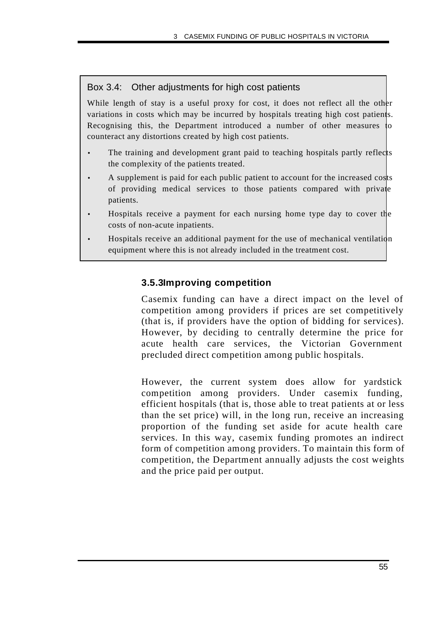### Box 3.4: Other adjustments for high cost patients

While length of stay is a useful proxy for cost, it does not reflect all the other variations in costs which may be incurred by hospitals treating high cost patients. Recognising this, the Department introduced a number of other measures counteract any distortions created by high cost patients.

- The training and development grant paid to teaching hospitals partly reflects the complexity of the patients treated.
- A supplement is paid for each public patient to account for the increased costs of providing medical services to those patients compared with private patients.
- Hospitals receive a payment for each nursing home type day to cover the costs of non-acute inpatients.
- Hospitals receive an additional payment for the use of mechanical ventilation equipment where this is not already included in the treatment cost.

#### **3.5.3Improving competition**

Casemix funding can have a direct impact on the level of competition among providers if prices are set competitively (that is, if providers have the option of bidding for services). However, by deciding to centrally determine the price for acute health care services, the Victorian Government precluded direct competition among public hospitals.

However, the current system does allow for yardstick competition among providers. Under casemix funding, efficient hospitals (that is, those able to treat patients at or less than the set price) will, in the long run, receive an increasing proportion of the funding set aside for acute health care services. In this way, casemix funding promotes an indirect form of competition among providers. To maintain this form of competition, the Department annually adjusts the cost weights and the price paid per output.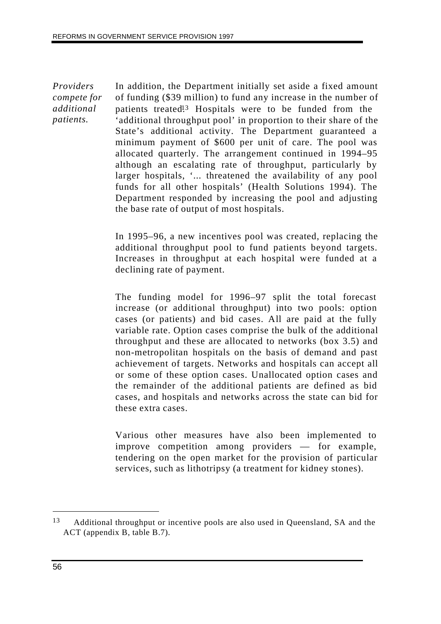*Providers compete for additional patients.*

In addition, the Department initially set aside a fixed amount of funding (\$39 million) to fund any increase in the number of patients treated<sup>13</sup> Hospitals were to be funded from the 'additional throughput pool' in proportion to their share of the State's additional activity. The Department guaranteed a minimum payment of \$600 per unit of care. The pool was allocated quarterly. The arrangement continued in 1994–95 although an escalating rate of throughput, particularly by larger hospitals, '... threatened the availability of any pool funds for all other hospitals' (Health Solutions 1994). The Department responded by increasing the pool and adjusting the base rate of output of most hospitals.

In 1995–96, a new incentives pool was created, replacing the additional throughput pool to fund patients beyond targets. Increases in throughput at each hospital were funded at a declining rate of payment.

The funding model for 1996–97 split the total forecast increase (or additional throughput) into two pools: option cases (or patients) and bid cases. All are paid at the fully variable rate. Option cases comprise the bulk of the additional throughput and these are allocated to networks (box 3.5) and non-metropolitan hospitals on the basis of demand and past achievement of targets. Networks and hospitals can accept all or some of these option cases. Unallocated option cases and the remainder of the additional patients are defined as bid cases, and hospitals and networks across the state can bid for these extra cases.

Various other measures have also been implemented to improve competition among providers — for example, tendering on the open market for the provision of particular services, such as lithotripsy (a treatment for kidney stones).

<sup>13</sup> Additional throughput or incentive pools are also used in Queensland, SA and the ACT (appendix B, table B.7).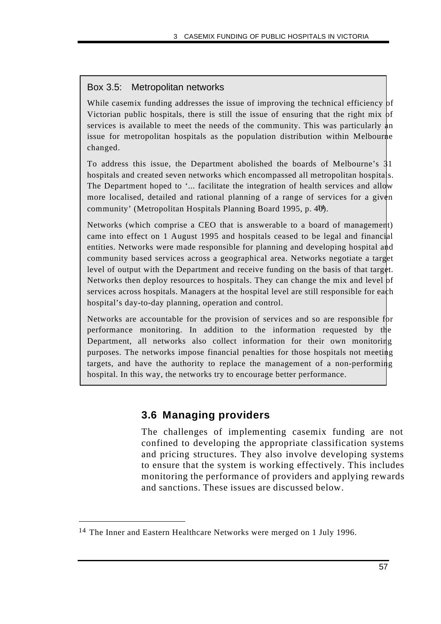## Box 3.5: Metropolitan networks

While casemix funding addresses the issue of improving the technical efficiency of Victorian public hospitals, there is still the issue of ensuring that the right mix of services is available to meet the needs of the community. This was particularly an issue for metropolitan hospitals as the population distribution within Melbourne changed.

To address this issue, the Department abolished the boards of Melbourne's 31 hospitals and created seven networks which encompassed all metropolitan hospitals. The Department hoped to '... facilitate the integration of health services and allow more localised, detailed and rational planning of a range of services for a given community' (Metropolitan Hospitals Planning Board 1995, p. 40).

Networks (which comprise a CEO that is answerable to a board of management) came into effect on 1 August 1995 and hospitals ceased to be legal and financial entities. Networks were made responsible for planning and developing hospital and community based services across a geographical area. Networks negotiate a target level of output with the Department and receive funding on the basis of that target. Networks then deploy resources to hospitals. They can change the mix and level of services across hospitals. Managers at the hospital level are still responsible for each hospital's day-to-day planning, operation and control.

Networks are accountable for the provision of services and so are responsible for performance monitoring. In addition to the information requested by the Department, all networks also collect information for their own monitoring purposes. The networks impose financial penalties for those hospitals not meeting targets, and have the authority to replace the management of a non-performing hospital. In this way, the networks try to encourage better performance.

# **3.6 Managing providers**

The challenges of implementing casemix funding are not confined to developing the appropriate classification systems and pricing structures. They also involve developing systems to ensure that the system is working effectively. This includes monitoring the performance of providers and applying rewards and sanctions. These issues are discussed below.

<sup>14</sup> The Inner and Eastern Healthcare Networks were merged on 1 July 1996.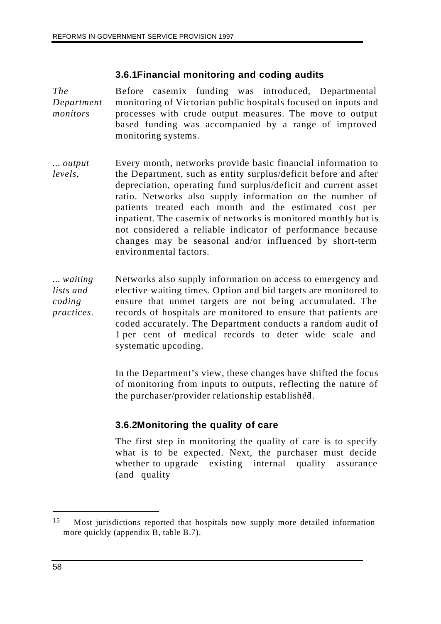## **3.6.1Financial monitoring and coding audits**

*The Department monitors* Before casemix funding was introduced, Departmental monitoring of Victorian public hospitals focused on inputs and processes with crude output measures. The move to output based funding was accompanied by a range of improved monitoring systems.

- *... output levels,* Every month, networks provide basic financial information to the Department, such as entity surplus/deficit before and after depreciation, operating fund surplus/deficit and current asset ratio. Networks also supply information on the number of patients treated each month and the estimated cost per inpatient. The casemix of networks is monitored monthly but is not considered a reliable indicator of performance because changes may be seasonal and/or influenced by short-term environmental factors.
- *... waiting lists and coding practices.* Networks also supply information on access to emergency and elective waiting times. Option and bid targets are monitored to ensure that unmet targets are not being accumulated. The records of hospitals are monitored to ensure that patients are coded accurately. The Department conducts a random audit of 1 per cent of medical records to deter wide scale and systematic upcoding.

In the Department's view, these changes have shifted the focus of monitoring from inputs to outputs, reflecting the nature of the purchaser/provider relationship established.

## **3.6.2Monitoring the quality of care**

The first step in monitoring the quality of care is to specify what is to be expected. Next, the purchaser must decide whether to upgrade existing internal quality assurance (and quality

<sup>15</sup> Most jurisdictions reported that hospitals now supply more detailed information more quickly (appendix B, table B.7).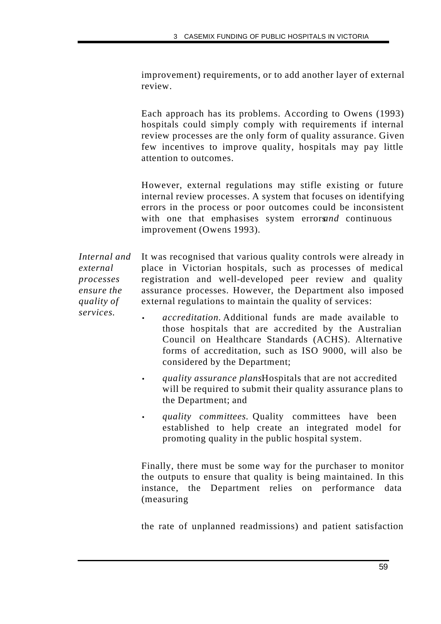improvement) requirements, or to add another layer of external review.

Each approach has its problems. According to Owens (1993) hospitals could simply comply with requirements if internal review processes are the only form of quality assurance. Given few incentives to improve quality, hospitals may pay little attention to outcomes.

However, external regulations may stifle existing or future internal review processes. A system that focuses on identifying errors in the process or poor outcomes could be inconsistent with one that emphasises system errors *and* continuous improvement (Owens 1993).

*Internal and external processes ensure the quality of services.* It was recognised that various quality controls were already in place in Victorian hospitals, such as processes of medical registration and well-developed peer review and quality assurance processes. However, the Department also imposed external regulations to maintain the quality of services:

- *accreditation.* Additional funds are made available to those hospitals that are accredited by the Australian Council on Healthcare Standards (ACHS). Alternative forms of accreditation, such as ISO 9000, will also be considered by the Department;
- *quality assurance plansHospitals that are not accredited* will be required to submit their quality assurance plans to the Department; and
- *quality committees.* Quality committees have been established to help create an integrated model for promoting quality in the public hospital system.

Finally, there must be some way for the purchaser to monitor the outputs to ensure that quality is being maintained. In this instance, the Department relies on performance data (measuring

the rate of unplanned readmissions) and patient satisfaction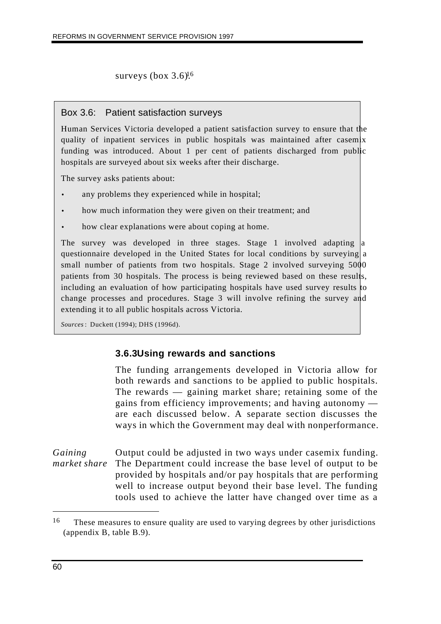surveys (box  $3.6$ )<sup>[6]</sup>.

#### Box 3.6: Patient satisfaction surveys

Human Services Victoria developed a patient satisfaction survey to ensure that the quality of inpatient services in public hospitals was maintained after casemix funding was introduced. About 1 per cent of patients discharged from public hospitals are surveyed about six weeks after their discharge.

The survey asks patients about:

- any problems they experienced while in hospital;
- how much information they were given on their treatment; and
- how clear explanations were about coping at home.

The survey was developed in three stages. Stage 1 involved adapting a questionnaire developed in the United States for local conditions by surveying a small number of patients from two hospitals. Stage 2 involved surveying 5000 patients from 30 hospitals. The process is being reviewed based on these results, including an evaluation of how participating hospitals have used survey results to change processes and procedures. Stage 3 will involve refining the survey and extending it to all public hospitals across Victoria.

*Sources* : Duckett (1994); DHS (1996d).

#### **3.6.3Using rewards and sanctions**

The funding arrangements developed in Victoria allow for both rewards and sanctions to be applied to public hospitals. The rewards — gaining market share; retaining some of the gains from efficiency improvements; and having autonomy are each discussed below. A separate section discusses the ways in which the Government may deal with nonperformance.

*Gaining market share* Output could be adjusted in two ways under casemix funding. The Department could increase the base level of output to be provided by hospitals and/or pay hospitals that are performing well to increase output beyond their base level. The funding tools used to achieve the latter have changed over time as a

<sup>&</sup>lt;sup>16</sup> These measures to ensure quality are used to varying degrees by other jurisdictions (appendix B, table B.9).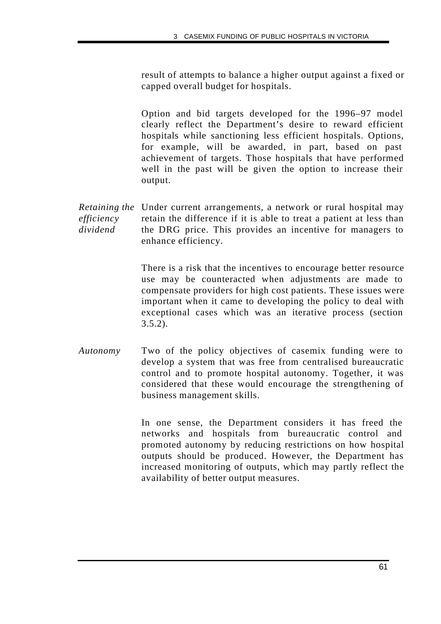result of attempts to balance a higher output against a fixed or capped overall budget for hospitals.

Option and bid targets developed for the 1996–97 model clearly reflect the Department's desire to reward efficient hospitals while sanctioning less efficient hospitals. Options, for example, will be awarded, in part, based on past achievement of targets. Those hospitals that have performed well in the past will be given the option to increase their output.

*Retaining the* Under current arrangements, a network or rural hospital may *efficiency dividend* retain the difference if it is able to treat a patient at less than the DRG price. This provides an incentive for managers to enhance efficiency.

> There is a risk that the incentives to encourage better resource use may be counteracted when adjustments are made to compensate providers for high cost patients. These issues were important when it came to developing the policy to deal with exceptional cases which was an iterative process (section 3.5.2).

*Autonomy* Two of the policy objectives of casemix funding were to develop a system that was free from centralised bureaucratic control and to promote hospital autonomy. Together, it was considered that these would encourage the strengthening of business management skills.

> In one sense, the Department considers it has freed the networks and hospitals from bureaucratic control and promoted autonomy by reducing restrictions on how hospital outputs should be produced. However, the Department has increased monitoring of outputs, which may partly reflect the availability of better output measures.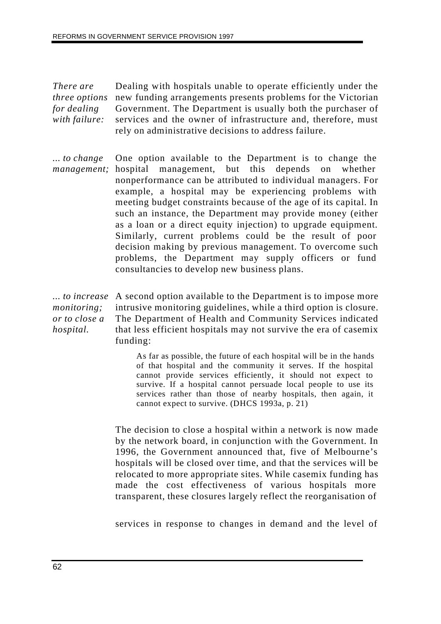*There are three options for dealing with failure:* Dealing with hospitals unable to operate efficiently under the new funding arrangements presents problems for the Victorian Government. The Department is usually both the purchaser of services and the owner of infrastructure and, therefore, must rely on administrative decisions to address failure.

*... to change management;* One option available to the Department is to change the hospital management, but this depends on whether nonperformance can be attributed to individual managers. For example, a hospital may be experiencing problems with meeting budget constraints because of the age of its capital. In such an instance, the Department may provide money (either as a loan or a direct equity injection) to upgrade equipment. Similarly, current problems could be the result of poor decision making by previous management. To overcome such problems, the Department may supply officers or fund consultancies to develop new business plans.

*... to increase* A second option available to the Department is to impose more *monitoring; or to close a hospital.* intrusive monitoring guidelines, while a third option is closure. The Department of Health and Community Services indicated that less efficient hospitals may not survive the era of casemix funding:

> As far as possible, the future of each hospital will be in the hands of that hospital and the community it serves. If the hospital cannot provide services efficiently, it should not expect to survive. If a hospital cannot persuade local people to use its services rather than those of nearby hospitals, then again, it cannot expect to survive. (DHCS 1993a, p. 21)

The decision to close a hospital within a network is now made by the network board, in conjunction with the Government. In 1996, the Government announced that, five of Melbourne's hospitals will be closed over time, and that the services will be relocated to more appropriate sites. While casemix funding has made the cost effectiveness of various hospitals more transparent, these closures largely reflect the reorganisation of

services in response to changes in demand and the level of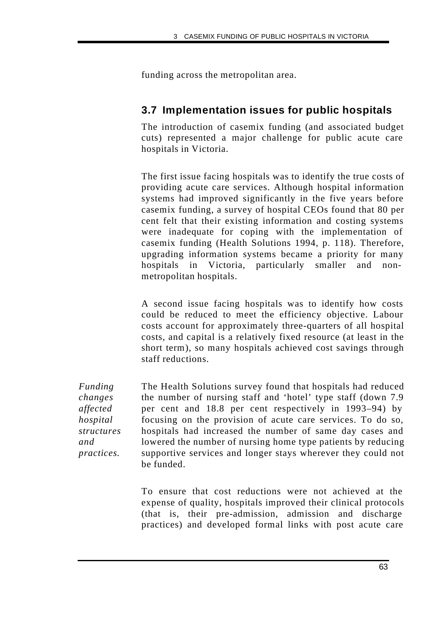funding across the metropolitan area.

## **3.7 Implementation issues for public hospitals**

The introduction of casemix funding (and associated budget cuts) represented a major challenge for public acute care hospitals in Victoria.

The first issue facing hospitals was to identify the true costs of providing acute care services. Although hospital information systems had improved significantly in the five years before casemix funding, a survey of hospital CEOs found that 80 per cent felt that their existing information and costing systems were inadequate for coping with the implementation of casemix funding (Health Solutions 1994, p. 118). Therefore, upgrading information systems became a priority for many hospitals in Victoria, particularly smaller and nonmetropolitan hospitals.

A second issue facing hospitals was to identify how costs could be reduced to meet the efficiency objective. Labour costs account for approximately three-quarters of all hospital costs, and capital is a relatively fixed resource (at least in the short term), so many hospitals achieved cost savings through staff reductions.

*Funding changes affected hospital structures and practices.* The Health Solutions survey found that hospitals had reduced the number of nursing staff and 'hotel' type staff (down 7.9 per cent and 18.8 per cent respectively in 1993–94) by focusing on the provision of acute care services. To do so, hospitals had increased the number of same day cases and lowered the number of nursing home type patients by reducing supportive services and longer stays wherever they could not be funded.

> To ensure that cost reductions were not achieved at the expense of quality, hospitals improved their clinical protocols (that is, their pre-admission, admission and discharge practices) and developed formal links with post acute care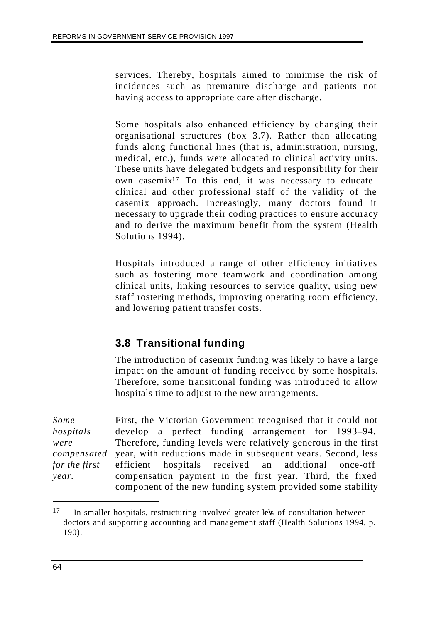services. Thereby, hospitals aimed to minimise the risk of incidences such as premature discharge and patients not having access to appropriate care after discharge.

Some hospitals also enhanced efficiency by changing their organisational structures (box 3.7). Rather than allocating funds along functional lines (that is, administration, nursing, medical, etc.), funds were allocated to clinical activity units. These units have delegated budgets and responsibility for their own casemix<sup>17</sup> To this end, it was necessary to educate clinical and other professional staff of the validity of the casemix approach. Increasingly, many doctors found it necessary to upgrade their coding practices to ensure accuracy and to derive the maximum benefit from the system (Health Solutions 1994).

Hospitals introduced a range of other efficiency initiatives such as fostering more teamwork and coordination among clinical units, linking resources to service quality, using new staff rostering methods, improving operating room efficiency, and lowering patient transfer costs.

# **3.8 Transitional funding**

The introduction of casemix funding was likely to have a large impact on the amount of funding received by some hospitals. Therefore, some transitional funding was introduced to allow hospitals time to adjust to the new arrangements.

*Some hospitals were compensated for the first year.* First, the Victorian Government recognised that it could not develop a perfect funding arrangement for 1993–94. Therefore, funding levels were relatively generous in the first year, with reductions made in subsequent years. Second, less efficient hospitals received an additional once-off compensation payment in the first year. Third, the fixed component of the new funding system provided some stability

 $17$  In smaller hospitals, restructuring involved greater lews of consultation between doctors and supporting accounting and management staff (Health Solutions 1994, p. 190).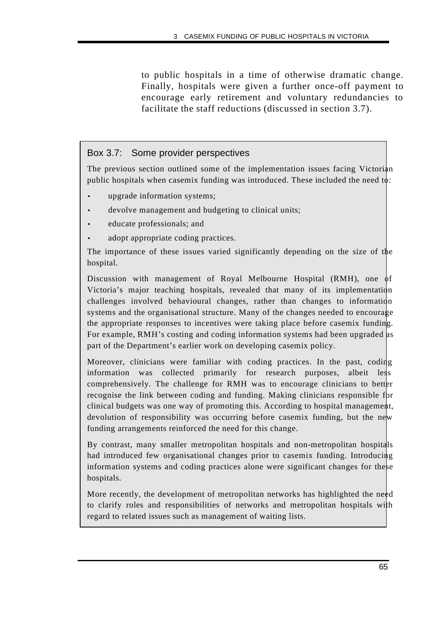to public hospitals in a time of otherwise dramatic change. Finally, hospitals were given a further once-off payment to encourage early retirement and voluntary redundancies to facilitate the staff reductions (discussed in section 3.7).

#### Box 3.7: Some provider perspectives

The previous section outlined some of the implementation issues facing Victorian public hospitals when casemix funding was introduced. These included the need to:

- upgrade information systems;
- devolve management and budgeting to clinical units;
- educate professionals; and
- adopt appropriate coding practices.

The importance of these issues varied significantly depending on the size of the hospital.

Discussion with management of Royal Melbourne Hospital (RMH), one of Victoria's major teaching hospitals, revealed that many of its implementation challenges involved behavioural changes, rather than changes to information systems and the organisational structure. Many of the changes needed to encourage the appropriate responses to incentives were taking place before casemix funding. For example, RMH's costing and coding information systems had been upgraded as part of the Department's earlier work on developing casemix policy.

Moreover, clinicians were familiar with coding practices. In the past, coding information was collected primarily for research purposes, albeit less comprehensively. The challenge for RMH was to encourage clinicians to better recognise the link between coding and funding. Making clinicians responsible for clinical budgets was one way of promoting this. According to hospital management, devolution of responsibility was occurring before casemix funding, but the new funding arrangements reinforced the need for this change.

By contrast, many smaller metropolitan hospitals and non-metropolitan hospitals had introduced few organisational changes prior to casemix funding. Introducing information systems and coding practices alone were significant changes for these hospitals.

More recently, the development of metropolitan networks has highlighted the need to clarify roles and responsibilities of networks and metropolitan hospitals with regard to related issues such as management of waiting lists.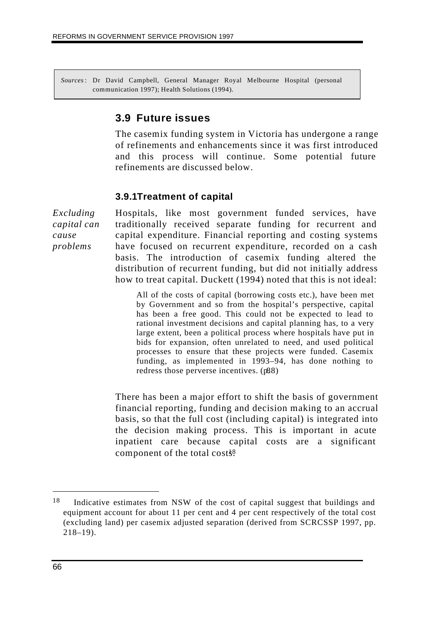*Sources* : Dr David Campbell, General Manager Royal Melbourne Hospital (personal communication 1997); Health Solutions (1994).

### **3.9 Future issues**

The casemix funding system in Victoria has undergone a range of refinements and enhancements since it was first introduced and this process will continue. Some potential future refinements are discussed below.

#### **3.9.1Treatment of capital**

*Excluding capital can cause problems*

Hospitals, like most government funded services, have traditionally received separate funding for recurrent and capital expenditure. Financial reporting and costing systems have focused on recurrent expenditure, recorded on a cash basis. The introduction of casemix funding altered the distribution of recurrent funding, but did not initially address how to treat capital. Duckett (1994) noted that this is not ideal:

> All of the costs of capital (borrowing costs etc.), have been met by Government and so from the hospital's perspective, capital has been a free good. This could not be expected to lead to rational investment decisions and capital planning has, to a very large extent, been a political process where hospitals have put in bids for expansion, often unrelated to need, and used political processes to ensure that these projects were funded. Casemix funding, as implemented in 1993–94, has done nothing to redress those perverse incentives.  $(p88)$

There has been a major effort to shift the basis of government financial reporting, funding and decision making to an accrual basis, so that the full cost (including capital) is integrated into the decision making process. This is important in acute inpatient care because capital costs are a significant component of the total costs?

<sup>18</sup> Indicative estimates from NSW of the cost of capital suggest that buildings and equipment account for about 11 per cent and 4 per cent respectively of the total cost (excluding land) per casemix adjusted separation (derived from SCRCSSP 1997, pp. 218–19).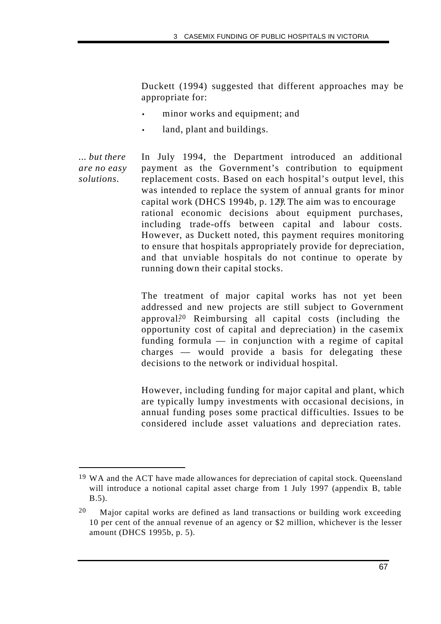Duckett (1994) suggested that different approaches may be appropriate for:

- minor works and equipment; and
- land, plant and buildings.

*... but there are no easy solutions.* In July 1994, the Department introduced an additional payment as the Government's contribution to equipment replacement costs. Based on each hospital's output level, this was intended to replace the system of annual grants for minor capital work (DHCS 1994b, p. 12<sup>p</sup>). The aim was to encourage rational economic decisions about equipment purchases, including trade-offs between capital and labour costs. However, as Duckett noted, this payment requires monitoring to ensure that hospitals appropriately provide for depreciation, and that unviable hospitals do not continue to operate by running down their capital stocks.

> The treatment of major capital works has not yet been addressed and new projects are still subject to Government approval.20 Reimbursing all capital costs (including the opportunity cost of capital and depreciation) in the casemix funding formula — in conjunction with a regime of capital charges — would provide a basis for delegating these decisions to the network or individual hospital.

> However, including funding for major capital and plant, which are typically lumpy investments with occasional decisions, in annual funding poses some practical difficulties. Issues to be considered include asset valuations and depreciation rates.

j

<sup>&</sup>lt;sup>19</sup> WA and the ACT have made allowances for depreciation of capital stock. Queensland will introduce a notional capital asset charge from 1 July 1997 (appendix B, table B.5).

<sup>20</sup> Major capital works are defined as land transactions or building work exceeding 10 per cent of the annual revenue of an agency or \$2 million, whichever is the lesser amount (DHCS 1995b, p. 5).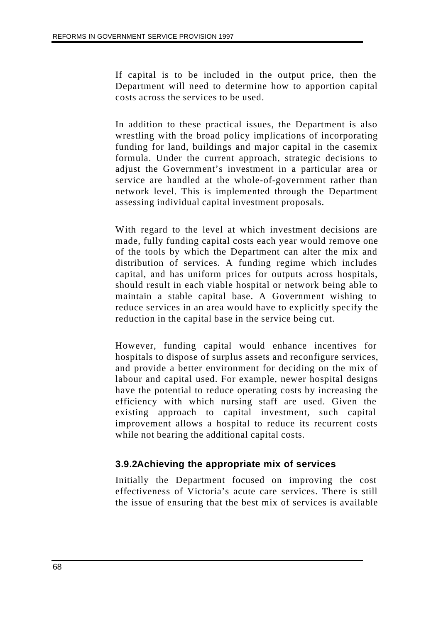If capital is to be included in the output price, then the Department will need to determine how to apportion capital costs across the services to be used.

In addition to these practical issues, the Department is also wrestling with the broad policy implications of incorporating funding for land, buildings and major capital in the casemix formula. Under the current approach, strategic decisions to adjust the Government's investment in a particular area or service are handled at the whole-of-government rather than network level. This is implemented through the Department assessing individual capital investment proposals.

With regard to the level at which investment decisions are made, fully funding capital costs each year would remove one of the tools by which the Department can alter the mix and distribution of services. A funding regime which includes capital, and has uniform prices for outputs across hospitals, should result in each viable hospital or network being able to maintain a stable capital base. A Government wishing to reduce services in an area would have to explicitly specify the reduction in the capital base in the service being cut.

However, funding capital would enhance incentives for hospitals to dispose of surplus assets and reconfigure services, and provide a better environment for deciding on the mix of labour and capital used. For example, newer hospital designs have the potential to reduce operating costs by increasing the efficiency with which nursing staff are used. Given the existing approach to capital investment, such capital improvement allows a hospital to reduce its recurrent costs while not bearing the additional capital costs.

#### **3.9.2Achieving the appropriate mix of services**

Initially the Department focused on improving the cost effectiveness of Victoria's acute care services. There is still the issue of ensuring that the best mix of services is available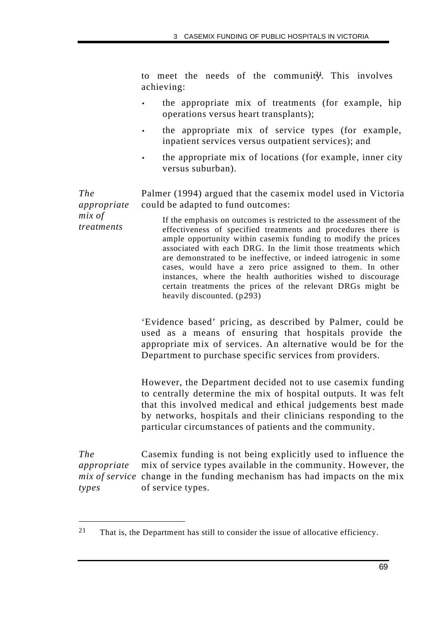to meet the needs of the community. This involves achieving:

- the appropriate mix of treatments (for example, hip operations versus heart transplants);
- the appropriate mix of service types (for example, inpatient services versus outpatient services); and
- the appropriate mix of locations (for example, inner city versus suburban).

*The appropriate* Palmer (1994) argued that the casemix model used in Victoria could be adapted to fund outcomes:

*mix of treatments* If the emphasis on outcomes is restricted to the assessment of the effectiveness of specified treatments and procedures there is ample opportunity within casemix funding to modify the prices associated with each DRG. In the limit those treatments which are demonstrated to be ineffective, or indeed iatrogenic in some cases, would have a zero price assigned to them. In other instances, where the health authorities wished to discourage certain treatments the prices of the relevant DRGs might be heavily discounted.  $(p293)$ 

> 'Evidence based' pricing, as described by Palmer, could be used as a means of ensuring that hospitals provide the appropriate mix of services. An alternative would be for the Department to purchase specific services from providers.

> However, the Department decided not to use casemix funding to centrally determine the mix of hospital outputs. It was felt that this involved medical and ethical judgements best made by networks, hospitals and their clinicians responding to the particular circumstances of patients and the community.

*The appropriate mix of service* change in the funding mechanism has had impacts on the mix *types* Casemix funding is not being explicitly used to influence the mix of service types available in the community. However, the of service types.

<sup>21</sup> That is, the Department has still to consider the issue of allocative efficiency.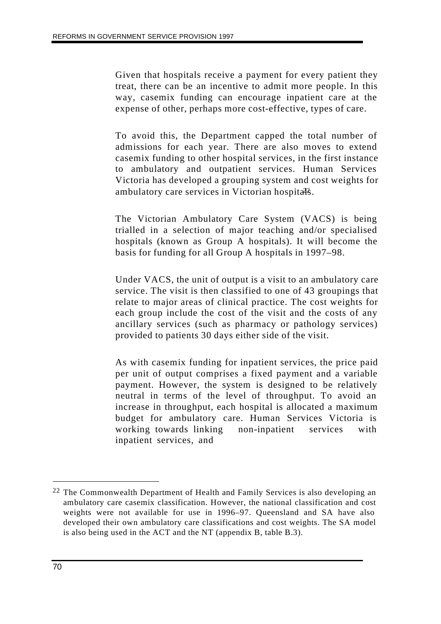Given that hospitals receive a payment for every patient they treat, there can be an incentive to admit more people. In this way, casemix funding can encourage inpatient care at the expense of other, perhaps more cost-effective, types of care.

To avoid this, the Department capped the total number of admissions for each year. There are also moves to extend casemix funding to other hospital services, in the first instance to ambulatory and outpatient services. Human Services Victoria has developed a grouping system and cost weights for ambulatory care services in Victorian hospitals.

The Victorian Ambulatory Care System (VACS) is being trialled in a selection of major teaching and/or specialised hospitals (known as Group A hospitals). It will become the basis for funding for all Group A hospitals in 1997–98.

Under VACS, the unit of output is a visit to an ambulatory care service. The visit is then classified to one of 43 groupings that relate to major areas of clinical practice. The cost weights for each group include the cost of the visit and the costs of any ancillary services (such as pharmacy or pathology services) provided to patients 30 days either side of the visit.

As with casemix funding for inpatient services, the price paid per unit of output comprises a fixed payment and a variable payment. However, the system is designed to be relatively neutral in terms of the level of throughput. To avoid an increase in throughput, each hospital is allocated a maximum budget for ambulatory care. Human Services Victoria is working towards linking non-inpatient services with inpatient services, and

<sup>&</sup>lt;sup>22</sup> The Commonwealth Department of Health and Family Services is also developing an ambulatory care casemix classification. However, the national classification and cost weights were not available for use in 1996–97. Queensland and SA have also developed their own ambulatory care classifications and cost weights. The SA model is also being used in the ACT and the NT (appendix B, table B.3).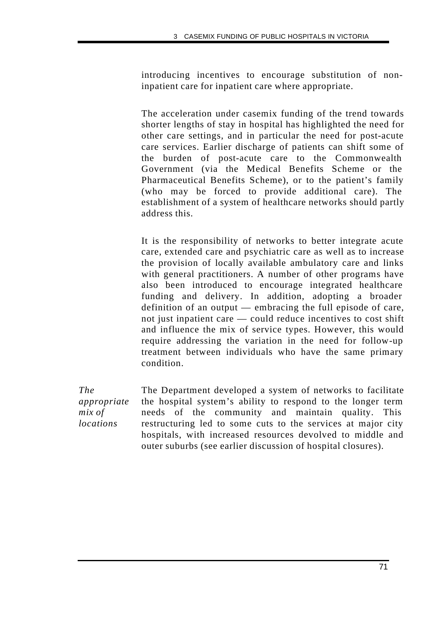introducing incentives to encourage substitution of noninpatient care for inpatient care where appropriate.

The acceleration under casemix funding of the trend towards shorter lengths of stay in hospital has highlighted the need for other care settings, and in particular the need for post-acute care services. Earlier discharge of patients can shift some of the burden of post-acute care to the Commonwealth Government (via the Medical Benefits Scheme or the Pharmaceutical Benefits Scheme), or to the patient's family (who may be forced to provide additional care). The establishment of a system of healthcare networks should partly address this.

It is the responsibility of networks to better integrate acute care, extended care and psychiatric care as well as to increase the provision of locally available ambulatory care and links with general practitioners. A number of other programs have also been introduced to encourage integrated healthcare funding and delivery. In addition, adopting a broader definition of an output — embracing the full episode of care, not just inpatient care — could reduce incentives to cost shift and influence the mix of service types. However, this would require addressing the variation in the need for follow-up treatment between individuals who have the same primary condition.

*The appropriate mix of locations*

The Department developed a system of networks to facilitate the hospital system's ability to respond to the longer term needs of the community and maintain quality. This restructuring led to some cuts to the services at major city hospitals, with increased resources devolved to middle and outer suburbs (see earlier discussion of hospital closures).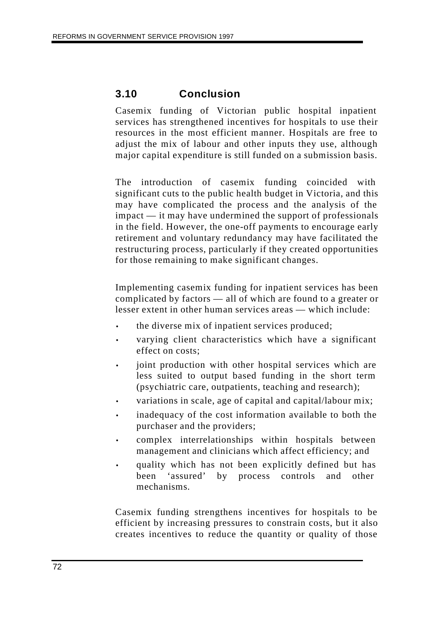# **3.10 Conclusion**

Casemix funding of Victorian public hospital inpatient services has strengthened incentives for hospitals to use their resources in the most efficient manner. Hospitals are free to adjust the mix of labour and other inputs they use, although major capital expenditure is still funded on a submission basis.

The introduction of casemix funding coincided with significant cuts to the public health budget in Victoria, and this may have complicated the process and the analysis of the impact — it may have undermined the support of professionals in the field. However, the one-off payments to encourage early retirement and voluntary redundancy may have facilitated the restructuring process, particularly if they created opportunities for those remaining to make significant changes.

Implementing casemix funding for inpatient services has been complicated by factors — all of which are found to a greater or lesser extent in other human services areas — which include:

- the diverse mix of inpatient services produced;
- varying client characteristics which have a significant effect on costs;
- joint production with other hospital services which are less suited to output based funding in the short term (psychiatric care, outpatients, teaching and research);
- variations in scale, age of capital and capital/labour mix;
- inadequacy of the cost information available to both the purchaser and the providers;
- complex interrelationships within hospitals between management and clinicians which affect efficiency; and
- quality which has not been explicitly defined but has been 'assured' by process controls and other mechanisms.

Casemix funding strengthens incentives for hospitals to be efficient by increasing pressures to constrain costs, but it also creates incentives to reduce the quantity or quality of those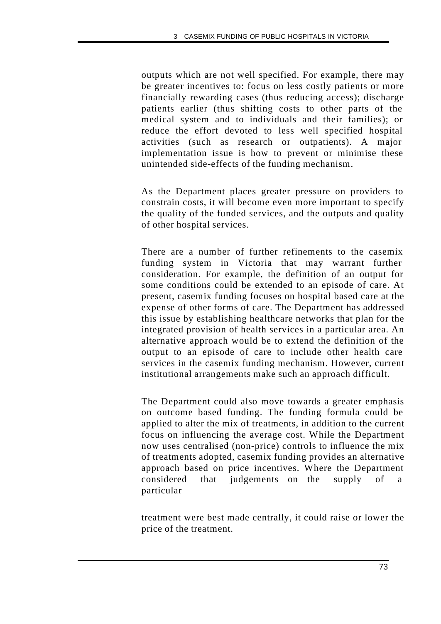outputs which are not well specified. For example, there may be greater incentives to: focus on less costly patients or more financially rewarding cases (thus reducing access); discharge patients earlier (thus shifting costs to other parts of the medical system and to individuals and their families); or reduce the effort devoted to less well specified hospital activities (such as research or outpatients). A major implementation issue is how to prevent or minimise these unintended side-effects of the funding mechanism.

As the Department places greater pressure on providers to constrain costs, it will become even more important to specify the quality of the funded services, and the outputs and quality of other hospital services.

There are a number of further refinements to the casemix funding system in Victoria that may warrant further consideration. For example, the definition of an output for some conditions could be extended to an episode of care. At present, casemix funding focuses on hospital based care at the expense of other forms of care. The Department has addressed this issue by establishing healthcare networks that plan for the integrated provision of health services in a particular area. An alternative approach would be to extend the definition of the output to an episode of care to include other health care services in the casemix funding mechanism. However, current institutional arrangements make such an approach difficult.

The Department could also move towards a greater emphasis on outcome based funding. The funding formula could be applied to alter the mix of treatments, in addition to the current focus on influencing the average cost. While the Department now uses centralised (non-price) controls to influence the mix of treatments adopted, casemix funding provides an alternative approach based on price incentives. Where the Department considered that judgements on the supply of a particular

treatment were best made centrally, it could raise or lower the price of the treatment.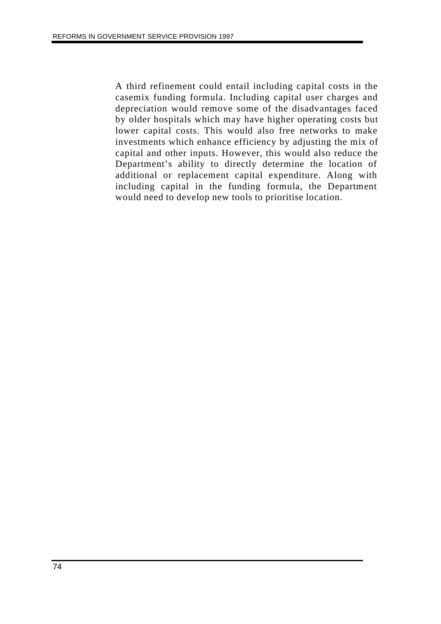A third refinement could entail including capital costs in the casemix funding formula. Including capital user charges and depreciation would remove some of the disadvantages faced by older hospitals which may have higher operating costs but lower capital costs. This would also free networks to make investments which enhance efficiency by adjusting the mix of capital and other inputs. However, this would also reduce the Department's ability to directly determine the location of additional or replacement capital expenditure. Along with including capital in the funding formula, the Department would need to develop new tools to prioritise location.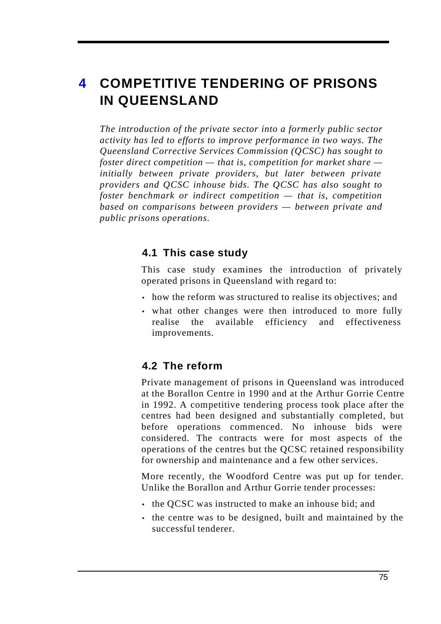# **4 COMPETITIVE TENDERING OF PRISONS IN QUEENSLAND**

*The introduction of the private sector into a formerly public sector activity has led to efforts to improve performance in two ways. The Queensland Corrective Services Commission (QCSC) has sought to foster direct competition — that is, competition for market share initially between private providers, but later between private providers and QCSC inhouse bids. The QCSC has also sought to foster benchmark or indirect competition — that is, competition based on comparisons between providers — between private and public prisons operations.*

## **4.1 This case study**

This case study examines the introduction of privately operated prisons in Queensland with regard to:

- how the reform was structured to realise its objectives; and
- what other changes were then introduced to more fully realise the available efficiency and effectiveness improvements.

# **4.2 The reform**

Private management of prisons in Queensland was introduced at the Borallon Centre in 1990 and at the Arthur Gorrie Centre in 1992. A competitive tendering process took place after the centres had been designed and substantially completed, but before operations commenced. No inhouse bids were considered. The contracts were for most aspects of the operations of the centres but the QCSC retained responsibility for ownership and maintenance and a few other services.

More recently, the Woodford Centre was put up for tender. Unlike the Borallon and Arthur Gorrie tender processes:

- the QCSC was instructed to make an inhouse bid; and
- the centre was to be designed, built and maintained by the successful tenderer.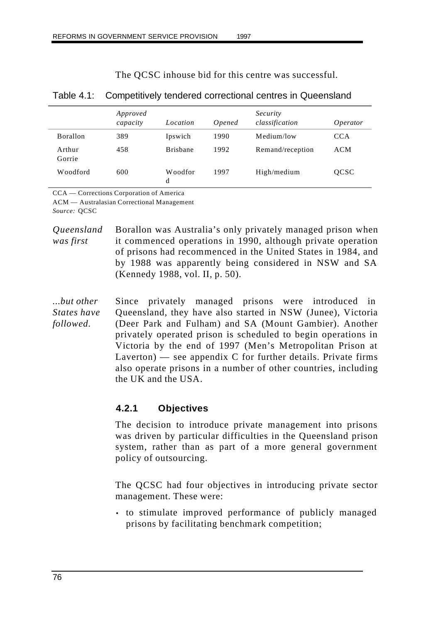The QCSC inhouse bid for this centre was successful.

|                  | Approved<br>capacity | Location        | <i>Opened</i> | Security<br>classification | <i>Operator</i> |
|------------------|----------------------|-----------------|---------------|----------------------------|-----------------|
| <b>Borallon</b>  | 389                  | Ipswich         | 1990          | Medium/low                 | <b>CCA</b>      |
| Arthur<br>Gorrie | 458                  | <b>Brishane</b> | 1992          | Remand/reception           | ACM             |
| Woodford         | 600                  | Woodfor<br>d    | 1997          | High/medium                | <b>OCSC</b>     |

#### Table 4.1: Competitively tendered correctional centres in Queensland

CCA — Corrections Corporation of America

ACM — Australasian Correctional Management

*Source:* QCSC

*Queensland was first* Borallon was Australia's only privately managed prison when it commenced operations in 1990, although private operation of prisons had recommenced in the United States in 1984, and by 1988 was apparently being considered in NSW and SA (Kennedy 1988, vol. II, p. 50).

*...but other States have followed.* Since privately managed prisons were introduced in Queensland, they have also started in NSW (Junee), Victoria (Deer Park and Fulham) and SA (Mount Gambier). Another privately operated prison is scheduled to begin operations in Victoria by the end of 1997 (Men's Metropolitan Prison at Laverton) — see appendix  $C$  for further details. Private firms also operate prisons in a number of other countries, including the UK and the USA.

### **4.2.1 Objectives**

The decision to introduce private management into prisons was driven by particular difficulties in the Queensland prison system, rather than as part of a more general government policy of outsourcing.

The QCSC had four objectives in introducing private sector management. These were:

• to stimulate improved performance of publicly managed prisons by facilitating benchmark competition;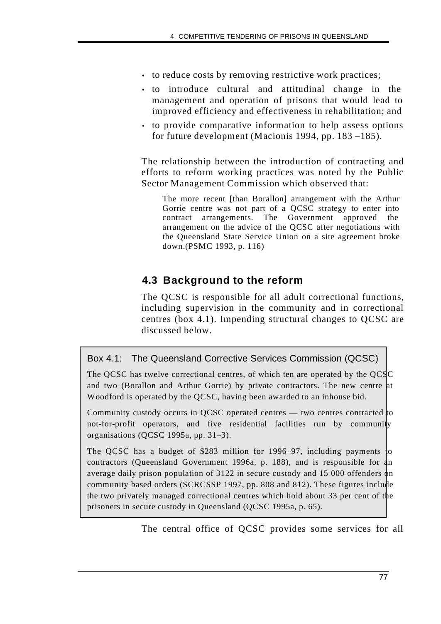- to reduce costs by removing restrictive work practices;
- to introduce cultural and attitudinal change in the management and operation of prisons that would lead to improved efficiency and effectiveness in rehabilitation; and
- to provide comparative information to help assess options for future development (Macionis 1994, pp. 183 –185).

The relationship between the introduction of contracting and efforts to reform working practices was noted by the Public Sector Management Commission which observed that:

The more recent [than Borallon] arrangement with the Arthur Gorrie centre was not part of a QCSC strategy to enter into contract arrangements. The Government approved the arrangement on the advice of the QCSC after negotiations with the Queensland State Service Union on a site agreement broke down.(PSMC 1993, p. 116)

# **4.3 Background to the reform**

The QCSC is responsible for all adult correctional functions, including supervision in the community and in correctional centres (box 4.1). Impending structural changes to QCSC are discussed below.

### Box 4.1: The Queensland Corrective Services Commission (QCSC)

The QCSC has twelve correctional centres, of which ten are operated by the QCSC and two (Borallon and Arthur Gorrie) by private contractors. The new centre at Woodford is operated by the QCSC, having been awarded to an inhouse bid.

Community custody occurs in QCSC operated centres — two centres contracted to not-for-profit operators, and five residential facilities run by community organisations (QCSC 1995a, pp. 31–3).

The QCSC has a budget of \$283 million for 1996–97, including payments to contractors (Queensland Government 1996a, p. 188), and is responsible for an average daily prison population of 3122 in secure custody and 15 000 offenders  $\phi$ n community based orders (SCRCSSP 1997, pp. 808 and 812). These figures include the two privately managed correctional centres which hold about 33 per cent of the prisoners in secure custody in Queensland (QCSC 1995a, p. 65).

The central office of QCSC provides some services for all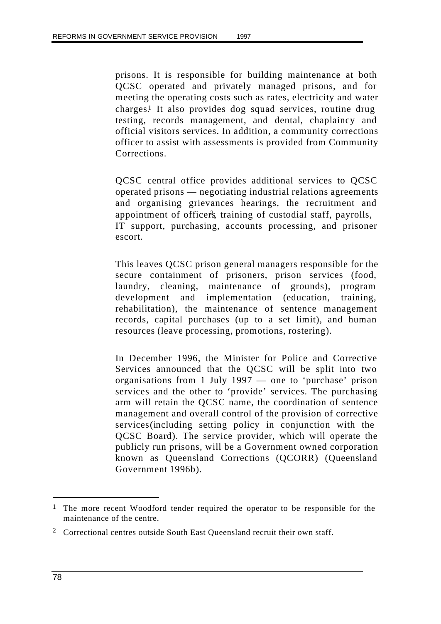prisons. It is responsible for building maintenance at both QCSC operated and privately managed prisons, and for meeting the operating costs such as rates, electricity and water charges.1 It also provides dog squad services, routine drug testing, records management, and dental, chaplaincy and official visitors services. In addition, a community corrections officer to assist with assessments is provided from Community Corrections.

QCSC central office provides additional services to QCSC operated prisons — negotiating industrial relations agreements and organising grievances hearings, the recruitment and appointment of officers, training of custodial staff, payrolls, IT support, purchasing, accounts processing, and prisoner escort.

This leaves QCSC prison general managers responsible for the secure containment of prisoners, prison services (food, laundry, cleaning, maintenance of grounds), program development and implementation (education, training, rehabilitation), the maintenance of sentence management records, capital purchases (up to a set limit), and human resources (leave processing, promotions, rostering).

In December 1996, the Minister for Police and Corrective Services announced that the QCSC will be split into two organisations from 1 July 1997 — one to 'purchase' prison services and the other to 'provide' services. The purchasing arm will retain the QCSC name, the coordination of sentence management and overall control of the provision of corrective services (including setting policy in conjunction with the QCSC Board). The service provider, which will operate the publicly run prisons, will be a Government owned corporation known as Queensland Corrections (QCORR) (Queensland Government 1996b).

<sup>&</sup>lt;sup>1</sup> The more recent Woodford tender required the operator to be responsible for the maintenance of the centre.

<sup>&</sup>lt;sup>2</sup> Correctional centres outside South East Queensland recruit their own staff.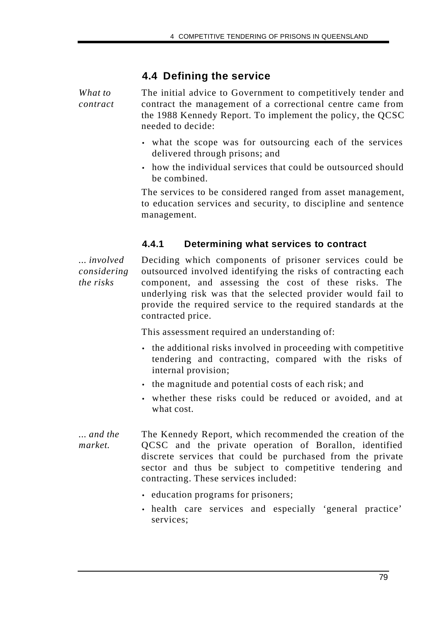## **4.4 Defining the service**

*What to contract* The initial advice to Government to competitively tender and contract the management of a correctional centre came from the 1988 Kennedy Report. To implement the policy, the QCSC needed to decide:

- what the scope was for outsourcing each of the services delivered through prisons; and
- how the individual services that could be outsourced should be combined.

The services to be considered ranged from asset management, to education services and security, to discipline and sentence management.

### **4.4.1 Determining what services to contract**

*... involved considering the risks*

Deciding which components of prisoner services could be outsourced involved identifying the risks of contracting each component, and assessing the cost of these risks. The underlying risk was that the selected provider would fail to provide the required service to the required standards at the contracted price.

This assessment required an understanding of:

- the additional risks involved in proceeding with competitive tendering and contracting, compared with the risks of internal provision;
- the magnitude and potential costs of each risk; and
- whether these risks could be reduced or avoided, and at what cost.
- *... and the market.* The Kennedy Report, which recommended the creation of the QCSC and the private operation of Borallon, identified discrete services that could be purchased from the private sector and thus be subject to competitive tendering and contracting. These services included:
	- education programs for prisoners;
	- health care services and especially 'general practice' services;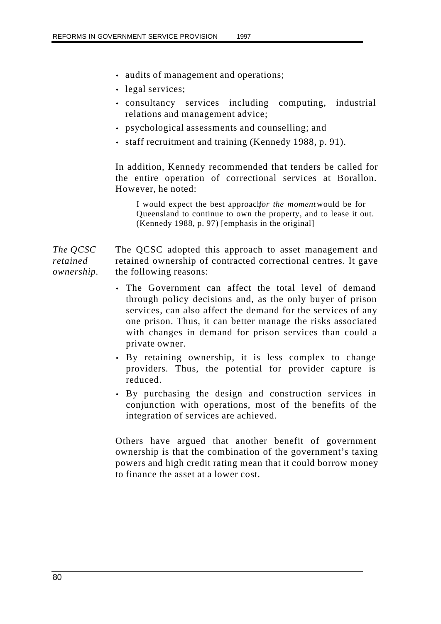- audits of management and operations;
- legal services;
- consultancy services including computing, industrial relations and management advice;
- psychological assessments and counselling; and
- staff recruitment and training (Kennedy 1988, p. 91).

In addition, Kennedy recommended that tenders be called for the entire operation of correctional services at Borallon. However, he noted:

I would expect the best approachfor the moment would be for Queensland to continue to own the property, and to lease it out. (Kennedy 1988, p. 97) [emphasis in the original]

*The QCSC retained ownership.* The QCSC adopted this approach to asset management and retained ownership of contracted correctional centres. It gave the following reasons:

- The Government can affect the total level of demand through policy decisions and, as the only buyer of prison services, can also affect the demand for the services of any one prison. Thus, it can better manage the risks associated with changes in demand for prison services than could a private owner.
- By retaining ownership, it is less complex to change providers. Thus, the potential for provider capture is reduced.
- By purchasing the design and construction services in conjunction with operations, most of the benefits of the integration of services are achieved.

Others have argued that another benefit of government ownership is that the combination of the government's taxing powers and high credit rating mean that it could borrow money to finance the asset at a lower cost.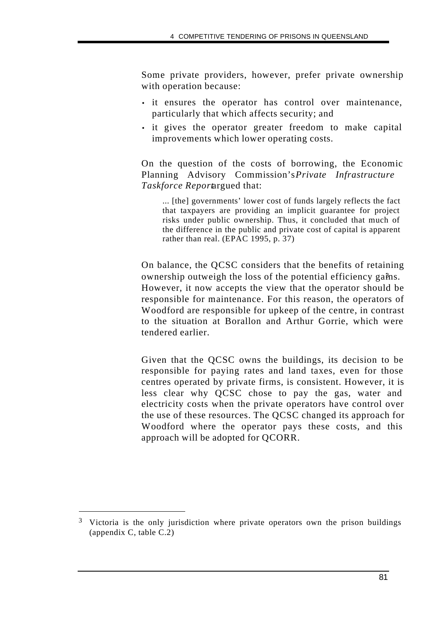Some private providers, however, prefer private ownership with operation because:

- it ensures the operator has control over maintenance, particularly that which affects security; and
- it gives the operator greater freedom to make capital improvements which lower operating costs.

On the question of the costs of borrowing, the Economic Planning Advisory Commission's *Private Infrastructure* **Taskforce Reportangued that:** 

... [the] governments' lower cost of funds largely reflects the fact that taxpayers are providing an implicit guarantee for project risks under public ownership. Thus, it concluded that much of the difference in the public and private cost of capital is apparent rather than real. (EPAC 1995, p. 37)

On balance, the QCSC considers that the benefits of retaining ownership outweigh the loss of the potential efficiency gains. However, it now accepts the view that the operator should be responsible for maintenance. For this reason, the operators of Woodford are responsible for upkeep of the centre, in contrast to the situation at Borallon and Arthur Gorrie, which were tendered earlier.

Given that the QCSC owns the buildings, its decision to be responsible for paying rates and land taxes, even for those centres operated by private firms, is consistent. However, it is less clear why QCSC chose to pay the gas, water and electricity costs when the private operators have control over the use of these resources. The QCSC changed its approach for Woodford where the operator pays these costs, and this approach will be adopted for QCORR.

<sup>&</sup>lt;sup>3</sup> Victoria is the only jurisdiction where private operators own the prison buildings (appendix C, table C.2)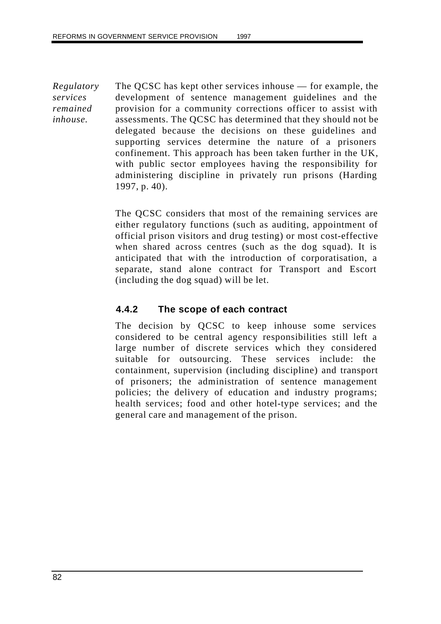*Regulatory services remained inhouse.* The QCSC has kept other services inhouse — for example, the development of sentence management guidelines and the provision for a community corrections officer to assist with assessments. The QCSC has determined that they should not be delegated because the decisions on these guidelines and supporting services determine the nature of a prisoners confinement. This approach has been taken further in the UK, with public sector employees having the responsibility for administering discipline in privately run prisons (Harding 1997, p. 40).

> The QCSC considers that most of the remaining services are either regulatory functions (such as auditing, appointment of official prison visitors and drug testing) or most cost-effective when shared across centres (such as the dog squad). It is anticipated that with the introduction of corporatisation, a separate, stand alone contract for Transport and Escort (including the dog squad) will be let.

## **4.4.2 The scope of each contract**

The decision by QCSC to keep inhouse some services considered to be central agency responsibilities still left a large number of discrete services which they considered suitable for outsourcing. These services include: containment, supervision (including discipline) and transport of prisoners; the administration of sentence management policies; the delivery of education and industry programs; health services; food and other hotel-type services; and the general care and management of the prison.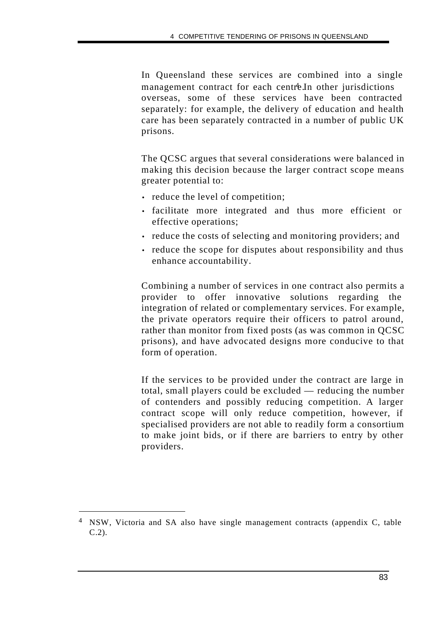In Queensland these services are combined into a single management contract for each centre. In other jurisdictions overseas, some of these services have been contracted separately: for example, the delivery of education and health care has been separately contracted in a number of public UK prisons.

The QCSC argues that several considerations were balanced in making this decision because the larger contract scope means greater potential to:

- reduce the level of competition;
- facilitate more integrated and thus more efficient or effective operations;
- reduce the costs of selecting and monitoring providers; and
- reduce the scope for disputes about responsibility and thus enhance accountability.

Combining a number of services in one contract also permits a provider to offer innovative solutions regarding integration of related or complementary services. For example, the private operators require their officers to patrol around, rather than monitor from fixed posts (as was common in QCSC prisons), and have advocated designs more conducive to that form of operation.

If the services to be provided under the contract are large in total, small players could be excluded — reducing the number of contenders and possibly reducing competition. A larger contract scope will only reduce competition, however, if specialised providers are not able to readily form a consortium to make joint bids, or if there are barriers to entry by other providers.

<sup>4</sup> NSW, Victoria and SA also have single management contracts (appendix C, table C.2).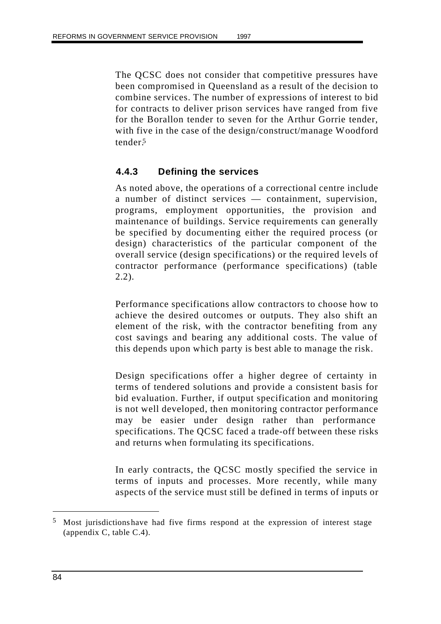The QCSC does not consider that competitive pressures have been compromised in Queensland as a result of the decision to combine services. The number of expressions of interest to bid for contracts to deliver prison services have ranged from five for the Borallon tender to seven for the Arthur Gorrie tender, with five in the case of the design/construct/manage Woodford tender.5

### **4.4.3 Defining the services**

As noted above, the operations of a correctional centre include a number of distinct services — containment, supervision, programs, employment opportunities, the provision and maintenance of buildings. Service requirements can generally be specified by documenting either the required process (or design) characteristics of the particular component of the overall service (design specifications) or the required levels of contractor performance (performance specifications) (table 2.2).

Performance specifications allow contractors to choose how to achieve the desired outcomes or outputs. They also shift an element of the risk, with the contractor benefiting from any cost savings and bearing any additional costs. The value of this depends upon which party is best able to manage the risk.

Design specifications offer a higher degree of certainty in terms of tendered solutions and provide a consistent basis for bid evaluation. Further, if output specification and monitoring is not well developed, then monitoring contractor performance may be easier under design rather than performance specifications. The QCSC faced a trade-off between these risks and returns when formulating its specifications.

In early contracts, the QCSC mostly specified the service in terms of inputs and processes. More recently, while many aspects of the service must still be defined in terms of inputs or

<sup>5</sup> Most jurisdictions have had five firms respond at the expression of interest stage (appendix C, table C.4).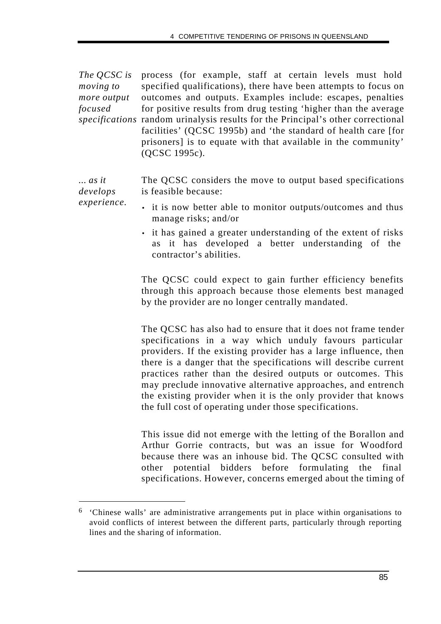*The QCSC is moving to more output focused* specifications random urinalysis results for the Principal's other correctional process (for example, staff at certain levels must hold specified qualifications), there have been attempts to focus on outcomes and outputs. Examples include: escapes, penalties for positive results from drug testing 'higher than the average facilities' (QCSC 1995b) and 'the standard of health care [for prisoners] is to equate with that available in the community' (QCSC 1995c).

*... as it develops* The QCSC considers the move to output based specifications is feasible because:

*experience.*

- it is now better able to monitor outputs/outcomes and thus manage risks; and/or
- it has gained a greater understanding of the extent of risks as it has developed a better understanding of the contractor's abilities.

The QCSC could expect to gain further efficiency benefits through this approach because those elements best managed by the provider are no longer centrally mandated.

The QCSC has also had to ensure that it does not frame tender specifications in a way which unduly favours particular providers. If the existing provider has a large influence, then there is a danger that the specifications will describe current practices rather than the desired outputs or outcomes. This may preclude innovative alternative approaches, and entrench the existing provider when it is the only provider that knows the full cost of operating under those specifications.

This issue did not emerge with the letting of the Borallon and Arthur Gorrie contracts, but was an issue for Woodford because there was an inhouse bid. The QCSC consulted with other potential bidders before formulating the final specifications. However, concerns emerged about the timing of

<sup>6</sup> 'Chinese walls' are administrative arrangements put in place within organisations to avoid conflicts of interest between the different parts, particularly through reporting lines and the sharing of information.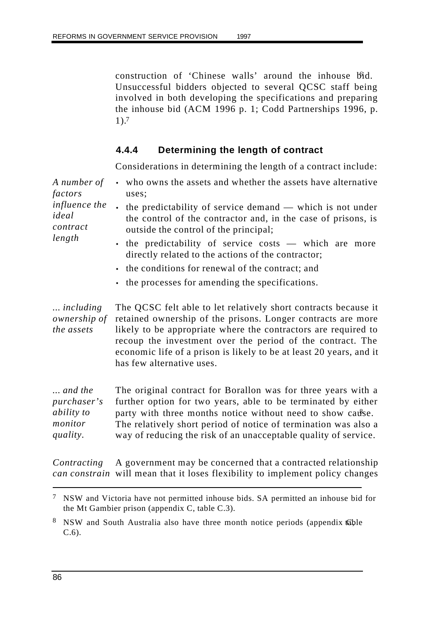construction of 'Chinese walls' around the inhouse bid. Unsuccessful bidders objected to several QCSC staff being involved in both developing the specifications and preparing the inhouse bid (ACM 1996 p. 1; Codd Partnerships 1996, p. 1).7

## **4.4.4 Determining the length of contract**

Considerations in determining the length of a contract include:

| A number of<br>factors<br><i>influence the</i><br>ideal<br>contract<br>length | • who owns the assets and whether the assets have alternative<br>uses;                                                                                                                                                                                                                                                                                              |  |  |  |  |
|-------------------------------------------------------------------------------|---------------------------------------------------------------------------------------------------------------------------------------------------------------------------------------------------------------------------------------------------------------------------------------------------------------------------------------------------------------------|--|--|--|--|
|                                                                               | the predictability of service demand — which is not under<br>the control of the contractor and, in the case of prisons, is<br>outside the control of the principal;<br>• the predictability of service costs — which are more<br>directly related to the actions of the contractor;                                                                                 |  |  |  |  |
|                                                                               | • the conditions for renewal of the contract; and                                                                                                                                                                                                                                                                                                                   |  |  |  |  |
|                                                                               | • the processes for amending the specifications.                                                                                                                                                                                                                                                                                                                    |  |  |  |  |
| <i>including</i><br>ownership of<br>the assets                                | The QCSC felt able to let relatively short contracts because it<br>retained ownership of the prisons. Longer contracts are more<br>likely to be appropriate where the contractors are required to<br>recoup the investment over the period of the contract. The<br>economic life of a prison is likely to be at least 20 years, and it<br>has few alternative uses. |  |  |  |  |
| and the<br>purchaser's<br><i>ability to</i><br>monitor<br>quality.            | The original contract for Borallon was for three years with a<br>further option for two years, able to be terminated by either<br>party with three months notice without need to show cause.<br>The relatively short period of notice of termination was also a<br>way of reducing the risk of an unacceptable quality of service.                                  |  |  |  |  |
|                                                                               | $C$ and the state of the comparison of the construction of the constructed as lating state of the state of $\mathcal{L}_{\mathcal{F}}$                                                                                                                                                                                                                              |  |  |  |  |

*Contracting* A government may be concerned that a contracted relationship *can constrain* will mean that it loses flexibility to implement policy changes

<sup>7</sup> NSW and Victoria have not permitted inhouse bids. SA permitted an inhouse bid for the Mt Gambier prison (appendix C, table C.3).

<sup>&</sup>lt;sup>8</sup> NSW and South Australia also have three month notice periods (appendix apple  $C.6$ ).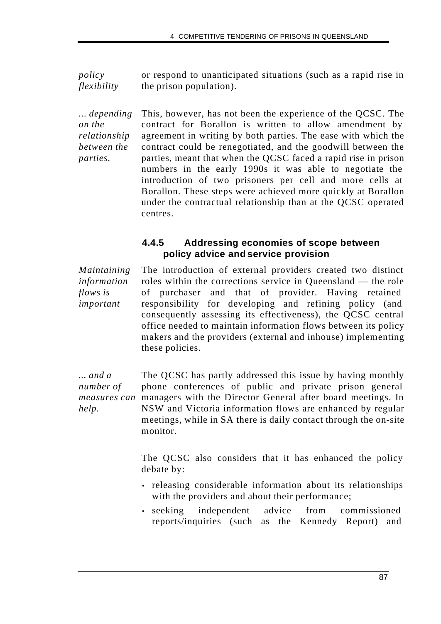*policy flexibility* or respond to unanticipated situations (such as a rapid rise in the prison population).

*... depending on the relationship between the parties.* This, however, has not been the experience of the QCSC. The contract for Borallon is written to allow amendment by agreement in writing by both parties. The ease with which the contract could be renegotiated, and the goodwill between the parties, meant that when the QCSC faced a rapid rise in prison numbers in the early 1990s it was able to negotiate the introduction of two prisoners per cell and more cells at Borallon. These steps were achieved more quickly at Borallon under the contractual relationship than at the QCSC operated centres.

#### **4.4.5 Addressing economies of scope between policy advice and service provision**

*Maintaining information flows is important* The introduction of external providers created two distinct roles within the corrections service in Queensland — the role of purchaser and that of provider. Having retained responsibility for developing and refining policy (and consequently assessing its effectiveness), the QCSC central office needed to maintain information flows between its policy makers and the providers (external and inhouse) implementing these policies.

*... and a number of measures can* managers with the Director General after board meetings. In *help.* The QCSC has partly addressed this issue by having monthly phone conferences of public and private prison general NSW and Victoria information flows are enhanced by regular meetings, while in SA there is daily contact through the on-site monitor.

> The QCSC also considers that it has enhanced the policy debate by:

- releasing considerable information about its relationships with the providers and about their performance;
- seeking independent advice from commissioned reports/inquiries (such as the Kennedy Report) and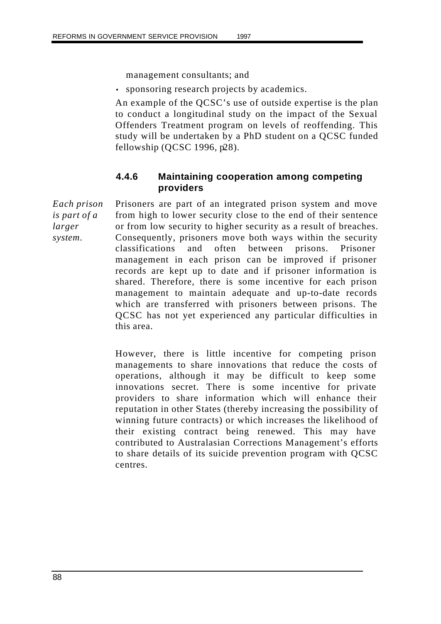management consultants; and

• sponsoring research projects by academics.

An example of the QCSC's use of outside expertise is the plan to conduct a longitudinal study on the impact of the Sexual Offenders Treatment program on levels of reoffending. This study will be undertaken by a PhD student on a QCSC funded fellowship (QCSC 1996,  $p28$ ).

#### **4.4.6 Maintaining cooperation among competing providers**

*Each prison is part of a* Prisoners are part of an integrated prison system and move from high to lower security close to the end of their sentence or from low security to higher security as a result of breaches. Consequently, prisoners move both ways within the security classifications and often between prisons. Prisoner management in each prison can be improved if prisoner records are kept up to date and if prisoner information is shared. Therefore, there is some incentive for each prison management to maintain adequate and up-to-date records which are transferred with prisoners between prisons. The QCSC has not yet experienced any particular difficulties in this area.

> However, there is little incentive for competing prison managements to share innovations that reduce the costs of operations, although it may be difficult to keep some innovations secret. There is some incentive for private providers to share information which will enhance their reputation in other States (thereby increasing the possibility of winning future contracts) or which increases the likelihood of their existing contract being renewed. This may have contributed to Australasian Corrections Management's efforts to share details of its suicide prevention program with QCSC centres.

*larger system.*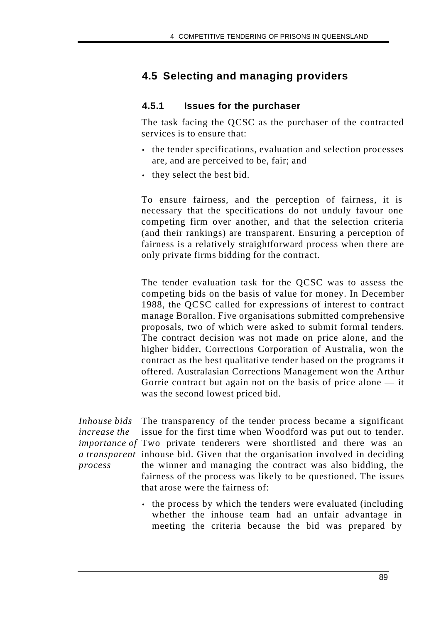# **4.5 Selecting and managing providers**

### **4.5.1 Issues for the purchaser**

The task facing the QCSC as the purchaser of the contracted services is to ensure that:

- the tender specifications, evaluation and selection processes are, and are perceived to be, fair; and
- they select the best bid.

To ensure fairness, and the perception of fairness, it is necessary that the specifications do not unduly favour one competing firm over another, and that the selection criteria (and their rankings) are transparent. Ensuring a perception of fairness is a relatively straightforward process when there are only private firms bidding for the contract.

The tender evaluation task for the QCSC was to assess the competing bids on the basis of value for money. In December 1988, the QCSC called for expressions of interest to contract manage Borallon. Five organisations submitted comprehensive proposals, two of which were asked to submit formal tenders. The contract decision was not made on price alone, and the higher bidder, Corrections Corporation of Australia, won the contract as the best qualitative tender based on the programs it offered. Australasian Corrections Management won the Arthur Gorrie contract but again not on the basis of price alone — it was the second lowest priced bid.

*Inhouse bids increase the importance of* Two private tenderers were shortlisted and there was an *a transparent* inhouse bid. Given that the organisation involved in deciding *process* The transparency of the tender process became a significant issue for the first time when Woodford was put out to tender. the winner and managing the contract was also bidding, the fairness of the process was likely to be questioned. The issues that arose were the fairness of:

> • the process by which the tenders were evaluated (including whether the inhouse team had an unfair advantage in meeting the criteria because the bid was prepared by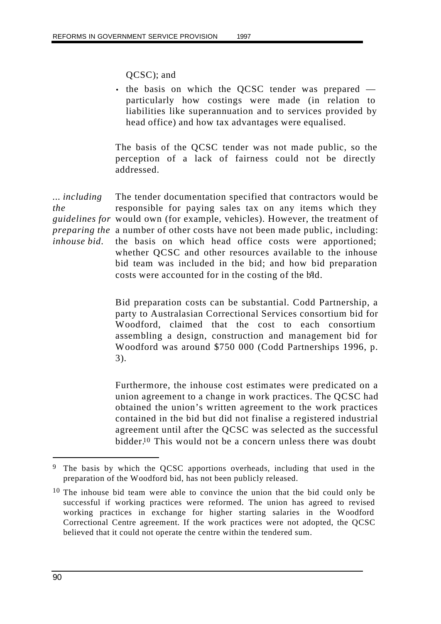QCSC); and

• the basis on which the QCSC tender was prepared particularly how costings were made (in relation to liabilities like superannuation and to services provided by head office) and how tax advantages were equalised.

The basis of the QCSC tender was not made public, so the perception of a lack of fairness could not be directly addressed.

*... including the guidelines for* would own (for example, vehicles). However, the treatment of *preparing the* a number of other costs have not been made public, including: *inhouse bid.* The tender documentation specified that contractors would be responsible for paying sales tax on any items which they the basis on which head office costs were apportioned; whether QCSC and other resources available to the inhouse bid team was included in the bid; and how bid preparation costs were accounted for in the costing of the bid.

> Bid preparation costs can be substantial. Codd Partnership, a party to Australasian Correctional Services consortium bid for Woodford, claimed that the cost to each consortium assembling a design, construction and management bid for Woodford was around \$750 000 (Codd Partnerships 1996, p. 3).

> Furthermore, the inhouse cost estimates were predicated on a union agreement to a change in work practices. The QCSC had obtained the union's written agreement to the work practices contained in the bid but did not finalise a registered industrial agreement until after the QCSC was selected as the successful bidder.10 This would not be a concern unless there was doubt

j

<sup>&</sup>lt;sup>9</sup> The basis by which the QCSC apportions overheads, including that used in the preparation of the Woodford bid, has not been publicly released.

 $10$  The inhouse bid team were able to convince the union that the bid could only be successful if working practices were reformed. The union has agreed to revised working practices in exchange for higher starting salaries in the Woodford Correctional Centre agreement. If the work practices were not adopted, the QCSC believed that it could not operate the centre within the tendered sum.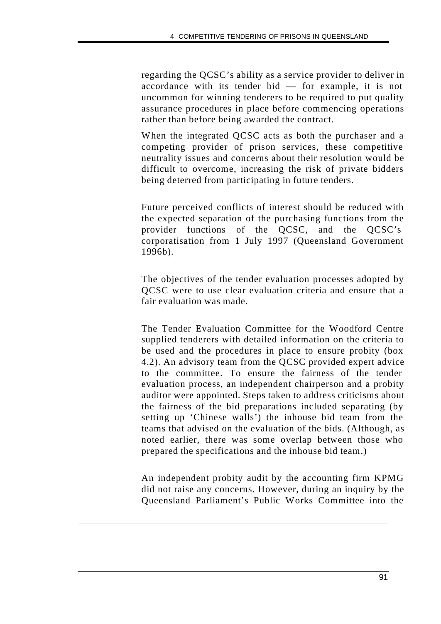regarding the QCSC's ability as a service provider to deliver in accordance with its tender bid — for example, it is not uncommon for winning tenderers to be required to put quality assurance procedures in place before commencing operations rather than before being awarded the contract.

When the integrated QCSC acts as both the purchaser and a competing provider of prison services, these competitive neutrality issues and concerns about their resolution would be difficult to overcome, increasing the risk of private bidders being deterred from participating in future tenders.

Future perceived conflicts of interest should be reduced with the expected separation of the purchasing functions from the provider functions of the QCSC, and the QCSC's corporatisation from 1 July 1997 (Queensland Government 1996b).

The objectives of the tender evaluation processes adopted by QCSC were to use clear evaluation criteria and ensure that a fair evaluation was made.

The Tender Evaluation Committee for the Woodford Centre supplied tenderers with detailed information on the criteria to be used and the procedures in place to ensure probity (box 4.2). An advisory team from the QCSC provided expert advice to the committee. To ensure the fairness of the tender evaluation process, an independent chairperson and a probity auditor were appointed. Steps taken to address criticisms about the fairness of the bid preparations included separating (by setting up 'Chinese walls') the inhouse bid team from the teams that advised on the evaluation of the bids. (Although, as noted earlier, there was some overlap between those who prepared the specifications and the inhouse bid team.)

An independent probity audit by the accounting firm KPMG did not raise any concerns. However, during an inquiry by the Queensland Parliament's Public Works Committee into the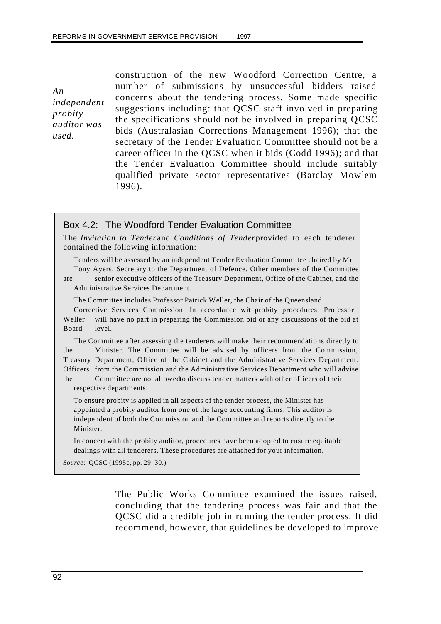*An independent probity auditor was used.*

construction of the new Woodford Correction Centre, a number of submissions by unsuccessful bidders raised concerns about the tendering process. Some made specific suggestions including: that QCSC staff involved in preparing the specifications should not be involved in preparing QCSC bids (Australasian Corrections Management 1996); that the secretary of the Tender Evaluation Committee should not be a career officer in the QCSC when it bids (Codd 1996); and that the Tender Evaluation Committee should include suitably qualified private sector representatives (Barclay Mowlem 1996).

#### Box 4.2: The Woodford Tender Evaluation Committee

The *Invitation to Tender* and *Conditions of Tender* provided to each tenderer contained the following information:

Tenders will be assessed by an independent Tender Evaluation Committee chaired by Mr Tony Ayers, Secretary to the Department of Defence. Other members of the Committee

are senior executive officers of the Treasury Department, Office of the Cabinet, and the Administrative Services Department.

The Committee includes Professor Patrick Weller, the Chair of the Queensland

Corrective Services Commission. In accordance with probity procedures, Professor Weller will have no part in preparing the Commission bid or any discussions of the bid at Board level.

The Committee after assessing the tenderers will make their recommendations directly to the Minister. The Committee will be advised by officers from the Commission, Treasury Department, Office of the Cabinet and the Administrative Services Department. Officers from the Commission and the Administrative Services Department who will advise

the Committee are not allowed to discuss tender matters with other officers of their respective departments.

To ensure probity is applied in all aspects of the tender process, the Minister has appointed a probity auditor from one of the large accounting firms. This auditor is independent of both the Commission and the Committee and reports directly to the Minister.

In concert with the probity auditor, procedures have been adopted to ensure equitable dealings with all tenderers. These procedures are attached for your information.

*Source:* QCSC (1995c, pp. 29–30.)

The Public Works Committee examined the issues raised, concluding that the tendering process was fair and that the QCSC did a credible job in running the tender process. It did recommend, however, that guidelines be developed to improve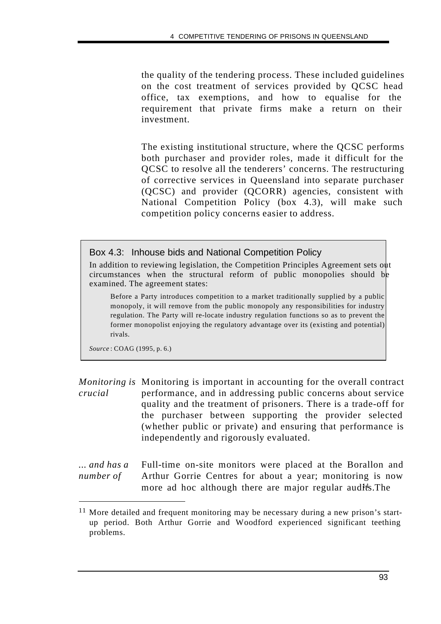the quality of the tendering process. These included guidelines on the cost treatment of services provided by QCSC head office, tax exemptions, and how to equalise for the requirement that private firms make a return on their investment.

The existing institutional structure, where the QCSC performs both purchaser and provider roles, made it difficult for the QCSC to resolve all the tenderers' concerns. The restructuring of corrective services in Queensland into separate purchaser (QCSC) and provider (QCORR) agencies, consistent with National Competition Policy (box 4.3), will make such competition policy concerns easier to address.

Box 4.3: Inhouse bids and National Competition Policy

In addition to reviewing legislation, the Competition Principles Agreement sets out circumstances when the structural reform of public monopolies should be examined. The agreement states:

Before a Party introduces competition to a market traditionally supplied by a public monopoly, it will remove from the public monopoly any responsibilities for industry regulation. The Party will re-locate industry regulation functions so as to prevent the former monopolist enjoying the regulatory advantage over its (existing and potential) rivals.

*Source* : COAG (1995, p. 6.)

*Monitoring is* Monitoring is important in accounting for the overall contract *crucial* performance, and in addressing public concerns about service quality and the treatment of prisoners. There is a trade-off for the purchaser between supporting the provider selected (whether public or private) and ensuring that performance is independently and rigorously evaluated.

*... and has a number of* Full-time on-site monitors were placed at the Borallon and Arthur Gorrie Centres for about a year; monitoring is now more ad hoc although there are major regular audits. The

<sup>&</sup>lt;sup>11</sup> More detailed and frequent monitoring may be necessary during a new prison's startup period. Both Arthur Gorrie and Woodford experienced significant teething problems.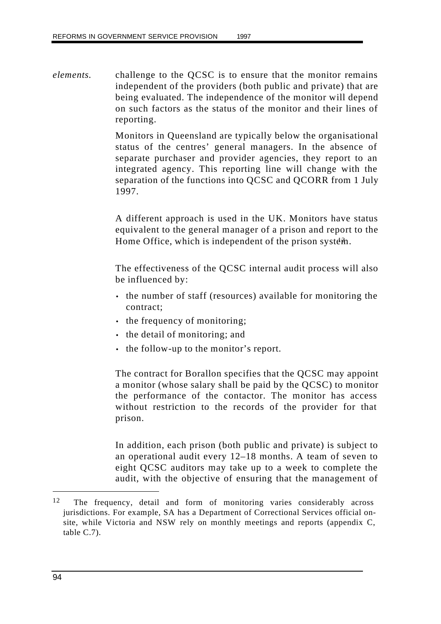*elements.* challenge to the QCSC is to ensure that the monitor remains independent of the providers (both public and private) that are being evaluated. The independence of the monitor will depend on such factors as the status of the monitor and their lines of reporting.

> Monitors in Queensland are typically below the organisational status of the centres' general managers. In the absence of separate purchaser and provider agencies, they report to an integrated agency. This reporting line will change with the separation of the functions into QCSC and QCORR from 1 July 1997.

> A different approach is used in the UK. Monitors have status equivalent to the general manager of a prison and report to the Home Office, which is independent of the prison system.

> The effectiveness of the QCSC internal audit process will also be influenced by:

- the number of staff (resources) available for monitoring the contract;
- the frequency of monitoring;
- the detail of monitoring; and
- the follow-up to the monitor's report.

The contract for Borallon specifies that the QCSC may appoint a monitor (whose salary shall be paid by the QCSC) to monitor the performance of the contactor. The monitor has access without restriction to the records of the provider for that prison.

In addition, each prison (both public and private) is subject to an operational audit every 12–18 months. A team of seven to eight QCSC auditors may take up to a week to complete the audit, with the objective of ensuring that the management of

<sup>&</sup>lt;sup>12</sup> The frequency, detail and form of monitoring varies considerably across jurisdictions. For example, SA has a Department of Correctional Services official onsite, while Victoria and NSW rely on monthly meetings and reports (appendix C, table C.7).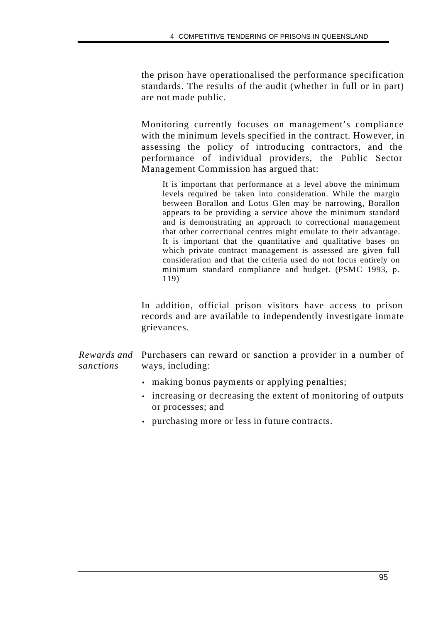the prison have operationalised the performance specification standards. The results of the audit (whether in full or in part) are not made public.

Monitoring currently focuses on management's compliance with the minimum levels specified in the contract. However, in assessing the policy of introducing contractors, and the performance of individual providers, the Public Sector Management Commission has argued that:

It is important that performance at a level above the minimum levels required be taken into consideration. While the margin between Borallon and Lotus Glen may be narrowing, Borallon appears to be providing a service above the minimum standard and is demonstrating an approach to correctional management that other correctional centres might emulate to their advantage. It is important that the quantitative and qualitative bases on which private contract management is assessed are given full consideration and that the criteria used do not focus entirely on minimum standard compliance and budget. (PSMC 1993, p. 119)

In addition, official prison visitors have access to prison records and are available to independently investigate inmate grievances.

*Rewards and* Purchasers can reward or sanction a provider in a number of *sanctions* ways, including:

- making bonus payments or applying penalties;
- increasing or decreasing the extent of monitoring of outputs or processes; and
- purchasing more or less in future contracts.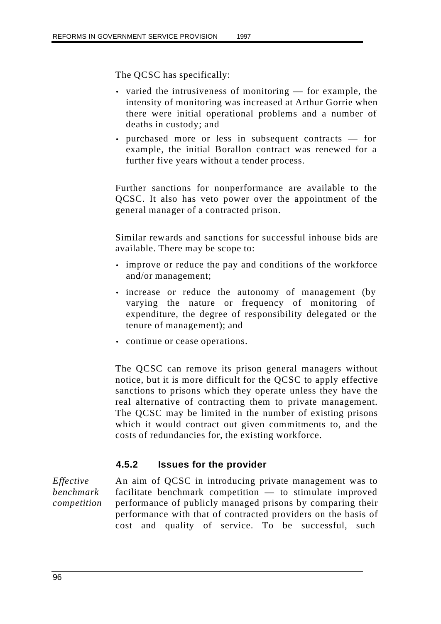The QCSC has specifically:

- varied the intrusiveness of monitoring for example, the intensity of monitoring was increased at Arthur Gorrie when there were initial operational problems and a number of deaths in custody; and
- purchased more or less in subsequent contracts for example, the initial Borallon contract was renewed for a further five years without a tender process.

Further sanctions for nonperformance are available to the QCSC. It also has veto power over the appointment of the general manager of a contracted prison.

Similar rewards and sanctions for successful inhouse bids are available. There may be scope to:

- improve or reduce the pay and conditions of the workforce and/or management;
- increase or reduce the autonomy of management (by varying the nature or frequency of monitoring of expenditure, the degree of responsibility delegated or the tenure of management); and
- continue or cease operations.

The QCSC can remove its prison general managers without notice, but it is more difficult for the QCSC to apply effective sanctions to prisons which they operate unless they have the real alternative of contracting them to private management. The QCSC may be limited in the number of existing prisons which it would contract out given commitments to, and the costs of redundancies for, the existing workforce.

## **4.5.2 Issues for the provider**

*Effective benchmark competition* An aim of QCSC in introducing private management was to facilitate benchmark competition — to stimulate improved performance of publicly managed prisons by comparing their performance with that of contracted providers on the basis of cost and quality of service. To be successful, such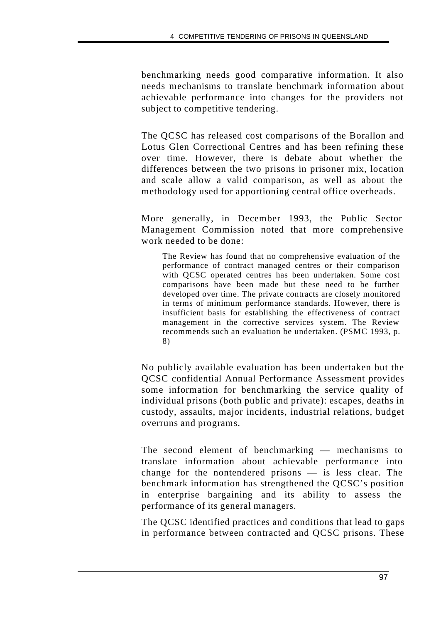benchmarking needs good comparative information. It also needs mechanisms to translate benchmark information about achievable performance into changes for the providers not subject to competitive tendering.

The QCSC has released cost comparisons of the Borallon and Lotus Glen Correctional Centres and has been refining these over time. However, there is debate about whether the differences between the two prisons in prisoner mix, location and scale allow a valid comparison, as well as about the methodology used for apportioning central office overheads.

More generally, in December 1993, the Public Sector Management Commission noted that more comprehensive work needed to be done:

The Review has found that no comprehensive evaluation of the performance of contract managed centres or their comparison with QCSC operated centres has been undertaken. Some cost comparisons have been made but these need to be further developed over time. The private contracts are closely monitored in terms of minimum performance standards. However, there is insufficient basis for establishing the effectiveness of contract management in the corrective services system. The Review recommends such an evaluation be undertaken. (PSMC 1993, p. 8)

No publicly available evaluation has been undertaken but the QCSC confidential Annual Performance Assessment provides some information for benchmarking the service quality of individual prisons (both public and private): escapes, deaths in custody, assaults, major incidents, industrial relations, budget overruns and programs.

The second element of benchmarking — mechanisms to translate information about achievable performance into change for the nontendered prisons — is less clear. The benchmark information has strengthened the QCSC's position in enterprise bargaining and its ability to assess the performance of its general managers.

The QCSC identified practices and conditions that lead to gaps in performance between contracted and QCSC prisons. These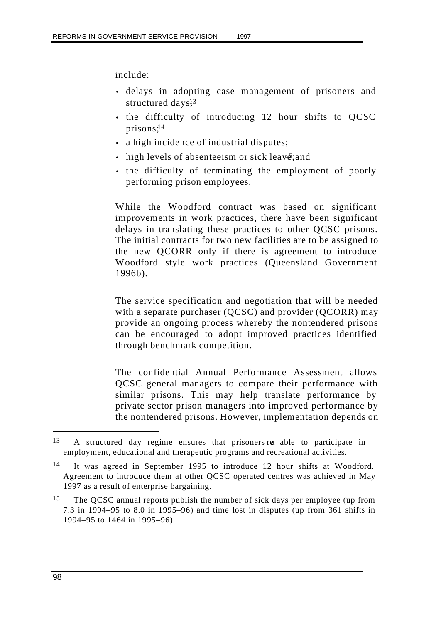include:

- delays in adopting case management of prisoners and structured days<sup>13</sup>
- the difficulty of introducing 12 hour shifts to QCSC prisons;14
- a high incidence of industrial disputes;
- high levels of absenteeism or sick leav $\delta$ ; and
- the difficulty of terminating the employment of poorly performing prison employees.

While the Woodford contract was based on significant improvements in work practices, there have been significant delays in translating these practices to other QCSC prisons. The initial contracts for two new facilities are to be assigned to the new QCORR only if there is agreement to introduce Woodford style work practices (Queensland Government 1996b).

The service specification and negotiation that will be needed with a separate purchaser (QCSC) and provider (QCORR) may provide an ongoing process whereby the nontendered prisons can be encouraged to adopt improved practices identified through benchmark competition.

The confidential Annual Performance Assessment allows QCSC general managers to compare their performance with similar prisons. This may help translate performance by private sector prison managers into improved performance by the nontendered prisons. However, implementation depends on

j

 $13$  A structured day regime ensures that prisoners rea able to participate in employment, educational and therapeutic programs and recreational activities.

<sup>14</sup> It was agreed in September 1995 to introduce 12 hour shifts at Woodford. Agreement to introduce them at other QCSC operated centres was achieved in May 1997 as a result of enterprise bargaining.

<sup>&</sup>lt;sup>15</sup> The QCSC annual reports publish the number of sick days per employee (up from 7.3 in 1994–95 to 8.0 in 1995–96) and time lost in disputes (up from 361 shifts in 1994–95 to 1464 in 1995–96).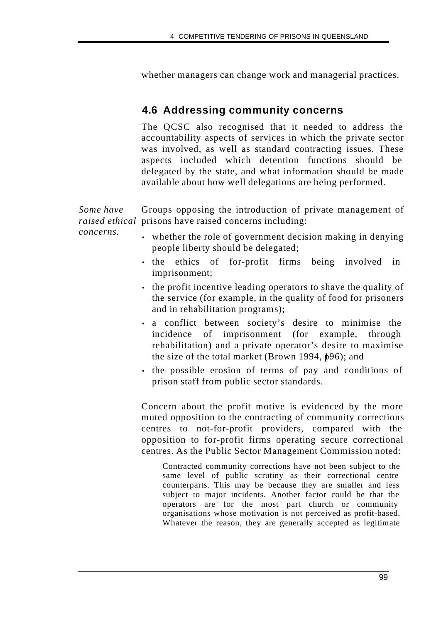whether managers can change work and managerial practices.

# **4.6 Addressing community concerns**

The QCSC also recognised that it needed to address the accountability aspects of services in which the private sector was involved, as well as standard contracting issues. These aspects included which detention functions should be delegated by the state, and what information should be made available about how well delegations are being performed.

*Some have raised ethical* prisons have raised concerns including: Groups opposing the introduction of private management of

*concerns.*

- whether the role of government decision making in denying people liberty should be delegated;
- the ethics of for-profit firms being involved in imprisonment;
- the profit incentive leading operators to shave the quality of the service (for example, in the quality of food for prisoners and in rehabilitation programs);
- a conflict between society's desire to minimise the incidence of imprisonment (for example, through rehabilitation) and a private operator's desire to maximise the size of the total market (Brown 1994,  $\frac{1}{2}$ 96); and
- the possible erosion of terms of pay and conditions of prison staff from public sector standards.

Concern about the profit motive is evidenced by the more muted opposition to the contracting of community corrections centres to not-for-profit providers, compared with the opposition to for-profit firms operating secure correctional centres. As the Public Sector Management Commission noted:

Contracted community corrections have not been subject to the same level of public scrutiny as their correctional centre counterparts. This may be because they are smaller and less subject to major incidents. Another factor could be that the operators are for the most part church or community organisations whose motivation is not perceived as profit-based. Whatever the reason, they are generally accepted as legitimate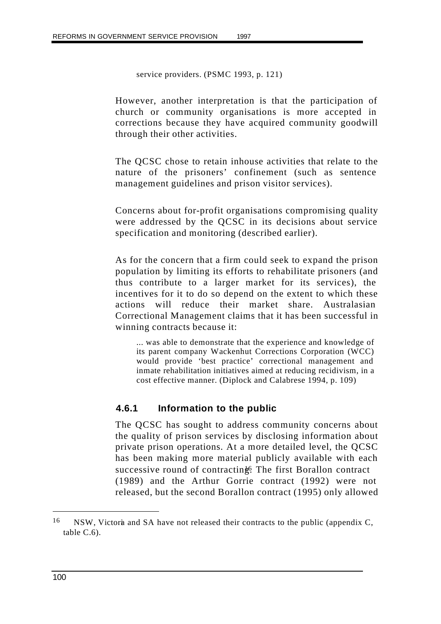service providers. (PSMC 1993, p. 121)

However, another interpretation is that the participation of church or community organisations is more accepted in corrections because they have acquired community goodwill through their other activities.

The QCSC chose to retain inhouse activities that relate to the nature of the prisoners' confinement (such as sentence management guidelines and prison visitor services).

Concerns about for-profit organisations compromising quality were addressed by the QCSC in its decisions about service specification and monitoring (described earlier).

As for the concern that a firm could seek to expand the prison population by limiting its efforts to rehabilitate prisoners (and thus contribute to a larger market for its services), the incentives for it to do so depend on the extent to which these actions will reduce their market share. Australasian Correctional Management claims that it has been successful in winning contracts because it:

... was able to demonstrate that the experience and knowledge of its parent company Wackenhut Corrections Corporation (WCC) would provide 'best practice' correctional management and inmate rehabilitation initiatives aimed at reducing recidivism, in a cost effective manner. (Diplock and Calabrese 1994, p. 109)

#### **4.6.1 Information to the public**

The QCSC has sought to address community concerns about the quality of prison services by disclosing information about private prison operations. At a more detailed level, the QCSC has been making more material publicly available with each successive round of contracting. The first Borallon contract (1989) and the Arthur Gorrie contract (1992) were not released, but the second Borallon contract (1995) only allowed

<sup>16</sup> NSW, Victoria and SA have not released their contracts to the public (appendix C, table C.6).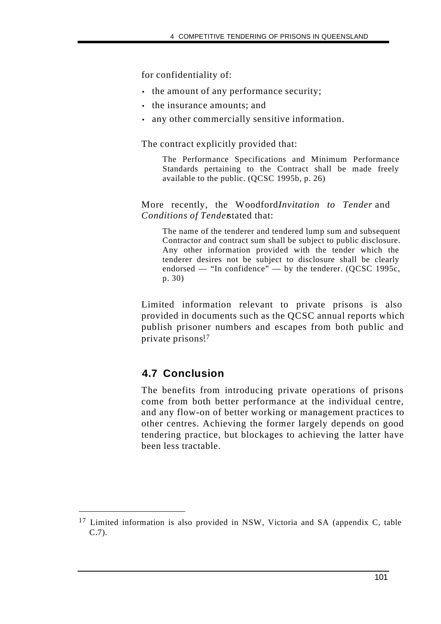for confidentiality of:

- the amount of any performance security;
- the insurance amounts; and
- any other commercially sensitive information.

The contract explicitly provided that:

The Performance Specifications and Minimum Performance Standards pertaining to the Contract shall be made freely available to the public. (QCSC 1995b, p. 26)

More recently, the Woodford*Invitation to Tender* and *Conditions of Tenderstated that:* 

The name of the tenderer and tendered lump sum and subsequent Contractor and contract sum shall be subject to public disclosure. Any other information provided with the tender which the tenderer desires not be subject to disclosure shall be clearly endorsed — "In confidence" — by the tenderer. (QCSC 1995c, p. 30)

Limited information relevant to private prisons is also provided in documents such as the QCSC annual reports which publish prisoner numbers and escapes from both public and private prisons<sup>17</sup>

# **4.7 Conclusion**

The benefits from introducing private operations of prisons come from both better performance at the individual centre, and any flow-on of better working or management practices to other centres. Achieving the former largely depends on good tendering practice, but blockages to achieving the latter have been less tractable.

<sup>&</sup>lt;sup>17</sup> Limited information is also provided in NSW, Victoria and SA (appendix C, table C.7).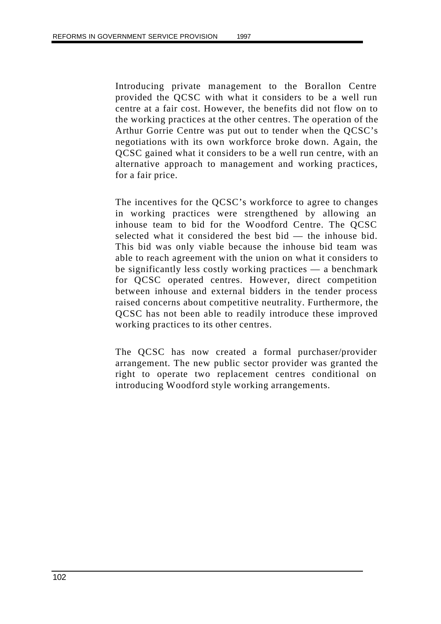Introducing private management to the Borallon Centre provided the QCSC with what it considers to be a well run centre at a fair cost. However, the benefits did not flow on to the working practices at the other centres. The operation of the Arthur Gorrie Centre was put out to tender when the QCSC's negotiations with its own workforce broke down. Again, the QCSC gained what it considers to be a well run centre, with an alternative approach to management and working practices, for a fair price.

The incentives for the QCSC's workforce to agree to changes in working practices were strengthened by allowing an inhouse team to bid for the Woodford Centre. The QCSC selected what it considered the best bid — the inhouse bid. This bid was only viable because the inhouse bid team was able to reach agreement with the union on what it considers to be significantly less costly working practices — a benchmark for QCSC operated centres. However, direct competition between inhouse and external bidders in the tender process raised concerns about competitive neutrality. Furthermore, the QCSC has not been able to readily introduce these improved working practices to its other centres.

The QCSC has now created a formal purchaser/provider arrangement. The new public sector provider was granted the right to operate two replacement centres conditional on introducing Woodford style working arrangements.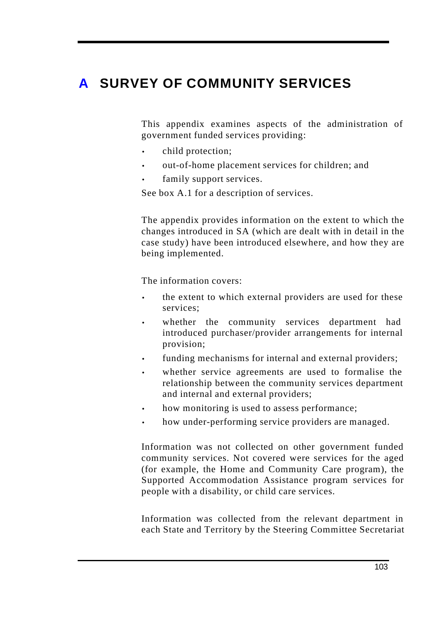# **A SURVEY OF COMMUNITY SERVICES**

This appendix examines aspects of the administration of government funded services providing:

- child protection;
- out-of-home placement services for children; and
- family support services.

See box A.1 for a description of services.

The appendix provides information on the extent to which the changes introduced in SA (which are dealt with in detail in the case study) have been introduced elsewhere, and how they are being implemented.

The information covers:

- the extent to which external providers are used for these services;
- whether the community services department had introduced purchaser/provider arrangements for internal provision;
- funding mechanisms for internal and external providers;
- whether service agreements are used to formalise the relationship between the community services department and internal and external providers;
- how monitoring is used to assess performance;
- how under-performing service providers are managed.

Information was not collected on other government funded community services. Not covered were services for the aged (for example, the Home and Community Care program), the Supported Accommodation Assistance program services for people with a disability, or child care services.

Information was collected from the relevant department in each State and Territory by the Steering Committee Secretariat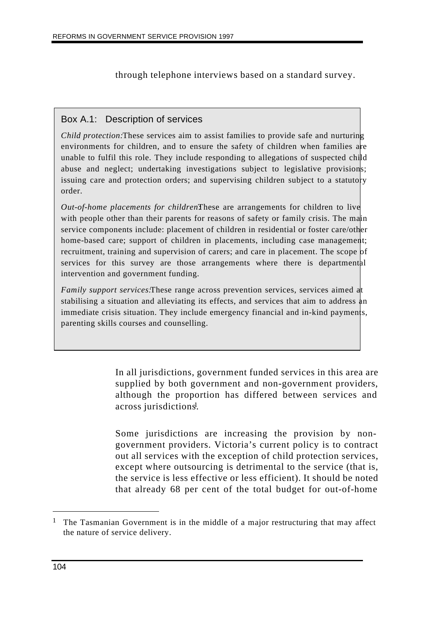through telephone interviews based on a standard survey.

### Box A.1: Description of services

*Child protection:* These services aim to assist families to provide safe and nurturing environments for children, and to ensure the safety of children when families are unable to fulfil this role. They include responding to allegations of suspected child abuse and neglect; undertaking investigations subject to legislative provisions; issuing care and protection orders; and supervising children subject to a statutory order.

*Out-of-home placements for children*These are arrangements for children to live with people other than their parents for reasons of safety or family crisis. The main service components include: placement of children in residential or foster care/other home-based care; support of children in placements, including case management; recruitment, training and supervision of carers; and care in placement. The scope of services for this survey are those arrangements where there is departmental intervention and government funding.

*Family support services:* These range across prevention services, services aimed at stabilising a situation and alleviating its effects, and services that aim to address  $\ln$ immediate crisis situation. They include emergency financial and in-kind payments, parenting skills courses and counselling.

> In all jurisdictions, government funded services in this area are supplied by both government and non-government providers, although the proportion has differed between services and across jurisdictions.

> Some jurisdictions are increasing the provision by nongovernment providers. Victoria's current policy is to contract out all services with the exception of child protection services, except where outsourcing is detrimental to the service (that is, the service is less effective or less efficient). It should be noted that already 68 per cent of the total budget for out-of-home

<sup>&</sup>lt;sup>1</sup> The Tasmanian Government is in the middle of a major restructuring that may affect the nature of service delivery.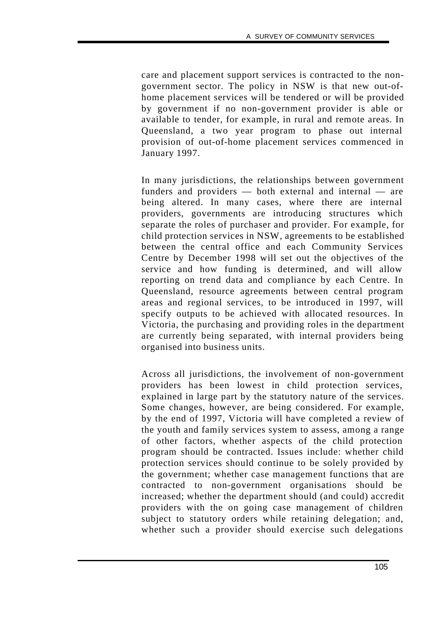care and placement support services is contracted to the nongovernment sector. The policy in NSW is that new out-ofhome placement services will be tendered or will be provided by government if no non-government provider is able or available to tender, for example, in rural and remote areas. In Queensland, a two year program to phase out internal provision of out-of-home placement services commenced in January 1997.

In many jurisdictions, the relationships between government funders and providers — both external and internal — are being altered. In many cases, where there are internal providers, governments are introducing structures which separate the roles of purchaser and provider. For example, for child protection services in NSW, agreements to be established between the central office and each Community Services Centre by December 1998 will set out the objectives of the service and how funding is determined, and will allow reporting on trend data and compliance by each Centre. In Queensland, resource agreements between central program areas and regional services, to be introduced in 1997, will specify outputs to be achieved with allocated resources. In Victoria, the purchasing and providing roles in the department are currently being separated, with internal providers being organised into business units.

Across all jurisdictions, the involvement of non-government providers has been lowest in child protection services, explained in large part by the statutory nature of the services. Some changes, however, are being considered. For example, by the end of 1997, Victoria will have completed a review of the youth and family services system to assess, among a range of other factors, whether aspects of the child protection program should be contracted. Issues include: whether child protection services should continue to be solely provided by the government; whether case management functions that are contracted to non-government organisations should be increased; whether the department should (and could) accredit providers with the on going case management of children subject to statutory orders while retaining delegation; and, whether such a provider should exercise such delegations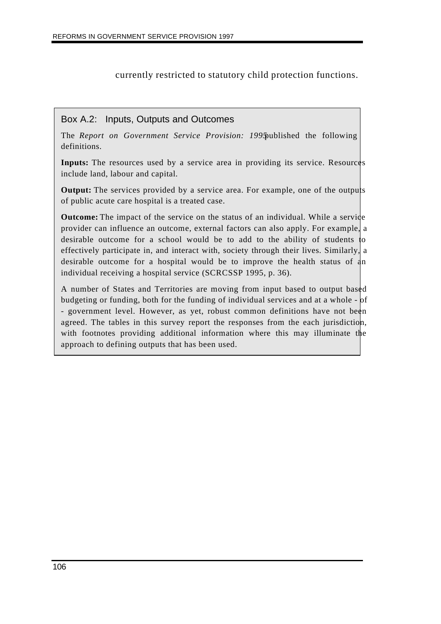### currently restricted to statutory child protection functions.

#### Box A.2: Inputs, Outputs and Outcomes

The *Report on Government Service Provision: 1995* published the following definitions.

**Inputs:** The resources used by a service area in providing its service. Resources include land, labour and capital.

**Output:** The services provided by a service area. For example, one of the outputs of public acute care hospital is a treated case.

**Outcome:** The impact of the service on the status of an individual. While a servide provider can influence an outcome, external factors can also apply. For example, a desirable outcome for a school would be to add to the ability of students to effectively participate in, and interact with, society through their lives. Similarly, a desirable outcome for a hospital would be to improve the health status of  $\ln$ individual receiving a hospital service (SCRCSSP 1995, p. 36).

A number of States and Territories are moving from input based to output based budgeting or funding, both for the funding of individual services and at a whole -  $pf$ - government level. However, as yet, robust common definitions have not been agreed. The tables in this survey report the responses from the each jurisdiction, with footnotes providing additional information where this may illuminate the approach to defining outputs that has been used.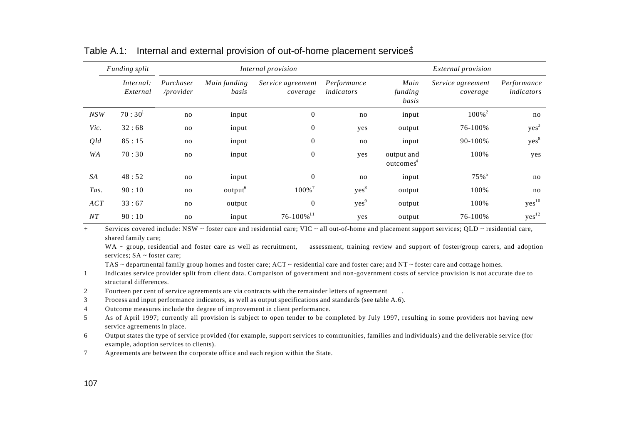|      | Funding split         |                        |                       | Internal provision            |                           | <i>External provision</i>           |                               |                           |
|------|-----------------------|------------------------|-----------------------|-------------------------------|---------------------------|-------------------------------------|-------------------------------|---------------------------|
|      | Internal:<br>External | Purchaser<br>/provider | Main funding<br>basis | Service agreement<br>coverage | Performance<br>indicators | Main<br>funding<br>basis            | Service agreement<br>coverage | Performance<br>indicators |
| NSW  | $70:30^{1}$           | no                     | input                 | $\overline{0}$                | no                        | input                               | $100\%$ <sup>2</sup>          | no                        |
| Vic. | 32:68                 | no                     | input                 | $\overline{0}$                | yes                       | output                              | 76-100%                       | yes <sup>3</sup>          |
| Qld  | 85:15                 | no                     | input                 | $\theta$                      | no                        | input                               | 90-100%                       | yes <sup>8</sup>          |
| WA   | 70:30                 | no                     | input                 | $\boldsymbol{0}$              | yes                       | output and<br>outcomes <sup>4</sup> | 100%                          | yes                       |
| SA   | 48:52                 | no                     | input                 | $\theta$                      | no                        | input                               | $75\%$ <sup>5</sup>           | no                        |
| Tas. | 90:10                 | no                     | output <sup>6</sup>   | $100\%$ <sup>7</sup>          | yes <sup>8</sup>          | output                              | 100%                          | no                        |
| ACT  | 33:67                 | no                     | output                | $\overline{0}$                | yes <sup>9</sup>          | output                              | 100%                          | yes <sup>10</sup>         |
| NT   | 90:10                 | no                     | input                 | $76 - 100\%$ <sup>11</sup>    | yes                       | output                              | 76-100%                       | yes <sup>12</sup>         |

Table A.1: Internal and external provision of out-of-home placement services

+ Services covered include: NSW ~ foster care and residential care; VIC ~ all out-of-home and placement support services; QLD ~ residential care, shared family care;

WA ~ group, residential and foster care as well as recruitment, assessment, training review and support of foster/group carers, and adoption services; SA ~ foster care;

TAS  $\sim$  departmental family group homes and foster care; ACT  $\sim$  residential care and foster care; and NT  $\sim$  foster care and cottage homes.

- 1 Indicates service provider split from client data. Comparison of government and non-government costs of service provision is not accurate due to structural differences.
- 2 Fourteen per cent of service agreements are via contracts with the remainder letters of agreement .
- 3 Process and input performance indicators, as well as output specifications and standards (see table A.6).
- 4 Outcome measures include the degree of improvement in client performance.
- 5 As of April 1997; currently all provision is subject to open tender to be completed by July 1997, resulting in some providers not having new service agreements in place.
- 6 Output states the type of service provided (for example, support services to communities, families and individuals) and the deliverable service (for example, adoption services to clients).
- 7 Agreements are between the corporate office and each region within the State.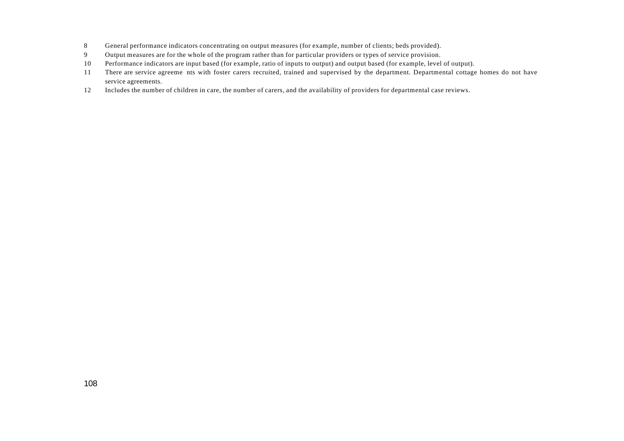- General performance indicators concentrating on output measures (for example, number of clients; beds provided).
- Output measures are for the whole of the program rather than for particular providers or types of service provision.
- Performance indicators are input based (for example, ratio of inputs to output) and output based (for example, level of output).
- There are service agreeme nts with foster carers recruited, trained and supervised by the department. Departmental cottage homes do not have service agreements.
- Includes the number of children in care, the number of carers, and the availability of providers for departmental case reviews.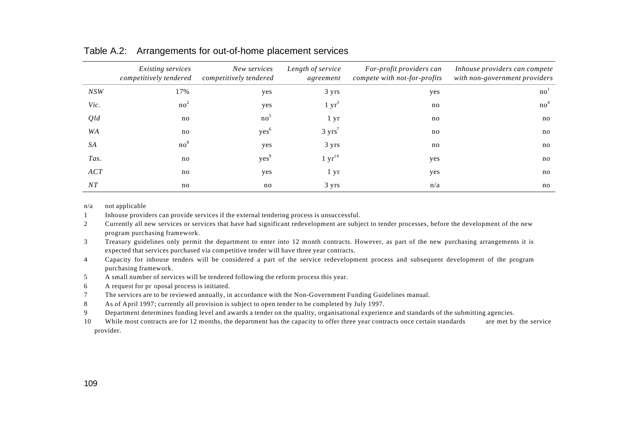|             | Existing services<br>competitively tendered | New services<br>competitively tendered | Length of service<br>agreement | For-profit providers can<br>compete with not-for-profits | Inhouse providers can compete<br>with non-government providers |
|-------------|---------------------------------------------|----------------------------------------|--------------------------------|----------------------------------------------------------|----------------------------------------------------------------|
| NSW         | 17%                                         | yes                                    | 3 yrs                          | yes                                                      | no <sup>3</sup>                                                |
| Vic.        | no <sup>2</sup>                             | yes                                    | $1 \, \text{yr}^3$             | no                                                       | $no^{\circ}$                                                   |
| Qld         | no                                          | no <sup>5</sup>                        | 1 <sub>yr</sub>                | no                                                       | no                                                             |
| WA          | no                                          | $yes^6$                                | $3 \text{ yrs}^7$              | no                                                       | no                                                             |
| SA          | no <sup>8</sup>                             | yes                                    | 3 yrs                          | no                                                       | no                                                             |
| Tas.        | no                                          | yes <sup>9</sup>                       | $1 \text{ yr}^{10}$            | yes                                                      | no                                                             |
| ACT         | no                                          | yes                                    | 1 yr                           | yes                                                      | no                                                             |
| ${\cal NT}$ | no                                          | no                                     | 3 yrs                          | n/a                                                      | no                                                             |

Table A.2: Arrangements for out-of-home placement services

n/a not applicable

1 Inhouse providers can provide services if the external tendering process is unsuccessful.

- 2 Currently all new services or services that have had significant redevelopment are subject to tender processes, before the development of the new program purchasing framework.
- 3 Treasury guidelines only permit the department to enter into 12 month contracts. However, as part of the new purchasing arrangements it is expected that services purchased via competitive tender will have three year contracts.
- 4 Capacity for inhouse tenders will be considered a part of the service redevelopment process and subsequent development of the program purchasing framework.
- 5 A small number of services will be tendered following the reform process this year.
- 6 A request for pr oposal process is initiated.
- 7 The services are to be reviewed annually, in accordance with the Non-Government Funding Guidelines manual.
- 8 As of April 1997; currently all provision is subject to open tender to be completed by July 1997.
- 9 Department determines funding level and awards a tender on the quality, organisational experience and standards of the submitting agencies.
- 10 While most contracts are for 12 months, the department has the capacity to offer three year contracts once certain standards are met by the service provider.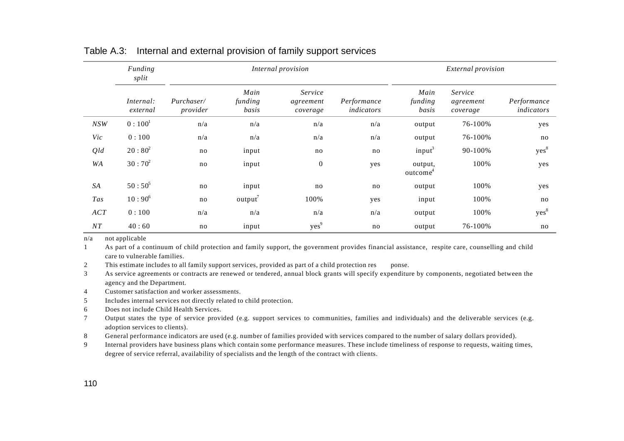|            | Funding<br>split      |                        |                          | Internal provision               | <b>External</b> provision |                                 |                                  |                           |
|------------|-----------------------|------------------------|--------------------------|----------------------------------|---------------------------|---------------------------------|----------------------------------|---------------------------|
|            | Internal:<br>external | Purchaser/<br>provider | Main<br>funding<br>basis | Service<br>agreement<br>coverage | Performance<br>indicators | Main<br>funding<br>basis        | Service<br>agreement<br>coverage | Performance<br>indicators |
| NSW        | $0:100^{1}$           | n/a                    | n/a                      | n/a                              | n/a                       | output                          | 76-100%                          | yes                       |
| Vic        | 0:100                 | n/a                    | n/a                      | n/a                              | n/a                       | output                          | 76-100%                          | no                        |
| Qld        | $20:80^{2}$           | no                     | input                    | no                               | no                        | input <sup>3</sup>              | 90-100%                          | yes <sup>8</sup>          |
| WA         | $30:70^{2}$           | no                     | input                    | $\boldsymbol{0}$                 | yes                       | output,<br>outcome <sup>4</sup> | 100%                             | yes                       |
| SA         | $50:50^5$             | no                     | input                    | no                               | no                        | output                          | 100%                             | yes                       |
| <b>Tas</b> | $10:90^{6}$           | no                     | $output^7$               | 100%                             | yes                       | input                           | 100%                             | no                        |
| ACT        | 0:100                 | n/a                    | n/a                      | n/a                              | n/a                       | output                          | 100%                             | yes <sup>8</sup>          |
| NT         | 40:60                 | no                     | input                    | yes <sup>9</sup>                 | no                        | output                          | 76-100%                          | no                        |

Table A.3: Internal and external provision of family support services

n/a not applicable

1 As part of a continuum of child protection and family support, the government provides financial assistance, respite care, counselling and child care to vulnerable families.

2 This estimate includes to all family support services, provided as part of a child protection res ponse.

3 As service agreements or contracts are renewed or tendered, annual block grants will specify expenditure by components, negotiated between the agency and the Department.

4 Customer satisfaction and worker assessments.

5 Includes internal services not directly related to child protection.

6 Does not include Child Health Services.

7 Output states the type of service provided (e.g. support services to communities, families and individuals) and the deliverable services (e.g. adoption services to clients).

8 General performance indicators are used (e.g. number of families provided with services compared to the number of salary dollars provided).

9 Internal providers have business plans which contain some performance measures. These include timeliness of response to requests, waiting times, degree of service referral, availability of specialists and the length of the contract with clients.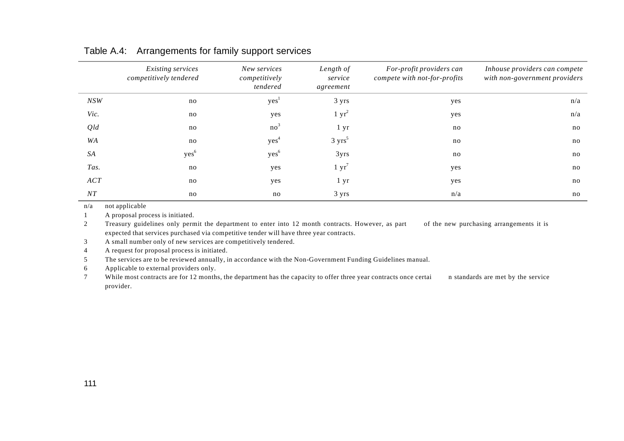|      | Existing services<br>competitively tendered | New services<br>competitively<br>tendered | Length of<br>service<br>agreement | For-profit providers can<br>compete with not-for-profits | Inhouse providers can compete<br>with non-government providers |
|------|---------------------------------------------|-------------------------------------------|-----------------------------------|----------------------------------------------------------|----------------------------------------------------------------|
| NSW  | no                                          | yes <sup>1</sup>                          | 3 yrs                             | yes                                                      | n/a                                                            |
| Vic. | no                                          | yes                                       | $1 \text{ yr}^2$                  | yes                                                      | n/a                                                            |
| Qld  | no                                          | no <sup>3</sup>                           | $1 \, yr$                         | no                                                       | no                                                             |
| WA   | no                                          | yes                                       | $3 \text{ yrs}^5$                 | no                                                       | no                                                             |
| SA   | yes <sup>6</sup>                            | yes <sup>6</sup>                          | 3yrs                              | no                                                       | no                                                             |
| Tas. | no                                          | yes                                       | $1 \, \text{yr}^7$                | yes                                                      | no                                                             |
| ACT  | no                                          | yes                                       | $1 \, yr$                         | yes                                                      | no                                                             |
| NT   | no                                          | no                                        | 3 yrs                             | n/a                                                      | no                                                             |

#### Table A.4: Arrangements for family support services

n/a not applicable

1 A proposal process is initiated.

2 Treasury guidelines only permit the department to enter into 12 month contracts. However, as part of the new purchasing arrangements it is expected that services purchased via competitive tender will have three year contracts.

3 A small number only of new services are competitively tendered.

4 A request for proposal process is initiated.

5 The services are to be reviewed annually, in accordance with the Non-Government Funding Guidelines manual.

6 Applicable to external providers only.

7 While most contracts are for 12 months, the department has the capacity to offer three year contracts once certai n standards are met by the service provider.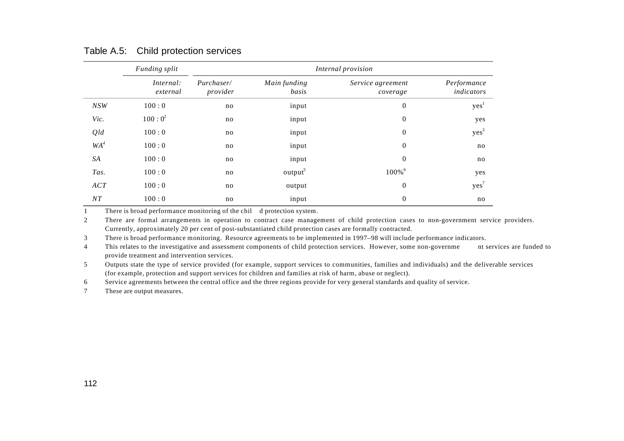|             | Funding split         | Internal provision     |                       |                               |                           |  |  |  |
|-------------|-----------------------|------------------------|-----------------------|-------------------------------|---------------------------|--|--|--|
|             | Internal:<br>external | Purchaser/<br>provider | Main funding<br>basis | Service agreement<br>coverage | Performance<br>indicators |  |  |  |
| NSW         | 100:0                 | no                     | input                 | $\boldsymbol{0}$              | yes <sup>1</sup>          |  |  |  |
| Vic.        | $100:0^2$             | no                     | input                 | $\overline{0}$                | yes                       |  |  |  |
| Qld         | 100:0                 | no                     | input                 | $\boldsymbol{0}$              | yes <sup>3</sup>          |  |  |  |
| $WA^4$      | 100:0                 | no                     | input                 | $\boldsymbol{0}$              | no                        |  |  |  |
| SA          | 100:0                 | no                     | input                 | $\boldsymbol{0}$              | no                        |  |  |  |
| Tas.        | 100:0                 | no                     | $output^5$            | $100\%$ <sup>6</sup>          | yes                       |  |  |  |
| ACT         | 100:0                 | no                     | output                | $\boldsymbol{0}$              | yes'                      |  |  |  |
| ${\cal NT}$ | 100:0                 | no                     | input                 | $\boldsymbol{0}$              | no                        |  |  |  |

#### Table A.5: Child protection services

1 There is broad performance monitoring of the chil d protection system.

2 There are formal arrangements in operation to contract case management of child protection cases to non-government service providers. Currently, approximately 20 per cent of post-substantiated child protection cases are formally contracted.

3 There is broad performance monitoring. Resource agreements to be implemented in 1997–98 will include performance indicators.

4 This relates to the investigative and assessment components of child protection services. However, some non-governme nt services are funded to provide treatment and intervention services.

5 Outputs state the type of service provided (for example, support services to communities, families and individuals) and the deliverable services (for example, protection and support services for children and families at risk of harm, abuse or neglect).

6 Service agreements between the central office and the three regions provide for very general standards and quality of service.

7 These are output measures.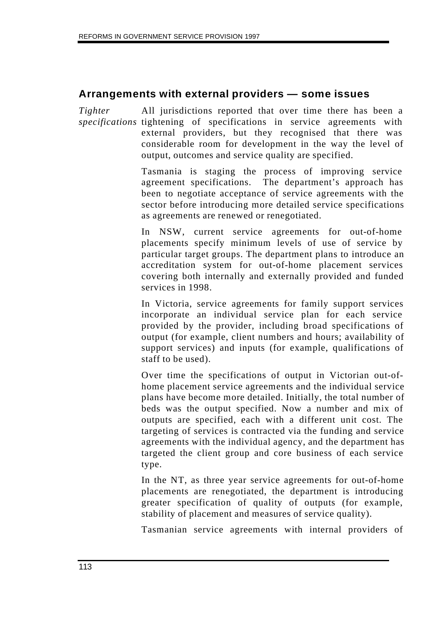## **Arrangements with external providers — some issues**

*Tighter specifications* tightening of specifications in service agreements with All jurisdictions reported that over time there has been a external providers, but they recognised that there was considerable room for development in the way the level of output, outcomes and service quality are specified.

> Tasmania is staging the process of improving service agreement specifications. The department's approach has been to negotiate acceptance of service agreements with the sector before introducing more detailed service specifications as agreements are renewed or renegotiated.

> In NSW, current service agreements for out-of-home placements specify minimum levels of use of service by particular target groups. The department plans to introduce an accreditation system for out-of-home placement services covering both internally and externally provided and funded services in 1998.

> In Victoria, service agreements for family support services incorporate an individual service plan for each service provided by the provider, including broad specifications of output (for example, client numbers and hours; availability of support services) and inputs (for example, qualifications of staff to be used).

> Over time the specifications of output in Victorian out-ofhome placement service agreements and the individual service plans have become more detailed. Initially, the total number of beds was the output specified. Now a number and mix of outputs are specified, each with a different unit cost. The targeting of services is contracted via the funding and service agreements with the individual agency, and the department has targeted the client group and core business of each service type.

> In the NT, as three year service agreements for out-of-home placements are renegotiated, the department is introducing greater specification of quality of outputs (for example, stability of placement and measures of service quality).

> Tasmanian service agreements with internal providers of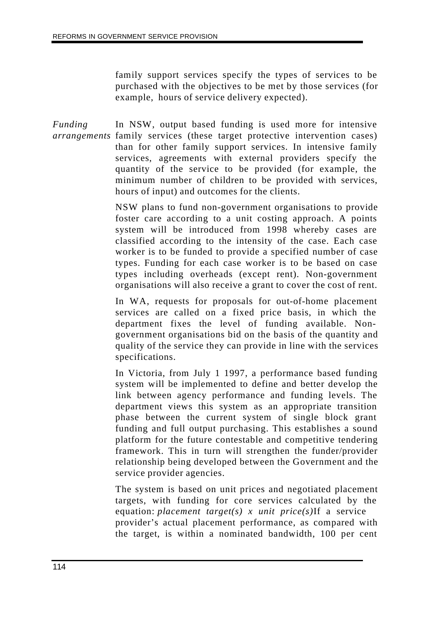family support services specify the types of services to be purchased with the objectives to be met by those services (for example, hours of service delivery expected).

*Funding arrangements* family services (these target protective intervention cases) In NSW, output based funding is used more for intensive than for other family support services. In intensive family services, agreements with external providers specify the quantity of the service to be provided (for example, the minimum number of children to be provided with services, hours of input) and outcomes for the clients.

> NSW plans to fund non-government organisations to provide foster care according to a unit costing approach. A points system will be introduced from 1998 whereby cases are classified according to the intensity of the case. Each case worker is to be funded to provide a specified number of case types. Funding for each case worker is to be based on case types including overheads (except rent). Non-government organisations will also receive a grant to cover the cost of rent.

> In WA, requests for proposals for out-of-home placement services are called on a fixed price basis, in which the department fixes the level of funding available. Nongovernment organisations bid on the basis of the quantity and quality of the service they can provide in line with the services specifications.

> In Victoria, from July 1 1997, a performance based funding system will be implemented to define and better develop the link between agency performance and funding levels. The department views this system as an appropriate transition phase between the current system of single block grant funding and full output purchasing. This establishes a sound platform for the future contestable and competitive tendering framework. This in turn will strengthen the funder/provider relationship being developed between the Government and the service provider agencies.

> The system is based on unit prices and negotiated placement targets, with funding for core services calculated by the equation: *placement target(s) x unit price(s)*If a service provider's actual placement performance, as compared with the target, is within a nominated bandwidth, 100 per cent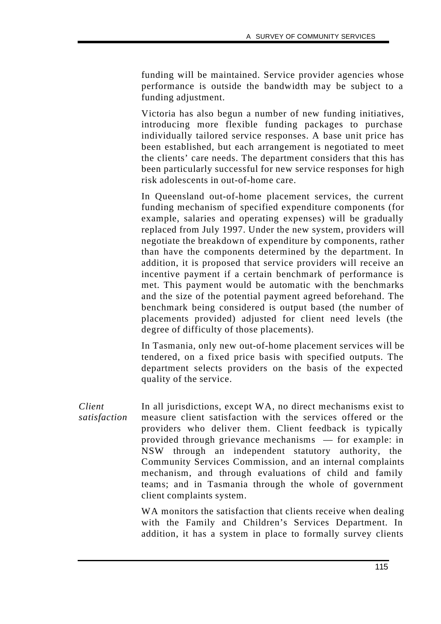funding will be maintained. Service provider agencies whose performance is outside the bandwidth may be subject to a funding adjustment.

Victoria has also begun a number of new funding initiatives, introducing more flexible funding packages to purchase individually tailored service responses. A base unit price has been established, but each arrangement is negotiated to meet the clients' care needs. The department considers that this has been particularly successful for new service responses for high risk adolescents in out-of-home care.

In Queensland out-of-home placement services, the current funding mechanism of specified expenditure components (for example, salaries and operating expenses) will be gradually replaced from July 1997. Under the new system, providers will negotiate the breakdown of expenditure by components, rather than have the components determined by the department. In addition, it is proposed that service providers will receive an incentive payment if a certain benchmark of performance is met. This payment would be automatic with the benchmarks and the size of the potential payment agreed beforehand. The benchmark being considered is output based (the number of placements provided) adjusted for client need levels (the degree of difficulty of those placements).

In Tasmania, only new out-of-home placement services will be tendered, on a fixed price basis with specified outputs. The department selects providers on the basis of the expected quality of the service.

*Client satisfaction* In all jurisdictions, except WA, no direct mechanisms exist to measure client satisfaction with the services offered or the providers who deliver them. Client feedback is typically provided through grievance mechanisms — for example: in NSW through an independent statutory authority, the Community Services Commission, and an internal complaints mechanism, and through evaluations of child and family teams; and in Tasmania through the whole of government client complaints system.

> WA monitors the satisfaction that clients receive when dealing with the Family and Children's Services Department. In addition, it has a system in place to formally survey clients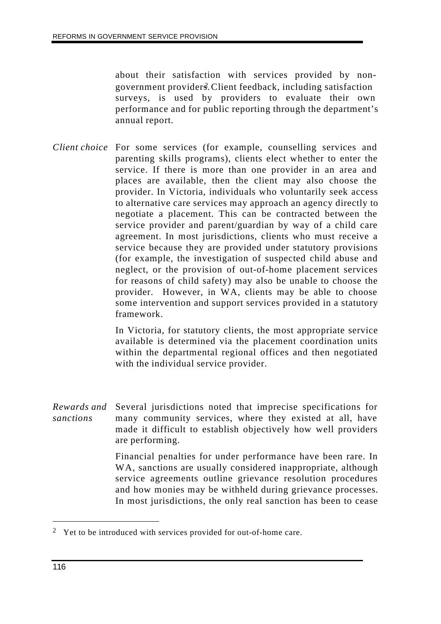about their satisfaction with services provided by nongovernment providers. Client feedback, including satisfaction surveys, is used by providers to evaluate their own performance and for public reporting through the department's annual report.

*Client choice* For some services (for example, counselling services and parenting skills programs), clients elect whether to enter the service. If there is more than one provider in an area and places are available, then the client may also choose the provider. In Victoria, individuals who voluntarily seek access to alternative care services may approach an agency directly to negotiate a placement. This can be contracted between the service provider and parent/guardian by way of a child care agreement. In most jurisdictions, clients who must receive a service because they are provided under statutory provisions (for example, the investigation of suspected child abuse and neglect, or the provision of out-of-home placement services for reasons of child safety) may also be unable to choose the provider. However, in WA, clients may be able to choose some intervention and support services provided in a statutory framework.

> In Victoria, for statutory clients, the most appropriate service available is determined via the placement coordination units within the departmental regional offices and then negotiated with the individual service provider.

*Rewards and sanctions* Several jurisdictions noted that imprecise specifications for many community services, where they existed at all, have made it difficult to establish objectively how well providers are performing.

> Financial penalties for under performance have been rare. In WA, sanctions are usually considered inappropriate, although service agreements outline grievance resolution procedures and how monies may be withheld during grievance processes. In most jurisdictions, the only real sanction has been to cease

<sup>&</sup>lt;sup>2</sup> Yet to be introduced with services provided for out-of-home care.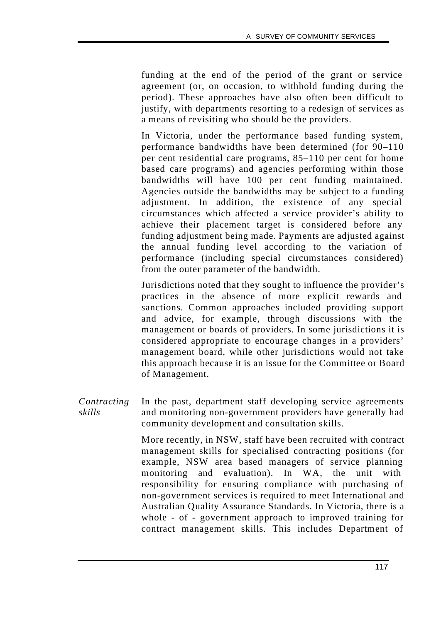funding at the end of the period of the grant or service agreement (or, on occasion, to withhold funding during the period). These approaches have also often been difficult to justify, with departments resorting to a redesign of services as a means of revisiting who should be the providers.

In Victoria, under the performance based funding system, performance bandwidths have been determined (for 90–110 per cent residential care programs, 85–110 per cent for home based care programs) and agencies performing within those bandwidths will have 100 per cent funding maintained. Agencies outside the bandwidths may be subject to a funding adjustment. In addition, the existence of any special circumstances which affected a service provider's ability to achieve their placement target is considered before any funding adjustment being made. Payments are adjusted against the annual funding level according to the variation of performance (including special circumstances considered) from the outer parameter of the bandwidth.

Jurisdictions noted that they sought to influence the provider's practices in the absence of more explicit rewards and sanctions. Common approaches included providing support and advice, for example, through discussions with the management or boards of providers. In some jurisdictions it is considered appropriate to encourage changes in a providers' management board, while other jurisdictions would not take this approach because it is an issue for the Committee or Board of Management.

*Contracting skills* In the past, department staff developing service agreements and monitoring non-government providers have generally had community development and consultation skills.

> More recently, in NSW, staff have been recruited with contract management skills for specialised contracting positions (for example, NSW area based managers of service planning monitoring and evaluation). In WA, the unit with responsibility for ensuring compliance with purchasing of non-government services is required to meet International and Australian Quality Assurance Standards. In Victoria, there is a whole - of - government approach to improved training for contract management skills. This includes Department of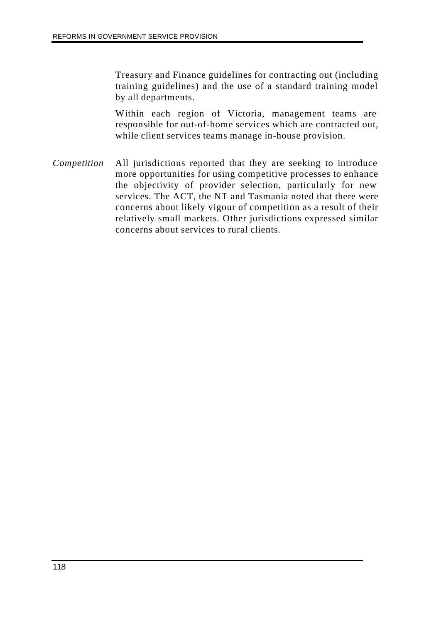Treasury and Finance guidelines for contracting out (including training guidelines) and the use of a standard training model by all departments.

Within each region of Victoria, management teams are responsible for out-of-home services which are contracted out, while client services teams manage in-house provision.

*Competition* All jurisdictions reported that they are seeking to introduce more opportunities for using competitive processes to enhance the objectivity of provider selection, particularly for new services. The ACT, the NT and Tasmania noted that there were concerns about likely vigour of competition as a result of their relatively small markets. Other jurisdictions expressed similar concerns about services to rural clients.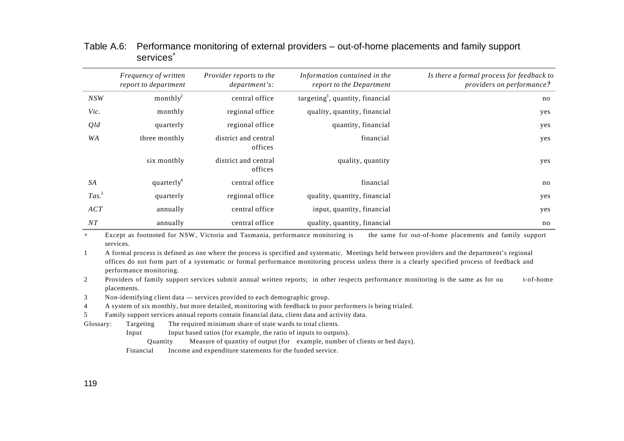|                   | Frequency of written<br>report to department | Provider reports to the<br>department's: | Information contained in the<br>report to the Department | Is there a formal process for feedback to<br>providers on performance? |
|-------------------|----------------------------------------------|------------------------------------------|----------------------------------------------------------|------------------------------------------------------------------------|
| NSW               | $\text{month1y}^2$                           | central office                           | targeting <sup>3</sup> , quantity, financial             | no                                                                     |
| Vic.              | monthly                                      | regional office                          | quality, quantity, financial                             | yes                                                                    |
| Qld               | quarterly                                    | regional office                          | quantity, financial                                      | yes                                                                    |
| WA                | three monthly                                | district and central<br>offices          | financial                                                | yes                                                                    |
|                   | six monthly                                  | district and central<br>offices          | quality, quantity                                        | yes                                                                    |
| SA                | quarterly <sup>4</sup>                       | central office                           | financial                                                | no                                                                     |
| $\mathit{Tas.}^5$ | quarterly                                    | regional office                          | quality, quantity, financial                             | yes                                                                    |
| ACT               | annually                                     | central office                           | input, quantity, financial                               | yes                                                                    |
| NT                | annually                                     | central office                           | quality, quantity, financial                             | no                                                                     |

#### Table A.6: Performance monitoring of external providers – out-of-home placements and family support services<sup>+</sup>

+ Except as footnoted for NSW, Victoria and Tasmania, performance monitoring is the same for out-of-home placements and family support services.

1 A formal process is defined as one where the process is specified and systematic. Meetings held between providers and the department's regional offices do not form part of a systematic or formal performance monitoring process unless there is a clearly specified process of feedback and performance monitoring.

2 Providers of family support services submit annual written reports; in other respects performance monitoring is the same as for ou t-of-home placements.

3 Non-identifying client data — services provided to each demographic group.

4 A system of six monthly, but more detailed, monitoring with feedback to poor performers is being trialed.

5 Family support services annual reports contain financial data, client data and activity data.

Glossary: Targeting The required minimum share of state wards to total clients.

Input Input based ratios (for example, the ratio of inputs to outputs).

Quantity Measure of quantity of output (for example, number of clients or bed days).

Financial Income and expenditure statements for the funded service.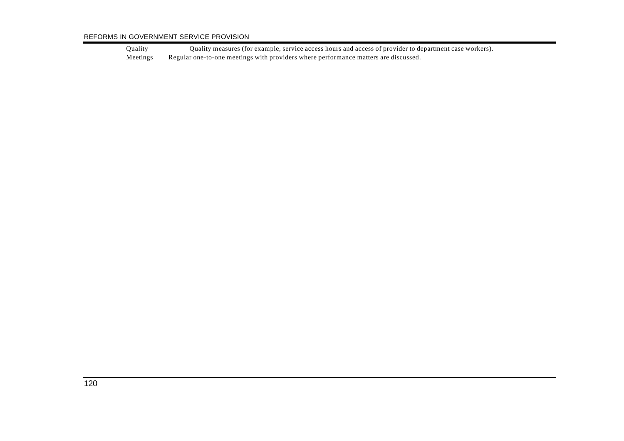#### REFORMS IN GOVERNMENT SERVICE PROVISION

Quality Quality measures (for example, service access hours and access of provider to department case workers). Meetings Regular one-to-one meetings with providers where performance matters are discussed.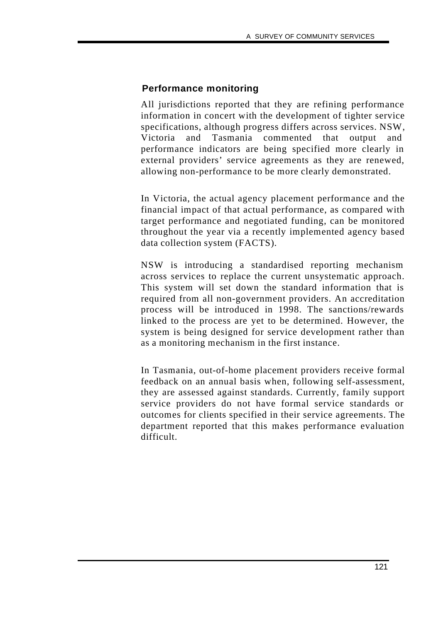## **Performance monitoring**

All jurisdictions reported that they are refining performance information in concert with the development of tighter service specifications, although progress differs across services. NSW, Victoria and Tasmania commented that output and performance indicators are being specified more clearly in external providers' service agreements as they are renewed, allowing non-performance to be more clearly demonstrated.

In Victoria, the actual agency placement performance and the financial impact of that actual performance, as compared with target performance and negotiated funding, can be monitored throughout the year via a recently implemented agency based data collection system (FACTS).

NSW is introducing a standardised reporting mechanism across services to replace the current unsystematic approach. This system will set down the standard information that is required from all non-government providers. An accreditation process will be introduced in 1998. The sanctions/rewards linked to the process are yet to be determined. However, the system is being designed for service development rather than as a monitoring mechanism in the first instance.

In Tasmania, out-of-home placement providers receive formal feedback on an annual basis when, following self-assessment, they are assessed against standards. Currently, family support service providers do not have formal service standards or outcomes for clients specified in their service agreements. The department reported that this makes performance evaluation difficult.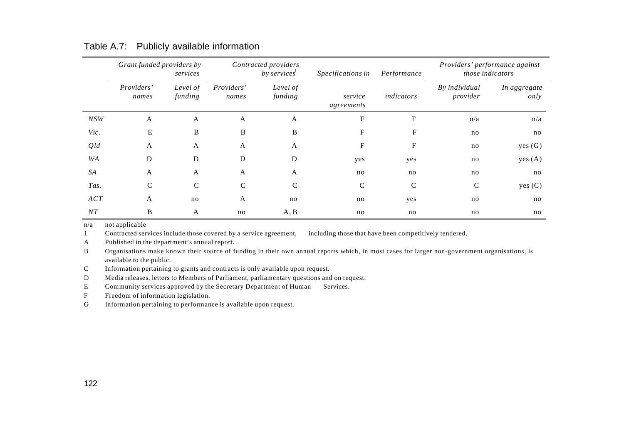|      | Grant funded providers by | services            |                     | Contracted providers<br>by services <sup>1</sup> | Specifications in         | Performance   | Providers' performance against<br><i>those indicators</i> |                      |
|------|---------------------------|---------------------|---------------------|--------------------------------------------------|---------------------------|---------------|-----------------------------------------------------------|----------------------|
|      | Providers'<br>names       | Level of<br>funding | Providers'<br>names | Level of<br>funding                              | service<br>agreements     | indicators    | By individual<br>provider                                 | In aggregate<br>only |
| NSW  | A                         | A                   | $\mathbf{A}$        | A                                                | ${\bf F}$                 | F             | n/a                                                       | n/a                  |
| Vic. | $\mathbf E$               | B                   | B                   | B                                                | $\boldsymbol{\mathrm{F}}$ | F             | no                                                        | no                   |
| Qld  | A                         | A                   | $\boldsymbol{A}$    | A                                                | F                         | $\mathbf{F}$  | no                                                        | yes(G)               |
| WA   | D                         | D                   | D                   | D                                                | yes                       | yes           | no                                                        | yes(A)               |
| SA   | A                         | A                   | $\mathbf{A}$        | A                                                | no                        | no            | no                                                        | no                   |
| Tas. | $\mathsf{C}$              | C                   | $\mathcal{C}$       | $\mathcal{C}$                                    | $\mathbf C$               | $\mathcal{C}$ | $\mathcal{C}$                                             | yes(C)               |
| ACT  | A                         | no                  | $\mathbf{A}$        | no                                               | no                        | yes           | no                                                        | no                   |
| NT   | B                         | A                   | no                  | A, B                                             | no                        | no            | no                                                        | no                   |

Table A.7: Publicly available information

n/a not applicable

1 Contracted services include those covered by a service agreement, including those that have been competitively tendered.

A Published in the department's annual report.

B Organisations make known their source of funding in their own annual reports which, in most cases for larger non-government organisations, is available to the public.

C Information pertaining to grants and contracts is only available upon request.

D Media releases, letters to Members of Parliament, parliamentary questions and on request.

E Community services approved by the Secretary Department of Human Services.

F Freedom of information legislation.

G Information pertaining to performance is available upon request.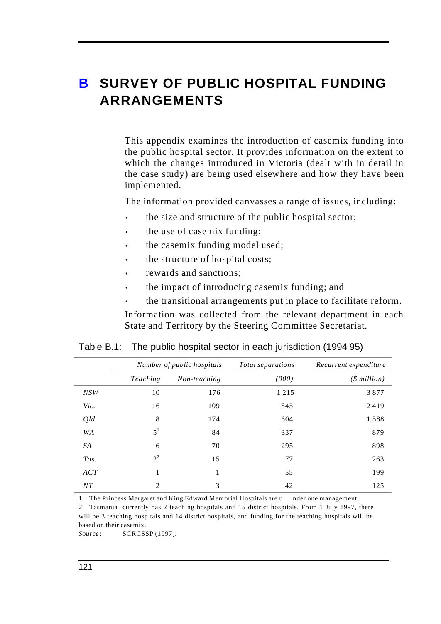# **B SURVEY OF PUBLIC HOSPITAL FUNDING ARRANGEMENTS**

This appendix examines the introduction of casemix funding into the public hospital sector. It provides information on the extent to which the changes introduced in Victoria (dealt with in detail in the case study) are being used elsewhere and how they have been implemented.

The information provided canvasses a range of issues, including:

- the size and structure of the public hospital sector;
- the use of casemix funding;
- the casemix funding model used;
- the structure of hospital costs;
- rewards and sanctions;
- the impact of introducing casemix funding; and
- the transitional arrangements put in place to facilitate reform.

Information was collected from the relevant department in each State and Territory by the Steering Committee Secretariat.

|  |  | Table B.1: The public hospital sector in each jurisdiction (1994-95) |  |  |
|--|--|----------------------------------------------------------------------|--|--|
|--|--|----------------------------------------------------------------------|--|--|

|      |                | Number of public hospitals<br>Total separations |         | Recurrent expenditure |
|------|----------------|-------------------------------------------------|---------|-----------------------|
|      | Teaching       | Non-teaching                                    | (000)   | (\$million)           |
| NSW  | 10             | 176                                             | 1 2 1 5 | 3877                  |
| Vic. | 16             | 109                                             | 845     | 2419                  |
| Qld  | 8              | 174                                             | 604     | 1588                  |
| WA   | $5^1$          | 84                                              | 337     | 879                   |
| SA   | 6              | 70                                              | 295     | 898                   |
| Tas. | $2^2$          | 15                                              | 77      | 263                   |
| ACT  | 1              | 1                                               | 55      | 199                   |
| NT   | $\overline{2}$ | 3                                               | 42      | 125                   |

1 The Princess Margaret and King Edward Memorial Hospitals are u nder one management.

2 Tasmania currently has 2 teaching hospitals and 15 district hospitals. From 1 July 1997, there will be 3 teaching hospitals and 14 district hospitals, and funding for the teaching hospitals will be based on their casemix.

*Source* : SCRCSSP (1997).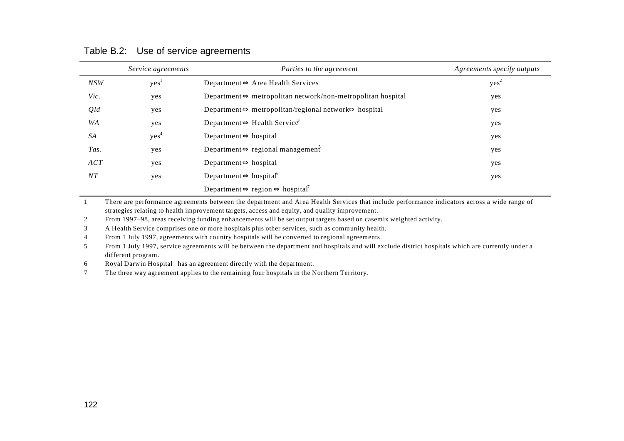|      | Service agreements | Parties to the agreement                                                              | Agreements specify outputs |
|------|--------------------|---------------------------------------------------------------------------------------|----------------------------|
| NSW  | yes <sup>1</sup>   | Department $\Leftrightarrow$ Area Health Services                                     | $yes^2$                    |
| Vic. | yes                | Department $\Leftrightarrow$ metropolitan network/non-metropolitan hospital           | yes                        |
| Qld  | yes                | Department $\Leftrightarrow$ metropolitan/regional network $\Leftrightarrow$ hospital | yes                        |
| WA   | yes                | Department $\Leftrightarrow$ Health Service <sup>3</sup>                              | yes                        |
| SA   | yes <sup>4</sup>   | Department $\Leftrightarrow$ hospital                                                 | yes                        |
| Tas. | yes                | Department $\Leftrightarrow$ regional management                                      | yes                        |
| ACT  | yes                | Department $\Leftrightarrow$ hospital                                                 | yes                        |
| NT   | yes                | Department $\Leftrightarrow$ hospital <sup>6</sup>                                    | yes                        |
|      |                    | Department $\Leftrightarrow$ region $\Leftrightarrow$ hospital <sup>7</sup>           |                            |

#### Table B.2: Use of service agreements

1 There are performance agreements between the department and Area Health Services that include performance indicators across a wide range of strategies relating to health improvement targets, access and equity, and quality improvement.

2 From 1997–98, areas receiving funding enhancements will be set output targets based on casemix weighted activity.

3 A Health Service comprises one or more hospitals plus other services, such as community health.

4 From 1 July 1997, agreements with country hospitals will be converted to regional agreements.

5 From 1 July 1997, service agreements will be between the department and hospitals and will exclude district hospitals which are currently under a different program.

6 Royal Darwin Hospital has an agreement directly with the department.

7 The three way agreement applies to the remaining four hospitals in the Northern Territory.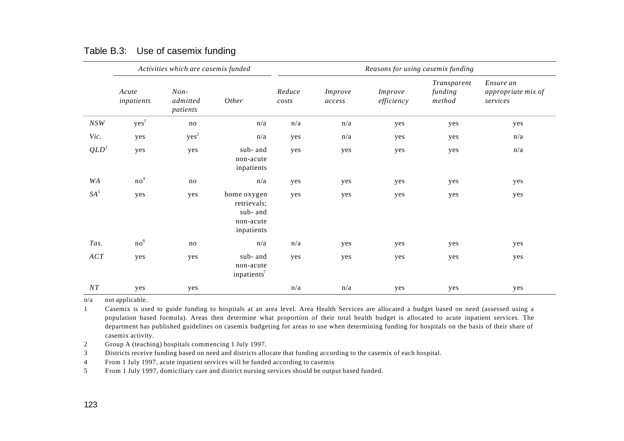|           | Activities which are casemix funded |                                |                                                                   | Reasons for using casemix funding |                          |                       |                                  |                                             |
|-----------|-------------------------------------|--------------------------------|-------------------------------------------------------------------|-----------------------------------|--------------------------|-----------------------|----------------------------------|---------------------------------------------|
|           | Acute<br>inpatients                 | $Non-$<br>admitted<br>patients | Other                                                             | Reduce<br>costs                   | <i>Improve</i><br>access | Improve<br>efficiency | Transparent<br>funding<br>method | Ensure an<br>appropriate mix of<br>services |
| $NSW$     | yes <sup>1</sup>                    | no                             | n/a                                                               | n/a                               | n/a                      | yes                   | yes                              | yes                                         |
| Vic.      | yes                                 | yes <sup>2</sup>               | n/a                                                               | yes                               | n/a                      | yes                   | yes                              | n/a                                         |
| $QLD^3$   | yes                                 | yes                            | sub- and<br>non-acute<br>inpatients                               | yes                               | yes                      | yes                   | yes                              | n/a                                         |
| WA        | no <sup>4</sup>                     | no                             | n/a                                                               | yes                               | yes                      | yes                   | yes                              | yes                                         |
| $SA^5$    | yes                                 | yes                            | home oxygen<br>retrievals;<br>sub- and<br>non-acute<br>inpatients | yes                               | yes                      | yes                   | yes                              | yes                                         |
| Tas.      | no <sup>6</sup>                     | no                             | n/a                                                               | n/a                               | yes                      | yes                   | yes                              | yes                                         |
| ACT       | yes                                 | yes                            | sub- and<br>non-acute<br>inpatients <sup>7</sup>                  | yes                               | yes                      | yes                   | yes                              | yes                                         |
| $\cal NT$ | yes                                 | yes                            |                                                                   | n/a                               | n/a                      | yes                   | yes                              | yes                                         |

| Table B.3: Use of casemix funding |  |  |  |
|-----------------------------------|--|--|--|
|-----------------------------------|--|--|--|

 $\overline{n/a}$  not applicable.

1 Casemix is used to guide funding to hospitals at an area level. Area Health Services are allocated a budget based on need (assessed using a population based formula). Areas then determine what proportion of their total health budget is allocated to acute inpatient services. The department has published guidelines on casemix budgeting for areas to use when determining funding for hospitals on the basis of their share of casemix activity.

2 Group A (teaching) hospitals commencing 1 July 1997.

3 Districts receive funding based on need and districts allocate that funding according to the casemix of each hospital.

4 From 1 July 1997, acute inpatient services will be funded according to casemix

5 From 1 July 1997, domiciliary care and district nursing services should be output based funded.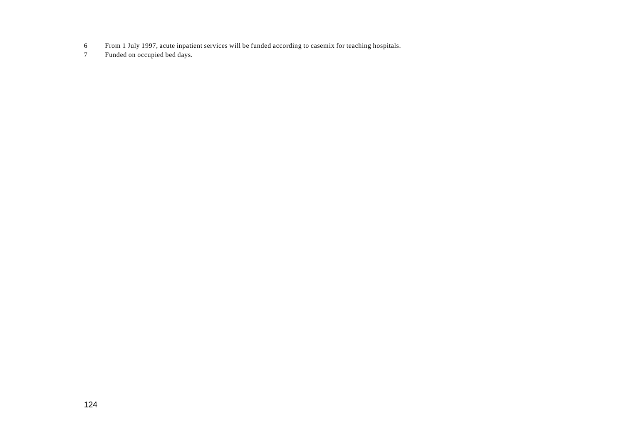- From 1 July 1997, acute inpatient services will be funded according to casemix for teaching hospitals.
- Funded on occupied bed days.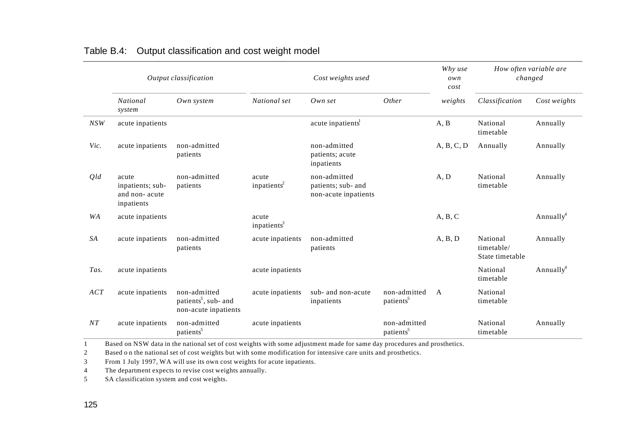|      |                                                          | Output classification                                                    | Cost weights used                |                                                            |                                       | Why use<br>own<br>cost | How often variable are<br>changed         |                       |  |
|------|----------------------------------------------------------|--------------------------------------------------------------------------|----------------------------------|------------------------------------------------------------|---------------------------------------|------------------------|-------------------------------------------|-----------------------|--|
|      | <b>National</b><br>system                                | Own system                                                               | National set                     | Own set                                                    | Other                                 | weights                | Classification                            | Cost weights          |  |
| NSW  | acute inpatients                                         |                                                                          |                                  | acute inpatients <sup>1</sup>                              |                                       | A, B                   | National<br>timetable                     | Annually              |  |
| Vic. | acute inpatients                                         | non-admitted<br>patients                                                 |                                  | non-admitted<br>patients; acute<br>inpatients              |                                       | A, B, C, D             | Annually                                  | Annually              |  |
| Qld  | acute<br>inpatients; sub-<br>and non-acute<br>inpatients | non-admitted<br>patients                                                 | acute<br>inpatients <sup>2</sup> | non-admitted<br>patients; sub- and<br>non-acute inpatients |                                       | A, D                   | National<br>timetable                     | Annually              |  |
| WA   | acute inpatients                                         |                                                                          | acute<br>inpatients <sup>3</sup> |                                                            |                                       | A, B, C                |                                           | Annually <sup>4</sup> |  |
| SA   | acute inpatients                                         | non-admitted<br>patients                                                 | acute inpatients                 | non-admitted<br>patients                                   |                                       | A, B, D                | National<br>timetable/<br>State timetable | Annually              |  |
| Tas. | acute inpatients                                         |                                                                          | acute inpatients                 |                                                            |                                       |                        | National<br>timetable                     | Annually <sup>4</sup> |  |
| ACT  | acute inpatients                                         | non-admitted<br>patients <sup>5</sup> , sub- and<br>non-acute inpatients | acute inpatients                 | sub- and non-acute<br>inpatients                           | non-admitted<br>patients <sup>5</sup> | $\mathsf{A}$           | National<br>timetable                     |                       |  |
| NT   | acute inpatients                                         | non-admitted<br>patients <sup>5</sup>                                    | acute inpatients                 |                                                            | non-admitted<br>patients <sup>5</sup> |                        | National<br>timetable                     | Annually              |  |

# Table B.4: Output classification and cost weight model

1 Based on NSW data in the national set of cost weights with some adjustment made for same day procedures and prosthetics.

2 Based o n the national set of cost weights but with some modification for intensive care units and prosthetics.

3 From 1 July 1997, WA will use its own cost weights for acute inpatients.

4 The department expects to revise cost weights annually.

5 SA classification system and cost weights.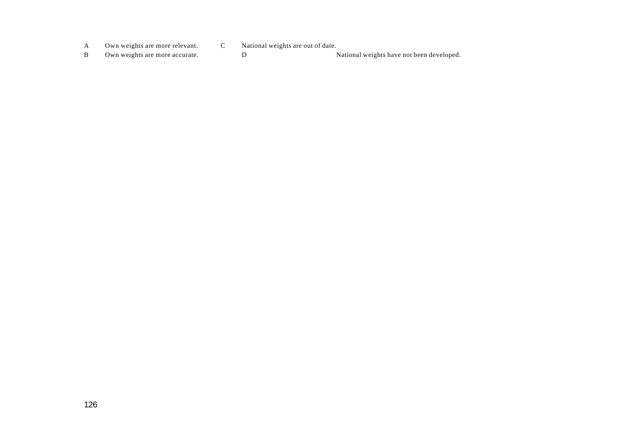- 
- 
- A Own weights are more relevant. C National weights are out of date.<br>B Own weights are more accurate. D 1 B Own weights are more accurate.  $D$  D National weights have not been developed.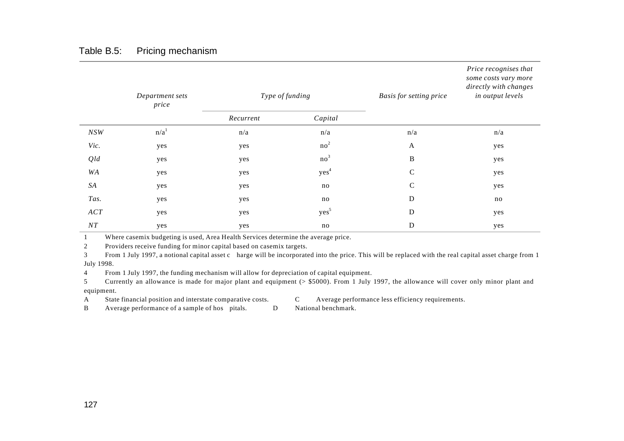|      | Department sets<br>price | Type of funding |                         | <b>Basis for setting price</b> | Price recognises that<br>some costs vary more<br>directly with changes<br>in output levels |
|------|--------------------------|-----------------|-------------------------|--------------------------------|--------------------------------------------------------------------------------------------|
|      |                          | Recurrent       | Capital                 |                                |                                                                                            |
| NSW  | n/a <sup>1</sup>         | n/a             | $\mathrm{n}/\mathrm{a}$ | $\mathrm{n}/\mathrm{a}$        | n/a                                                                                        |
| Vic. | yes                      | yes             | no <sup>2</sup>         | $\mathbf{A}$                   | yes                                                                                        |
| Qld  | yes                      | yes             | no <sup>3</sup>         | $\, {\bf B}$                   | yes                                                                                        |
| WA   | yes                      | yes             | yes <sup>4</sup>        | $\mathbf C$                    | yes                                                                                        |
| SA   | yes                      | yes             | no                      | $\mathbf C$                    | yes                                                                                        |
| Tas. | yes                      | yes             | no                      | D                              | no                                                                                         |
| ACT  | yes                      | yes             | yes <sup>5</sup>        | $\mathbf D$                    | yes                                                                                        |
| NT   | yes                      | yes             | no                      | D                              | yes                                                                                        |

#### Table B.5: Pricing mechanism

1 Where casemix budgeting is used, Area Health Services determine the average price.

2 Providers receive funding for minor capital based on casemix targets.

3 From 1 July 1997, a notional capital asset c harge will be incorporated into the price. This will be replaced with the real capital asset charge from 1 July 1998.

4 From 1 July 1997, the funding mechanism will allow for depreciation of capital equipment.

5 Currently an allowance is made for major plant and equipment (> \$5000). From 1 July 1997, the allowance will cover only minor plant and equipment.

A State financial position and interstate comparative costs. C Average performance less efficiency requirements.

B Average performance of a sample of hos pitals. D National benchmark.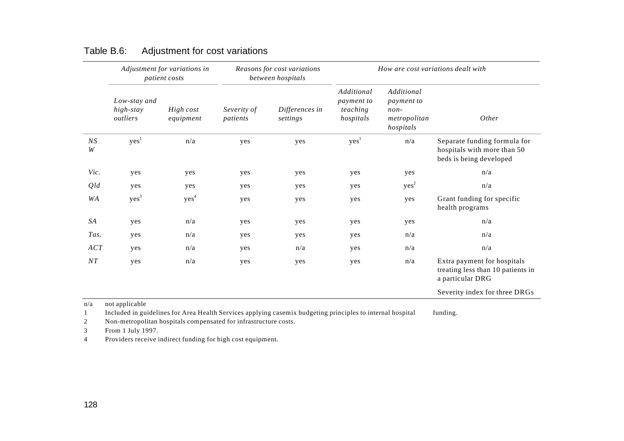|               | Adjustment for variations in<br>patient costs |                        | Reasons for cost variations<br>between hospitals |                            |                                                   |                                                                 | How are cost variations dealt with                                                     |
|---------------|-----------------------------------------------|------------------------|--------------------------------------------------|----------------------------|---------------------------------------------------|-----------------------------------------------------------------|----------------------------------------------------------------------------------------|
|               | Low-stay and<br>high-stay<br>outliers         | High cost<br>equipment | Severity of<br>patients                          | Differences in<br>settings | Additional<br>payment to<br>teaching<br>hospitals | Additional<br>payment to<br>$non-$<br>metropolitan<br>hospitals | Other                                                                                  |
| $\it NS$<br>W | yes <sup>1</sup>                              | n/a                    | yes                                              | yes                        | yes <sup>1</sup>                                  | n/a                                                             | Separate funding formula for<br>hospitals with more than 50<br>beds is being developed |
| Vic.          | yes                                           | yes                    | yes                                              | yes                        | yes                                               | yes                                                             | n/a                                                                                    |
| Qld           | yes                                           | yes                    | yes                                              | yes                        | yes                                               | yes <sup>2</sup>                                                | n/a                                                                                    |
| WA            | yes <sup>3</sup>                              | yes <sup>4</sup>       | yes                                              | yes                        | yes                                               | yes                                                             | Grant funding for specific<br>health programs                                          |
| SA            | yes                                           | n/a                    | yes                                              | yes                        | yes                                               | yes                                                             | n/a                                                                                    |
| Tas.          | yes                                           | n/a                    | yes                                              | yes                        | yes                                               | n/a                                                             | n/a                                                                                    |
| ACT           | yes                                           | n/a                    | yes                                              | n/a                        | yes                                               | n/a                                                             | n/a                                                                                    |
| ${\cal NT}$   | yes                                           | n/a                    | yes                                              | yes                        | yes                                               | n/a                                                             | Extra payment for hospitals<br>treating less than 10 patients in<br>a particular DRG   |
|               |                                               |                        |                                                  |                            |                                                   |                                                                 | Severity index for three DRGs                                                          |

# Table B.6: Adjustment for cost variations

n/a not applicable

1 Included in guidelines for Area Health Services applying casemix budgeting principles to internal hospital funding.

2 Non-metropolitan hospitals compensated for infrastructure costs.

3 From 1 July 1997.

4 Providers receive indirect funding for high cost equipment.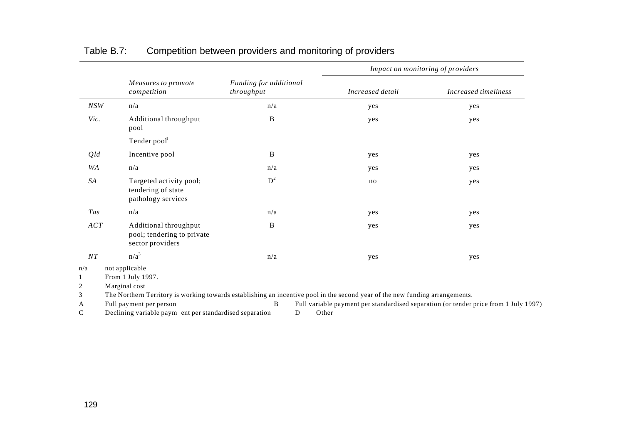|       |                                                                         |                                      | Impact on monitoring of providers |                      |  |  |  |
|-------|-------------------------------------------------------------------------|--------------------------------------|-----------------------------------|----------------------|--|--|--|
|       | Measures to promote<br>competition                                      | Funding for additional<br>throughput | Increased detail                  | Increased timeliness |  |  |  |
| $NSW$ | n/a                                                                     | n/a                                  | yes                               | yes                  |  |  |  |
| Vic.  | Additional throughput<br>pool                                           | $\, {\bf B}$                         | yes                               | yes                  |  |  |  |
|       | Tender pool                                                             |                                      |                                   |                      |  |  |  |
| Qld   | Incentive pool                                                          | B                                    | yes                               | yes                  |  |  |  |
| WA    | n/a                                                                     | n/a                                  | yes                               | yes                  |  |  |  |
| SA    | Targeted activity pool;<br>tendering of state<br>pathology services     | $D^2$                                | no                                | yes                  |  |  |  |
| Tas   | n/a                                                                     | n/a                                  | yes                               | yes                  |  |  |  |
| ACT   | Additional throughput<br>pool; tendering to private<br>sector providers | B                                    | yes                               | yes                  |  |  |  |
| NT    | $n/a^3$                                                                 | n/a                                  | yes                               | yes                  |  |  |  |

### Table B.7: Competition between providers and monitoring of providers

n/a not applicable

1 From 1 July 1997.

2 Marginal cost

3 The Northern Territory is working towards establishing an incentive pool in the second year of the new funding arrangements.

A Full payment per person B Full variable payment per standardised separation (or tender price from 1 July 1997)

C Declining variable paym ent per standardised separation D Other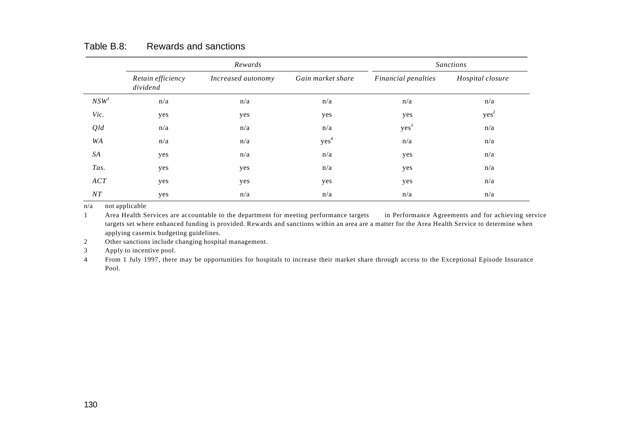|                  |                               | Rewards            | <b>Sanctions</b>  |                     |                  |  |  |
|------------------|-------------------------------|--------------------|-------------------|---------------------|------------------|--|--|
|                  | Retain efficiency<br>dividend | Increased autonomy | Gain market share | Financial penalties | Hospital closure |  |  |
| NSW <sup>1</sup> | n/a                           | n/a                | n/a               | n/a                 | n/a              |  |  |
| Vic.             | yes                           | yes                | yes               | yes                 | yes <sup>2</sup> |  |  |
| Qld              | n/a                           | n/a                | n/a               | yes <sup>3</sup>    | n/a              |  |  |
| WA               | n/a                           | n/a                | yes <sup>4</sup>  | n/a                 | n/a              |  |  |
| SA               | yes                           | n/a                | n/a               | yes                 | n/a              |  |  |
| Tas.             | yes                           | yes                | n/a               | yes                 | n/a              |  |  |
| ACT              | yes                           | yes                | yes               | yes                 | n/a              |  |  |
| NT               | yes                           | n/a                | n/a               | n/a                 | n/a              |  |  |

### Table B.8: Rewards and sanctions

n/a not applicable

1 Area Health Services are accountable to the department for meeting performance targets in Performance Agreements and for achieving service targets set where enhanced funding is provided. Rewards and sanctions within an area are a matter for the Area Health Service to determine when applying casemix budgeting guidelines.

2 Other sanctions include changing hospital management.

3 Apply to incentive pool.

4 From 1 July 1997, there may be opportunities for hospitals to increase their market share through access to the Exceptional Episode Insurance Pool.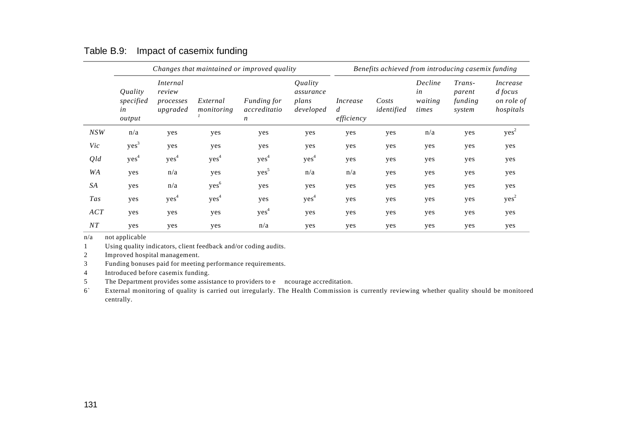|           |                                      |                                             |                        | Changes that maintained or improved quality | Benefits achieved from introducing casemix funding |                                    |                     |                                   |                                       |                                                         |  |
|-----------|--------------------------------------|---------------------------------------------|------------------------|---------------------------------------------|----------------------------------------------------|------------------------------------|---------------------|-----------------------------------|---------------------------------------|---------------------------------------------------------|--|
|           | Quality<br>specified<br>in<br>output | Internal<br>review<br>processes<br>upgraded | External<br>monitoring | Funding for<br>accreditatio<br>n            | Quality<br>assurance<br>plans<br>developed         | <i>Increase</i><br>d<br>efficiency | Costs<br>identified | Decline<br>in<br>waiting<br>times | Trans-<br>parent<br>funding<br>system | <i>Increase</i><br>$d$ focus<br>on role of<br>hospitals |  |
| NSW       | n/a                                  | yes                                         | yes                    | yes                                         | yes                                                | yes                                | yes                 | n/a                               | yes                                   | yes <sup>2</sup>                                        |  |
| Vic       | yes <sup>3</sup>                     | yes                                         | yes                    | yes                                         | yes                                                | yes                                | yes                 | yes                               | yes                                   | yes                                                     |  |
| Qld       | yes <sup>4</sup>                     | yes <sup>4</sup>                            | yes <sup>4</sup>       | yes <sup>4</sup>                            | yes <sup>4</sup>                                   | yes                                | yes                 | yes                               | yes                                   | yes                                                     |  |
| WA        | yes                                  | n/a                                         | yes                    | yes <sup>5</sup>                            | n/a                                                | n/a                                | yes                 | yes                               | yes                                   | yes                                                     |  |
| <b>SA</b> | yes                                  | n/a                                         | yes <sup>6</sup>       | yes                                         | yes                                                | yes                                | yes                 | yes                               | yes                                   | yes                                                     |  |
| Tas       | yes                                  | yes <sup>4</sup>                            | yes <sup>4</sup>       | yes                                         | yes <sup>4</sup>                                   | yes                                | yes                 | yes                               | yes                                   | yes <sup>2</sup>                                        |  |
| ACT       | yes                                  | yes                                         | yes                    | yes <sup>4</sup>                            | yes                                                | yes                                | yes                 | yes                               | yes                                   | yes                                                     |  |
| NT        | yes                                  | yes                                         | yes                    | n/a                                         | yes                                                | yes                                | yes                 | yes                               | yes                                   | yes                                                     |  |

#### Table B.9: Impact of casemix funding

n/a not applicable

1 Using quality indicators, client feedback and/or coding audits.

2 Improved hospital management.

3 Funding bonuses paid for meeting performance requirements.

4 Introduced before casemix funding.

5 The Department provides some assistance to providers to e ncourage accreditation.

6` External monitoring of quality is carried out irregularly. The Health Commission is currently reviewing whether quality should be monitored centrally.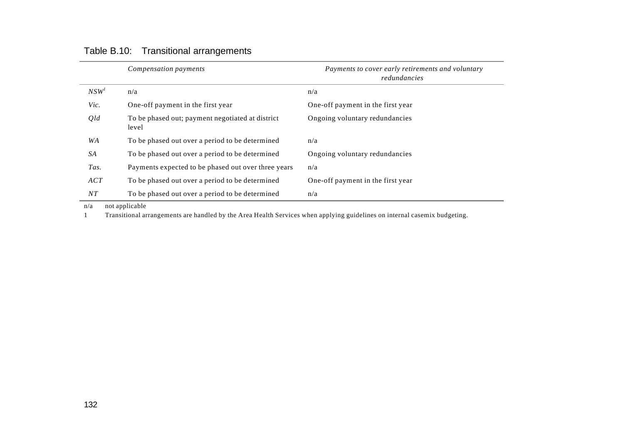|                  | Compensation payments                                     | Payments to cover early retirements and voluntary<br>redundancies |
|------------------|-----------------------------------------------------------|-------------------------------------------------------------------|
| NSW <sup>I</sup> | n/a                                                       | n/a                                                               |
| Vic.             | One-off payment in the first year                         | One-off payment in the first year                                 |
| Qld              | To be phased out; payment negotiated at district<br>level | Ongoing voluntary redundancies                                    |
| WA               | To be phased out over a period to be determined           | n/a                                                               |
| SA               | To be phased out over a period to be determined           | Ongoing voluntary redundancies                                    |
| Tas.             | Payments expected to be phased out over three years       | n/a                                                               |
| ACT              | To be phased out over a period to be determined           | One-off payment in the first year                                 |
| NT               | To be phased out over a period to be determined           | n/a                                                               |

# Table B.10: Transitional arrangements

n/a not applicable

1 Transitional arrangements are handled by the Area Health Services when applying guidelines on internal casemix budgeting.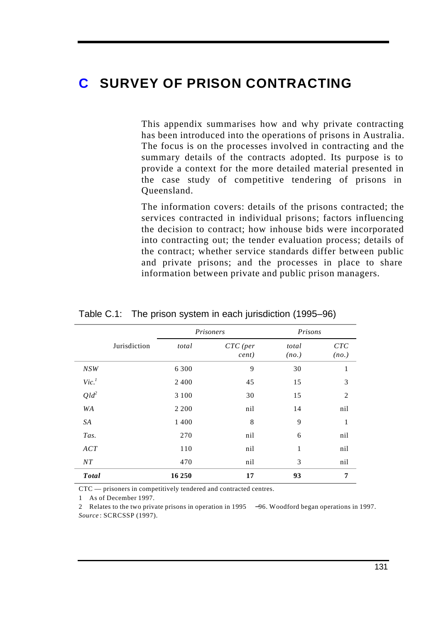# **C SURVEY OF PRISON CONTRACTING**

This appendix summarises how and why private contracting has been introduced into the operations of prisons in Australia. The focus is on the processes involved in contracting and the summary details of the contracts adopted. Its purpose is to provide a context for the more detailed material presented in the case study of competitive tendering of prisons in Queensland.

The information covers: details of the prisons contracted; the services contracted in individual prisons; factors influencing the decision to contract; how inhouse bids were incorporated into contracting out; the tender evaluation process; details of the contract; whether service standards differ between public and private prisons; and the processes in place to share information between private and public prison managers.

|                     |              |         | Prisoners           | Prisons        |                                 |
|---------------------|--------------|---------|---------------------|----------------|---------------------------------|
|                     | Jurisdiction | total   | $CTC$ (per<br>cent) | total<br>(no.) | $\cal C \cal T \cal C$<br>(no.) |
| NSW                 |              | 6 3 0 0 | 9                   | 30             | 1                               |
| $Vic.$ <sup>1</sup> |              | 2 4 0 0 | 45                  | 15             | 3                               |
| $Qld^2$             |              | 3 1 0 0 | 30                  | 15             | $\overline{c}$                  |
| WA                  |              | 2 2 0 0 | nil                 | 14             | nil                             |
| SA                  |              | 1400    | 8                   | 9              | 1                               |
| Tas.                |              | 270     | nil                 | 6              | nil                             |
| ACT                 |              | 110     | nil                 | 1              | nil                             |
| NT                  |              | 470     | nil                 | 3              | nil                             |
| <b>Total</b>        |              | 16 250  | 17                  | 93             | 7                               |

Table C.1: The prison system in each jurisdiction (1995–96)

CTC — prisoners in competitively tendered and contracted centres.

1 As of December 1997.

2 Relates to the two private prisons in operation in 1995 −96. Woodford began operations in 1997. *Source* : SCRCSSP (1997).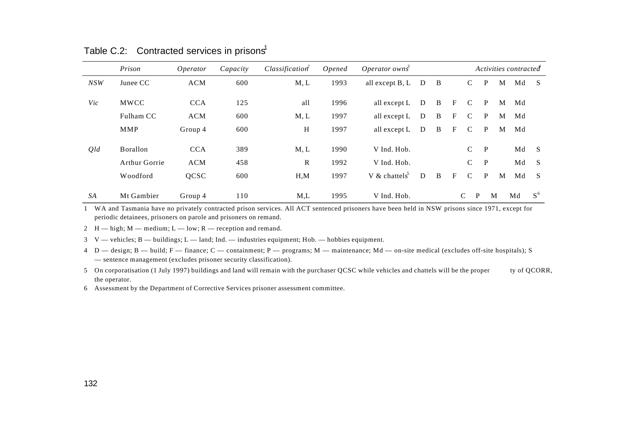|           | Prison        | Operator    | Capacity | <i>Classification</i> <sup>2</sup> | Opened | Operator owns <sup>3</sup> |   |              | Activities contracted     |                    |              |   |    |       |
|-----------|---------------|-------------|----------|------------------------------------|--------|----------------------------|---|--------------|---------------------------|--------------------|--------------|---|----|-------|
| NSW       | Junee CC      | <b>ACM</b>  | 600      | M, L                               | 1993   | all except B, L            | D | B            |                           | $\mathcal{C}$      | P            | M | Md | - S   |
| Vic       | <b>MWCC</b>   | <b>CCA</b>  | 125      | all                                | 1996   | all except L               | D | B            | $\mathbf{F}$              | C                  | P            | M | Md |       |
|           | Fulham CC     | <b>ACM</b>  | 600      | M, L                               | 1997   | all except $L$ D           |   | B            | $\boldsymbol{\mathrm{F}}$ | $\mathbf C$        | $\mathbf{P}$ | M | Md |       |
|           | <b>MMP</b>    | Group 4     | 600      | H                                  | 1997   | all except L               | D | B            | F                         | $\mathcal{C}$      | P            | M | Md |       |
| Qld       | Borallon      | <b>CCA</b>  | 389      | M, L                               | 1990   | V Ind. Hob.                |   |              |                           | $\mathcal{C}$      | P            |   | Md | - S   |
|           | Arthur Gorrie | <b>ACM</b>  | 458      | $\mathbf{R}$                       | 1992   | V Ind. Hob.                |   |              |                           | $\mathcal{C}$      | P            |   | Md | -S    |
|           | Woodford      | <b>QCSC</b> | 600      | H,M                                | 1997   | V & chattels <sup>3</sup>  | D | <sub>B</sub> | $\mathbf{F}$              | C                  | P            | M | Md | - S   |
| <b>SA</b> | Mt Gambier    | Group 4     | 110      | M,L                                | 1995   | V Ind. Hob.                |   |              |                           | P<br>$\mathcal{C}$ |              | M | Md | $S^6$ |

#### Table C.2: Contracted services in prisons<sup>1</sup>

1 WA and Tasmania have no privately contracted prison services. All ACT sentenced prisoners have been held in NSW prisons since 1971, except for periodic detainees, prisoners on parole and prisoners on remand.

2 H — high;  $M$  — medium;  $L$  — low;  $R$  — reception and remand.

3 V — vehicles; B — buildings; L — land; Ind. — industries equipment; Hob. — hobbies equipment.

4 D — design; B — build; F — finance; C — containment; P — programs; M — maintenance; Md — on-site medical (excludes off-site hospitals); S — sentence management (excludes prisoner security classification).

5 On corporatisation (1 July 1997) buildings and land will remain with the purchaser QCSC while vehicles and chattels will be the proper ty of QCORR, the operator.

6 Assessment by the Department of Corrective Services prisoner assessment committee.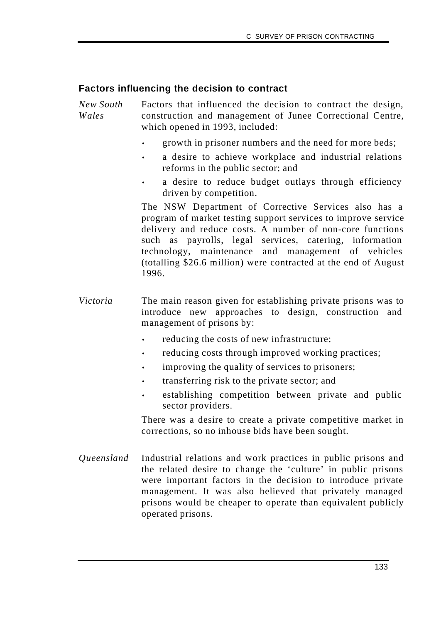#### **Factors influencing the decision to contract**

*New South Wales* Factors that influenced the decision to contract the design, construction and management of Junee Correctional Centre, which opened in 1993, included:

- growth in prisoner numbers and the need for more beds;
- a desire to achieve workplace and industrial relations reforms in the public sector; and
- a desire to reduce budget outlays through efficiency driven by competition.

The NSW Department of Corrective Services also has a program of market testing support services to improve service delivery and reduce costs. A number of non-core functions such as payrolls, legal services, catering, information technology, maintenance and management of vehicles (totalling \$26.6 million) were contracted at the end of August 1996.

- *Victoria* The main reason given for establishing private prisons was to introduce new approaches to design, construction and management of prisons by:
	- reducing the costs of new infrastructure;
	- reducing costs through improved working practices;
	- improving the quality of services to prisoners;
	- transferring risk to the private sector; and
	- establishing competition between private and public sector providers.

There was a desire to create a private competitive market in corrections, so no inhouse bids have been sought.

*Queensland* Industrial relations and work practices in public prisons and the related desire to change the 'culture' in public prisons were important factors in the decision to introduce private management. It was also believed that privately managed prisons would be cheaper to operate than equivalent publicly operated prisons.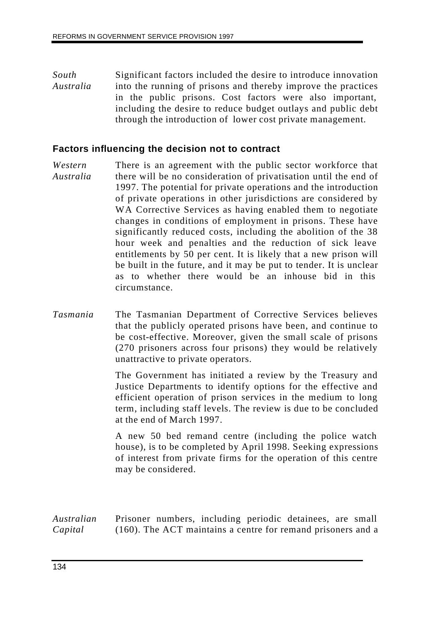*South Australia* Significant factors included the desire to introduce innovation into the running of prisons and thereby improve the practices in the public prisons. Cost factors were also important, including the desire to reduce budget outlays and public debt through the introduction of lower cost private management.

#### **Factors influencing the decision not to contract**

- *Western Australia* There is an agreement with the public sector workforce that there will be no consideration of privatisation until the end of 1997. The potential for private operations and the introduction of private operations in other jurisdictions are considered by WA Corrective Services as having enabled them to negotiate changes in conditions of employment in prisons. These have significantly reduced costs, including the abolition of the 38 hour week and penalties and the reduction of sick leave entitlements by 50 per cent. It is likely that a new prison will be built in the future, and it may be put to tender. It is unclear as to whether there would be an inhouse bid in this circumstance.
- *Tasmania* The Tasmanian Department of Corrective Services believes that the publicly operated prisons have been, and continue to be cost-effective. Moreover, given the small scale of prisons (270 prisoners across four prisons) they would be relatively unattractive to private operators.

The Government has initiated a review by the Treasury and Justice Departments to identify options for the effective and efficient operation of prison services in the medium to long term, including staff levels. The review is due to be concluded at the end of March 1997.

A new 50 bed remand centre (including the police watch house), is to be completed by April 1998. Seeking expressions of interest from private firms for the operation of this centre may be considered.

*Australian Capital* Prisoner numbers, including periodic detainees, are small (160). The ACT maintains a centre for remand prisoners and a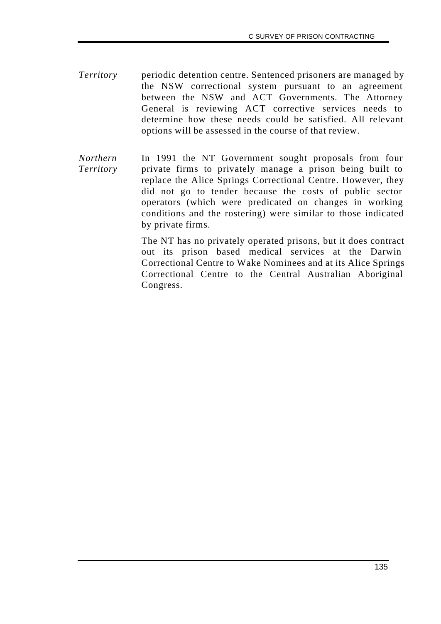- *Territory* periodic detention centre. Sentenced prisoners are managed by the NSW correctional system pursuant to an agreement between the NSW and ACT Governments. The Attorney General is reviewing ACT corrective services needs to determine how these needs could be satisfied. All relevant options will be assessed in the course of that review.
- *Northern Territory* In 1991 the NT Government sought proposals from four private firms to privately manage a prison being built to replace the Alice Springs Correctional Centre. However, they did not go to tender because the costs of public sector operators (which were predicated on changes in working conditions and the rostering) were similar to those indicated by private firms.

The NT has no privately operated prisons, but it does contract out its prison based medical services at the Darwin Correctional Centre to Wake Nominees and at its Alice Springs Correctional Centre to the Central Australian Aboriginal Congress.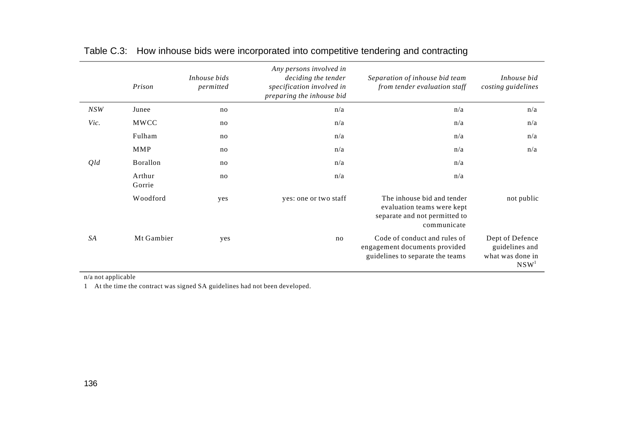|      | Prison           | Inhouse bids<br>permitted | Any persons involved in<br>deciding the tender<br>specification involved in<br>preparing the inhouse bid | Separation of inhouse bid team<br>from tender evaluation staff                                           | Inhouse bid<br>costing guidelines                                         |
|------|------------------|---------------------------|----------------------------------------------------------------------------------------------------------|----------------------------------------------------------------------------------------------------------|---------------------------------------------------------------------------|
| NSW  | Junee            | no                        | n/a                                                                                                      | n/a                                                                                                      | n/a                                                                       |
| Vic. | MWCC             | no                        | n/a                                                                                                      | n/a                                                                                                      | n/a                                                                       |
|      | Fulham           | no                        | n/a                                                                                                      | n/a                                                                                                      | n/a                                                                       |
|      | MMP              | no                        | n/a                                                                                                      | n/a                                                                                                      | n/a                                                                       |
| Qld  | Borallon         | no                        | n/a                                                                                                      | n/a                                                                                                      |                                                                           |
|      | Arthur<br>Gorrie | no                        | n/a                                                                                                      | n/a                                                                                                      |                                                                           |
|      | Woodford         | yes                       | yes: one or two staff                                                                                    | The inhouse bid and tender<br>evaluation teams were kept<br>separate and not permitted to<br>communicate | not public                                                                |
| SA   | Mt Gambier       | yes                       | no                                                                                                       | Code of conduct and rules of<br>engagement documents provided<br>guidelines to separate the teams        | Dept of Defence<br>guidelines and<br>what was done in<br>NSW <sup>1</sup> |

# Table C.3: How inhouse bids were incorporated into competitive tendering and contracting

n/a not applicable

1 At the time the contract was signed SA guidelines had not been developed.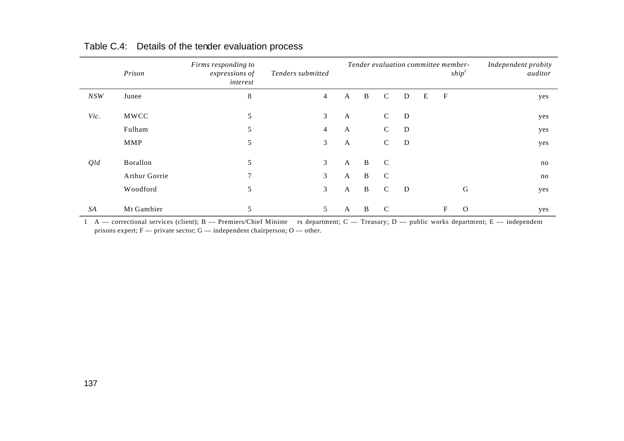|      | Prison                                | Firms responding to<br>expressions of<br>interest | Tenders submitted |                                   |                                              |                                              |             |   | Tender evaluation committee member- | ship'       | Independent probity<br>auditor |
|------|---------------------------------------|---------------------------------------------------|-------------------|-----------------------------------|----------------------------------------------|----------------------------------------------|-------------|---|-------------------------------------|-------------|--------------------------------|
| NSW  | Junee                                 | $8\,$                                             | 4                 | A                                 | B                                            | $\mathsf{C}$                                 | D           | E | $\mathbf{F}$                        |             | yes                            |
| Vic. | MWCC<br>Fulham<br><b>MMP</b>          | 5<br>5<br>5                                       | 3<br>4<br>3       | $\mathbf{A}$<br>$\mathbf{A}$<br>A |                                              | $\mathbf C$<br>$\mathsf{C}$<br>$\mathcal{C}$ | D<br>D<br>D |   |                                     |             | yes<br>yes<br>yes              |
| Qld  | Borallon<br>Arthur Gorrie<br>Woodford | 5<br>7<br>5                                       | 3<br>3<br>3       | A<br>A<br>$\mathbf{A}$            | $\, {\bf B}$<br>$\, {\bf B}$<br>$\, {\bf B}$ | $\mathbf C$<br>$\mathcal{C}$<br>$\mathbf C$  | D           |   |                                     | $\mathbf G$ | no<br>no<br>yes                |
| SA   | Mt Gambier                            | 5                                                 | 5                 | A                                 | B                                            | $\mathbf C$                                  |             |   | $_{\rm F}$                          | $\Omega$    | yes                            |

### Table C.4: Details of the tender evaluation process

1 A — correctional services (client); B — Premiers/Chief Ministe rs department; C — Treasury; D — public works department; E — independent prisons expert;  $F -$  private sector;  $G -$  independent chairperson;  $O -$  other.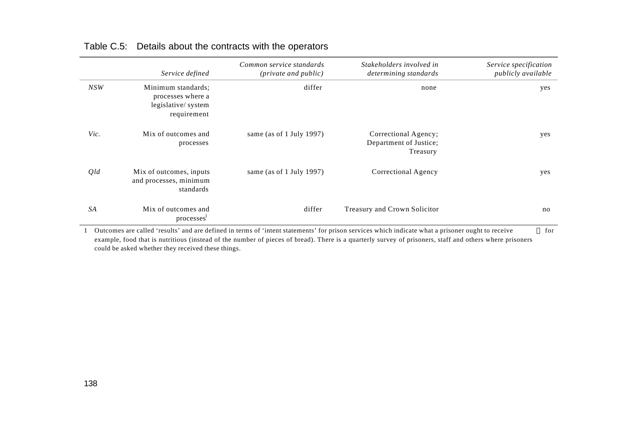|            | Service defined                                                              | Common service standards<br>( <i>private and public</i> ) | Stakeholders involved in<br>determining standards          | Service specification<br>publicly available |
|------------|------------------------------------------------------------------------------|-----------------------------------------------------------|------------------------------------------------------------|---------------------------------------------|
| <b>NSW</b> | Minimum standards;<br>processes where a<br>legislative/system<br>requirement | differ                                                    | none                                                       | yes                                         |
| Vic.       | Mix of outcomes and<br>processes                                             | same (as of 1 July 1997)                                  | Correctional Agency;<br>Department of Justice;<br>Treasury | yes                                         |
| Qld        | Mix of outcomes, inputs<br>and processes, minimum<br>standards               | same (as of 1 July 1997)                                  | Correctional Agency                                        | yes                                         |
| SA         | Mix of outcomes and<br>processes                                             | differ                                                    | Treasury and Crown Solicitor                               | no                                          |

#### Table C.5: Details about the contracts with the operators

1 Outcomes are called 'results' and are defined in terms of 'intent statements' for prison services which indicate what a prisoner ought to receive - for example, food that is nutritious (instead of the number of pieces of bread). There is a quarterly survey of prisoners, staff and others where prisoners could be asked whether they received these things.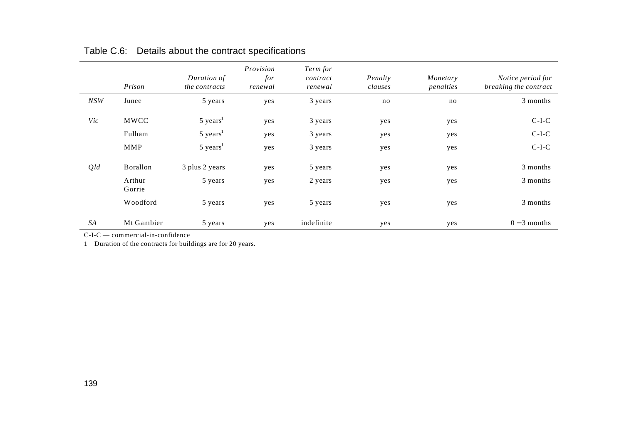|     | Prison           | Duration of<br>the contracts | Provision<br>for<br>renewal | Term for<br>contract<br>renewal | Penalty<br>clauses | Monetary<br>penalties | Notice period for<br>breaking the contract |
|-----|------------------|------------------------------|-----------------------------|---------------------------------|--------------------|-----------------------|--------------------------------------------|
| NSW | Junee            | 5 years                      | yes                         | 3 years                         | no                 | no                    | 3 months                                   |
| Vic | MWCC             | $5 \text{ years}^1$          | yes                         | 3 years                         | yes                | yes                   | $C-I-C$                                    |
|     | Fulham           | $5 \text{ years}^1$          | yes                         | 3 years                         | yes                | yes                   | $C-I-C$                                    |
|     | <b>MMP</b>       | $5 \text{ years}^1$          | yes                         | 3 years                         | yes                | yes                   | $C-I-C$                                    |
| Qld | Borallon         | 3 plus 2 years               | yes                         | 5 years                         | yes                | yes                   | 3 months                                   |
|     | Arthur<br>Gorrie | 5 years                      | yes                         | 2 years                         | yes                | yes                   | 3 months                                   |
|     | Woodford         | 5 years                      | yes                         | 5 years                         | yes                | yes                   | 3 months                                   |
| SA  | Mt Gambier       | 5 years                      | yes                         | indefinite                      | yes                | yes                   | $0 - 3$ months                             |

# Table C.6: Details about the contract specifications

C-I-C — commercial-in-confidence

1 Duration of the contracts for buildings are for 20 years.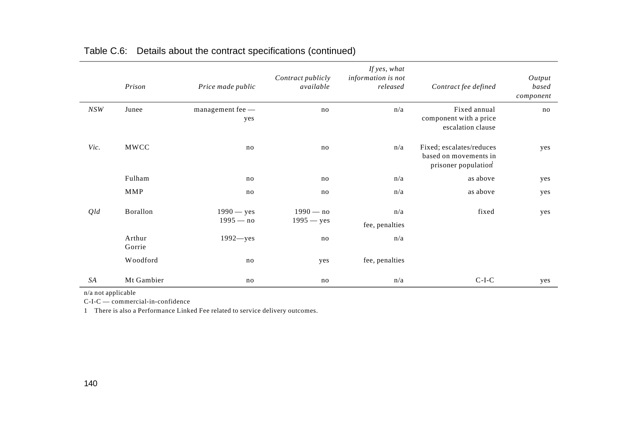|      | Prison           | Price made public           | Contract publicly<br>available | If yes, what<br>information is not<br>released | Contract fee defined                                                     | Output<br>based<br>component |
|------|------------------|-----------------------------|--------------------------------|------------------------------------------------|--------------------------------------------------------------------------|------------------------------|
| NSW  | Junee            | management fee -<br>yes     | no                             | n/a                                            | Fixed annual<br>component with a price<br>escalation clause              | no                           |
| Vic. | MWCC             | no                          | no                             | n/a                                            | Fixed; escalates/reduces<br>based on movements in<br>prisoner population | yes                          |
|      | Fulham           | no                          | no                             | n/a                                            | as above                                                                 | yes                          |
|      | MMP              | no                          | no                             | n/a                                            | as above                                                                 | yes                          |
| Qld  | Borallon         | $1990 - yes$<br>$1995 - no$ | $1990 - no$<br>$1995 - yes$    | n/a<br>fee, penalties                          | fixed                                                                    | yes                          |
|      | Arthur<br>Gorrie | $1992 - yes$                | no                             | n/a                                            |                                                                          |                              |
|      | Woodford         | no                          | yes                            | fee, penalties                                 |                                                                          |                              |
| SA   | Mt Gambier       | no                          | no                             | n/a                                            | $C-I-C$                                                                  | yes                          |

# Table C.6: Details about the contract specifications (continued)

n/a not applicable

C-I-C — commercial-in-confidence

1 There is also a Performance Linked Fee related to service delivery outcomes.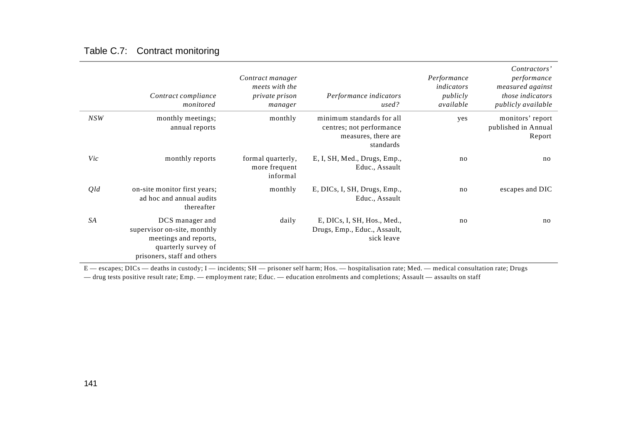|     | Contract compliance<br>monitored                                                                                              | Contract manager<br>meets with the<br>private prison<br>manager | Performance indicators<br>used?                                                           | Performance<br>indicators<br>publicly<br>available | Contractors'<br>performance<br>measured against<br>those indicators<br>publicly available |
|-----|-------------------------------------------------------------------------------------------------------------------------------|-----------------------------------------------------------------|-------------------------------------------------------------------------------------------|----------------------------------------------------|-------------------------------------------------------------------------------------------|
| NSW | monthly meetings;<br>annual reports                                                                                           | monthly                                                         | minimum standards for all<br>centres; not performance<br>measures, there are<br>standards | yes                                                | monitors' report<br>published in Annual<br>Report                                         |
| Vic | monthly reports                                                                                                               | formal quarterly,<br>more frequent<br>informal                  | E, I, SH, Med., Drugs, Emp.,<br>Educ., Assault                                            | no                                                 | $\mathbf{n}$                                                                              |
| Qld | on-site monitor first years;<br>ad hoc and annual audits<br>thereafter                                                        | monthly                                                         | E, DICs, I, SH, Drugs, Emp.,<br>Educ., Assault                                            | no                                                 | escapes and DIC                                                                           |
| SA  | DCS manager and<br>supervisor on-site, monthly<br>meetings and reports,<br>quarterly survey of<br>prisoners, staff and others | daily                                                           | E, DICs, I, SH, Hos., Med.,<br>Drugs, Emp., Educ., Assault,<br>sick leave                 | no                                                 | no                                                                                        |

### Table C.7: Contract monitoring

E — escapes; DICs — deaths in custody; I — incidents; SH — prisoner self harm; Hos. — hospitalisation rate; Med. — medical consultation rate; Drugs — drug tests positive result rate; Emp. — employment rate; Educ. — education enrolments and completions; Assault — assaults on staff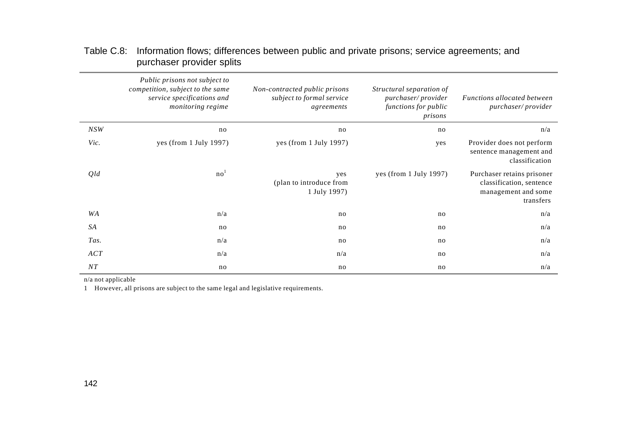| Functions allocated between<br>purchaser/provider                                          | Structural separation of<br>purchaser/provider<br>functions for public<br>prisons | Non-contracted public prisons<br>subject to formal service<br>agreements | Public prisons not subject to<br>competition, subject to the same<br>service specifications and<br>monitoring regime |      |
|--------------------------------------------------------------------------------------------|-----------------------------------------------------------------------------------|--------------------------------------------------------------------------|----------------------------------------------------------------------------------------------------------------------|------|
| n/a                                                                                        | no                                                                                | no                                                                       | no                                                                                                                   | NSW  |
| Provider does not perform<br>sentence management and<br>classification                     | yes                                                                               | yes (from 1 July 1997)                                                   | yes (from 1 July 1997)                                                                                               | Vic. |
| Purchaser retains prisoner<br>classification, sentence<br>management and some<br>transfers | yes (from 1 July 1997)                                                            | yes<br>(plan to introduce from<br>1 July 1997)                           | no <sup>1</sup>                                                                                                      | Qld  |
| n/a                                                                                        | no                                                                                | no                                                                       | n/a                                                                                                                  | WA   |
| n/a                                                                                        | no                                                                                | no                                                                       | no                                                                                                                   | SA   |
| n/a                                                                                        | no                                                                                | no                                                                       | n/a                                                                                                                  | Tas. |
| n/a                                                                                        | no                                                                                | n/a                                                                      | n/a                                                                                                                  | ACT  |
| n/a                                                                                        | no                                                                                | no                                                                       | no                                                                                                                   | NT   |

### Table C.8: Information flows; differences between public and private prisons; service agreements; and purchaser provider splits

n/a not applicable

1 However, all prisons are subject to the same legal and legislative requirements.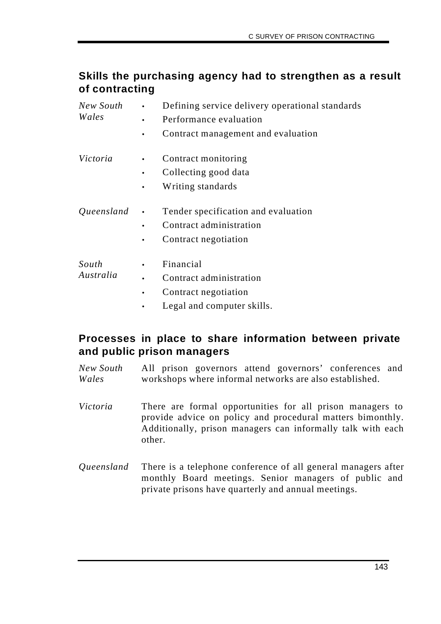# **Skills the purchasing agency had to strengthen as a result of contracting**

| New South  | Defining service delivery operational standards |  |
|------------|-------------------------------------------------|--|
| Wales      | Performance evaluation                          |  |
|            | Contract management and evaluation              |  |
| Victoria   | Contract monitoring                             |  |
|            | Collecting good data                            |  |
|            | Writing standards                               |  |
| Queensland | Tender specification and evaluation             |  |
|            | Contract administration                         |  |
|            | Contract negotiation                            |  |
| South      | Financial                                       |  |
| Australia  | Contract administration                         |  |
|            | Contract negotiation                            |  |
|            | Legal and computer skills.                      |  |

# **Processes in place to share information between private and public prison managers**

*New South Wales* All prison governors attend governors' conferences and workshops where informal networks are also established.

- *Victoria* There are formal opportunities for all prison managers to provide advice on policy and procedural matters bimonthly. Additionally, prison managers can informally talk with each other.
- *Queensland* There is a telephone conference of all general managers after monthly Board meetings. Senior managers of public and private prisons have quarterly and annual meetings.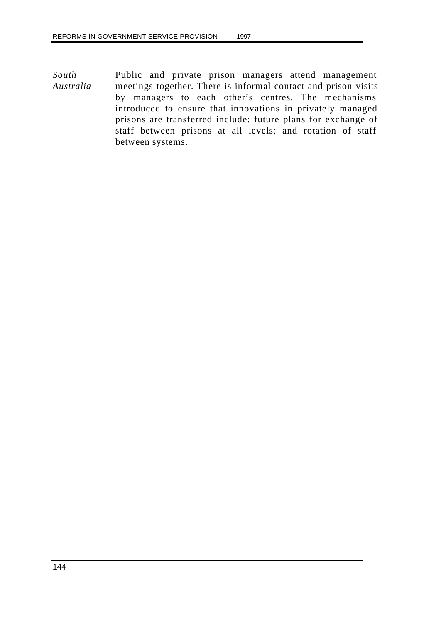*South Australia* Public and private prison managers attend management meetings together. There is informal contact and prison visits by managers to each other's centres. The mechanisms introduced to ensure that innovations in privately managed prisons are transferred include: future plans for exchange of staff between prisons at all levels; and rotation of staff between systems.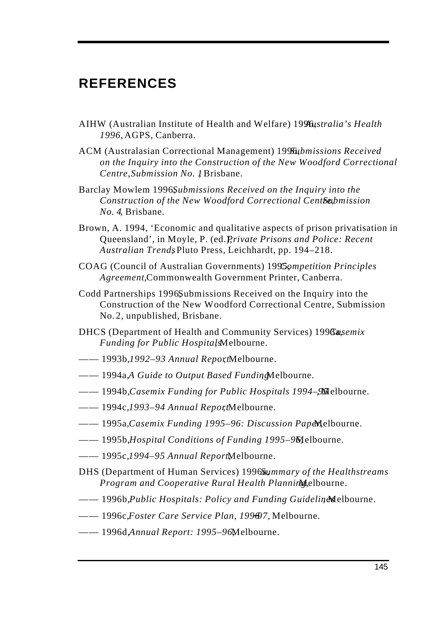# **REFERENCES**

- AIHW (Australian Institute of Health and Welfare) 1996, *Australia's Health 1996,* AGPS, Canberra.
- ACM (Australasian Correctional Management) 1996 full is significant Received *on the Inquiry into the Construction of the New Woodford Correctional Centre,Submission No. 1*, Brisbane.
- Barclay Mowlem 1996, *Submissions Received on the Inquiry into the Construction of the New Woodford Correctional CentBethmission No. 4*, Brisbane.
- Brown, A. 1994, 'Economic and qualitative aspects of prison privatisation in Queensland', in Moyle, P. (ed.),Private Prisons and Police: Recent *Australian Trends*, Pluto Press, Leichhardt, pp. 194–218.
- COAG (Council of Australian Governments) 1995, *Competition Principles Agreement,* Commonwealth Government Printer, Canberra.
- Codd Partnerships 1996, Submissions Received on the Inquiry into the Construction of the New Woodford Correctional Centre, Submission No. 2, unpublished, Brisbane.
- DHCS (Department of Health and Community Services) 1996a, *semix Funding for Public Hospital*, Melbourne.
- —— 1993b,1992–93 Annual ReportMelbourne.
- —— 1994a,A Guide to Output Based FundingMelbourne.
- —— 1994b, *Casemix Funding for Public Hospitals 1994–*, Mortourne.
- —— 1994c, 1993–94 Annual ReportMelbourne.
- —— 1995a, Casemix Funding 1995–96: Discussion Paper, Paper, Casemic.
- —— 1995b, *Hospital Conditions of Funding 1995–98* (elbourne.
- —— 1995c, 1994–95 Annual Report<sub>Melbourne.</sub>
- DHS (Department of Human Services) 1996 Summary of the Healthstreams *Program and Cooperative Rural Health Planning*, elbourne.
- $-1996b$ , *Public Hospitals: Policy and Funding Guideline* **Melbourne.**
- $-$  1996c, *Foster Care Service Plan, 199607*, Melbourne.
- —— 1996d, *Annual Report: 1995–96,* Melbourne.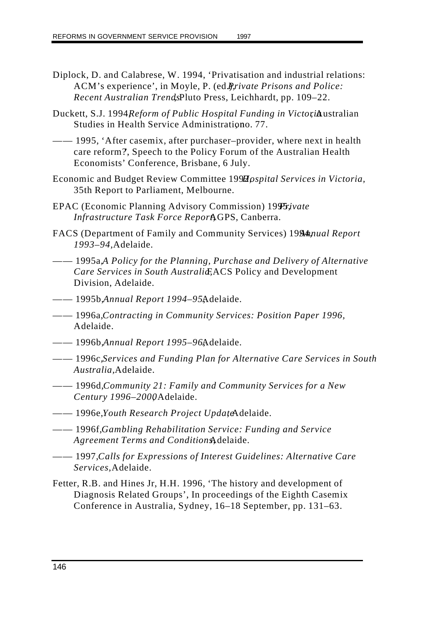- Diplock, D. and Calabrese, W. 1994, 'Privatisation and industrial relations: ACM's experience', in Moyle, P. (ed.*R., rivate Prisons and Police: Recent Australian Trends*, Pluto Press, Leichhardt, pp. 109–22.
- Duckett, S.J. 1994*Reform of Public Hospital Funding in Victori*Australian Studies in Health Service Administrationo. 77.
- —— 1995, 'After casemix, after purchaser–provider, where next in health care reform?*'*, Speech to the Policy Forum of the Australian Health Economists' Conference, Brisbane, 6 July.
- Economic and Budget Review Committee 199*Hospital Services in Victoria*, 35th Report to Parliament, Melbourne.
- EPAC (Economic Planning Advisory Commission) 1995;*jvate Infrastructure Task Force Report* GPS, Canberra.
- FACS (Department of Family and Community Services) 1984*mual Report 1993–94,* Adelaide.
- —— 1995a, *A Policy for the Planning, Purchase and Delivery of Alternative Care Services in South Australid*, **ACS Policy and Development** Division, Adelaide.
- —— 1995b, *Annual Report 1994–95,* Adelaide.
- $-- 1996$ a, *Contracting in Community Services: Position Paper 1996*, Adelaide.
- —— 1996b, *Annual Report 1995–96,* Adelaide.
- —— 1996c, *Services and Funding Plan for Alternative Care Services in South Australia,* Adelaide.
- —— 1996d, *Community 21: Family and Community Services for a New Century 1996–2000*, Adelaide.
- —— 1996e, *Youth Research Project Update*Adelaide.
- —— 1996f, *Gambling Rehabilitation Service: Funding and Service Agreement Terms and Conditions,* Adelaide.
- —— 1997, *Calls for Expressions of Interest Guidelines: Alternative Care Services,* Adelaide.
- Fetter, R.B. and Hines Jr, H.H. 1996, 'The history and development of Diagnosis Related Groups', In proceedings of the Eighth Casemix Conference in Australia, Sydney, 16–18 September, pp. 131–63.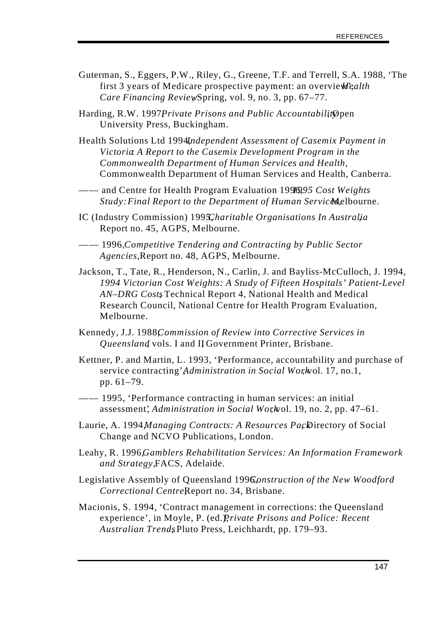- Guterman, S., Eggers, P.W., Riley, G., Greene, T.F. and Terrell, S.A. 1988, 'The first 3 years of Medicare prospective payment: an overview *ealth Care Financing ReviewSpring, vol. 9, no. 3, pp. 67–77.*
- Harding, R.W. 1997*Private Prisons and Public Accountabilit* (ppen University Press, Buckingham.
- Health Solutions Ltd 1994, *Independent Assessment of Casemix Payment in Victoria*: *A Report to the Casemix Development Program in the Commonwealth Department of Human Services and Health,* Commonwealth Department of Human Services and Health, Canberra.
- —— and Centre for Health Program Evaluation 1996,95 *Cost Weights Study: Final Report to the Department of Human Service* A, elbourne.
- IC (Industry Commission) 1995, *Charitable Organisations In Australia* Report no. 45, AGPS, Melbourne.
- —— 1996, *Competitive Tendering and Contracting by Public Sector Agencies,* Report no. 48, AGPS, Melbourne.
- Jackson, T., Tate, R., Henderson, N., Carlin, J. and Bayliss-McCulloch, J. 1994, *1994 Victorian Cost Weights: A Study of Fifteen Hospitals' Patient-Level AN–DRG Costs*, Technical Report 4, National Health and Medical Research Council, National Centre for Health Program Evaluation, Melbourne.
- Kennedy, J.J. 1988, *Commission of Review into Corrective Services in Queensland*, vols. I and II*,* Government Printer, Brisbane.
- Kettner, P. and Martin, L. 1993, 'Performance, accountability and purchase of service contracting'Administration in Social Workvol. 17, no.1, pp. 61–79.
- —— 1995, 'Performance contracting in human services: an initial assessment, Administration in Social Workvol. 19, no. 2, pp. 47–61.
- Laurie, A. 1994 *Managing Contracts: A Resources Pac* Directory of Social Change and NCVO Publications, London.
- Leahy, R. 1996, *Gamblers Rehabilitation Services: An Information Framework and Strategy,* FACS, Adelaide.
- Legislative Assembly of Queensland 1996, *pnstruction of the New Woodford Correctional CentreReport no.* 34, Brisbane.
- Macionis, S. 1994, 'Contract management in corrections: the Queensland experience', in Moyle, P. (ed.), *Private Prisons and Police: Recent Australian Trends*, Pluto Press, Leichhardt, pp. 179–93.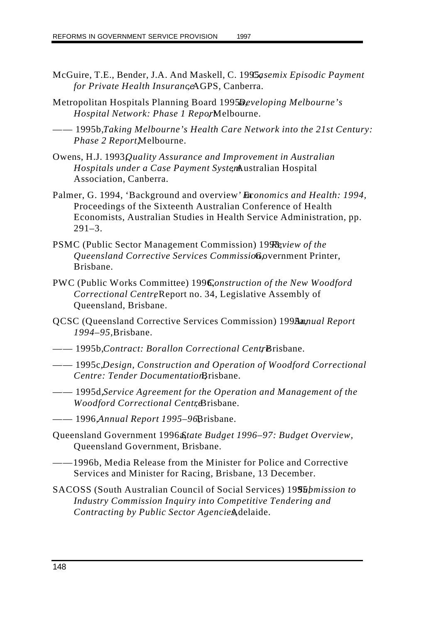- McGuire, T.E., Bender, J.A. And Maskell, C. 1995*qsemix Episodic Payment for Private Health Insurance* AGPS, Canberra.
- Metropolitan Hospitals Planning Board 1995<sup>a</sup> *Qeveloping Melbourne's Hospital Network: Phase 1 Repormelbourne.*
- —— 1995b, *Taking Melbourne's Health Care Network into the 21st Century: Phase 2 Report,* Melbourne.
- Owens, H.J. 1993*Quality Assurance and Improvement in Australian* Hospitals under a Case Payment System Australian Hospital Association, Canberra.
- Palmer, G. 1994, 'Background and overview' *Exenomics and Health: 1994*, Proceedings of the Sixteenth Australian Conference of Health Economists, Australian Studies in Health Service Administration, pp.  $291-3.$
- PSMC (Public Sector Management Commission) 1998eyiew of the *Queensland Corrective Services Commission, Ouernment Printer,* Brisbane.
- PWC (Public Works Committee) 1996, *onstruction of the New Woodford Correctional Centre*, Report no. 34, Legislative Assembly of Queensland, Brisbane.
- QCSC (Queensland Corrective Services Commission) 1998a, *nual Report 1994–95,* Brisbane.
- $-$  1995b, *Contract: Borallon Correctional Centr*Brisbane.
- —— 1995c, *Design, Construction and Operation of Woodford Correctional Centre: Tender Documentation*Brisbane.
- —— 1995d, *Service Agreement for the Operation and Management of the Woodford Correctional Centre*Brisbane.
- —— 1996, *Annual Report 1995–96* Brisbane.
- Queensland Government 1996 $\Delta$ *tate Budget 1996–97: Budget Overview,* Queensland Government, Brisbane.
- ——1996b, Media Release from the Minister for Police and Corrective Services and Minister for Racing, Brisbane, 13 December.
- SACOSS (South Australian Council of Social Services) 1995, *Submission to Industry Commission Inquiry into Competitive Tendering and Contracting by Public Sector Agencie* Adelaide.